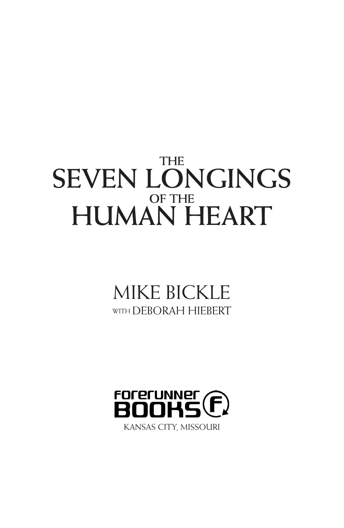# **THE SEVEN LONGINGS OF THE HUMAN HEART**

# MIKE BICKLE WITH **DEBORAH HIEBERT**

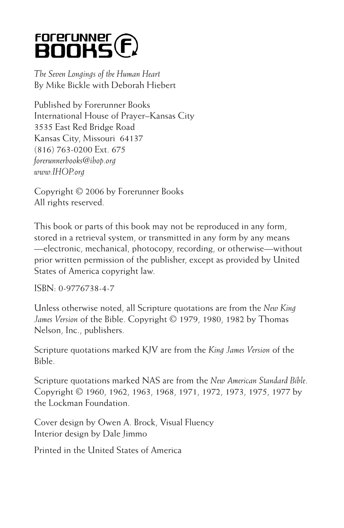# **FOCECUNNER**

*The Seven Longings of the Human Heart* By Mike Bickle with Deborah Hiebert

Published by Forerunner Books International House of Prayer–Kansas City 3535 East Red Bridge Road Kansas City, Missouri 64137 (816) 763-0200 Ext. 675 *forerunnerbooks@ihop.org www.IHOP.org*

Copyright © 2006 by Forerunner Books All rights reserved.

This book or parts of this book may not be reproduced in any form, stored in a retrieval system, or transmitted in any form by any means —electronic, mechanical, photocopy, recording, or otherwise—without prior written permission of the publisher, except as provided by United States of America copyright law.

ISBN: 0-9776738-4-7

Unless otherwise noted, all Scripture quotations are from the *New King James Version* of the Bible. Copyright © 1979, 1980, 1982 by Thomas Nelson, Inc., publishers.

Scripture quotations marked KJV are from the *King James Version* of the Bible.

Scripture quotations marked NAS are from the *New American Standard Bible*. Copyright © 1960, 1962, 1963, 1968, 1971, 1972, 1973, 1975, 1977 by the Lockman Foundation.

Cover design by Owen A. Brock, Visual Fluency Interior design by Dale Jimmo

Printed in the United States of America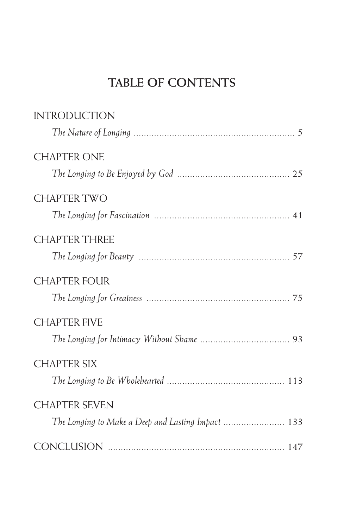# **TABLE OF CONTENTS**

| <b>INTRODUCTION</b>                                |  |
|----------------------------------------------------|--|
|                                                    |  |
| <b>CHAPTER ONE</b>                                 |  |
|                                                    |  |
| <b>CHAPTER TWO</b>                                 |  |
|                                                    |  |
| <b>CHAPTER THREE</b>                               |  |
|                                                    |  |
| <b>CHAPTER FOUR</b>                                |  |
|                                                    |  |
| <b>CHAPTER FIVE</b>                                |  |
|                                                    |  |
| <b>CHAPTER SIX</b>                                 |  |
|                                                    |  |
| <b>CHAPTER SEVEN</b>                               |  |
| The Longing to Make a Deep and Lasting Impact  133 |  |
|                                                    |  |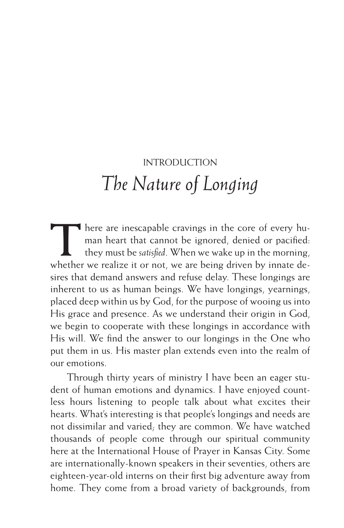# INTRODUCTION *The Nature of Longing*

There are inescapable cravings in the core of every human heart that cannot be ignored, denied or pacified:<br>they must be *satisfied*. When we wake up in the morning, man heart that cannot be ignored, denied or pacified: they must be *satisfied*. When we wake up in the morning, whether we realize it or not, we are being driven by innate desires that demand answers and refuse delay. These longings are inherent to us as human beings. We have longings, yearnings, placed deep within us by God, for the purpose of wooing us into His grace and presence. As we understand their origin in God, we begin to cooperate with these longings in accordance with His will. We find the answer to our longings in the One who put them in us. His master plan extends even into the realm of our emotions.

Through thirty years of ministry I have been an eager student of human emotions and dynamics. I have enjoyed countless hours listening to people talk about what excites their hearts. What's interesting is that people's longings and needs are not dissimilar and varied; they are common. We have watched thousands of people come through our spiritual community here at the International House of Prayer in Kansas City. Some are internationally-known speakers in their seventies, others are eighteen-year-old interns on their first big adventure away from home. They come from a broad variety of backgrounds, from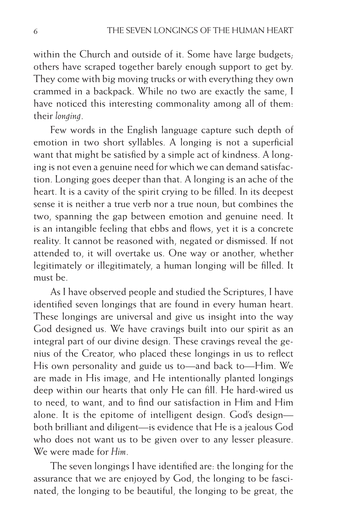within the Church and outside of it. Some have large budgets: others have scraped together barely enough support to get by. They come with big moving trucks or with everything they own crammed in a backpack. While no two are exactly the same, I have noticed this interesting commonality among all of them: their *longing*.

Few words in the English language capture such depth of emotion in two short syllables. A longing is not a superficial want that might be satisfied by a simple act of kindness. A longing is not even a genuine need for which we can demand satisfaction. Longing goes deeper than that. A longing is an ache of the heart. It is a cavity of the spirit crying to be filled. In its deepest sense it is neither a true verb nor a true noun, but combines the two, spanning the gap between emotion and genuine need. It is an intangible feeling that ebbs and flows, yet it is a concrete reality. It cannot be reasoned with, negated or dismissed. If not attended to, it will overtake us. One way or another, whether legitimately or illegitimately, a human longing will be filled. It must be.

As I have observed people and studied the Scriptures, I have identified seven longings that are found in every human heart. These longings are universal and give us insight into the way God designed us. We have cravings built into our spirit as an integral part of our divine design. These cravings reveal the genius of the Creator, who placed these longings in us to reflect His own personality and guide us to—and back to—Him. We are made in His image, and He intentionally planted longings deep within our hearts that only He can fill. He hard-wired us to need, to want, and to find our satisfaction in Him and Him alone. It is the epitome of intelligent design. God's design both brilliant and diligent—is evidence that He is a jealous God who does not want us to be given over to any lesser pleasure. We were made for *Him*.

The seven longings I have identified are: the longing for the assurance that we are enjoyed by God, the longing to be fascinated, the longing to be beautiful, the longing to be great, the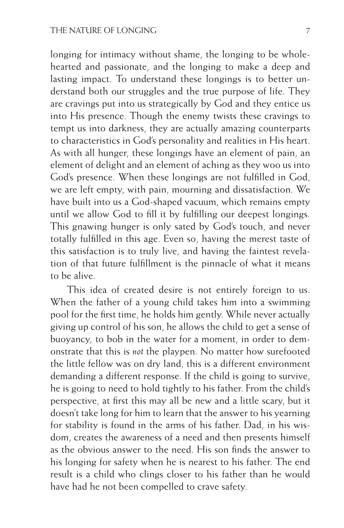longing for intimacy without shame, the longing to be wholehearted and passionate, and the longing to make a deep and lasting impact. To understand these longings is to better understand both our struggles and the true purpose of life. They are cravings put into us strategically by God and they entice us into His presence. Though the enemy twists these cravings to tempt us into darkness, they are actually amazing counterparts to characteristics in God's personality and realities in His heart. As with all hunger, these longings have an element of pain, an element of delight and an element of aching as they woo us into God's presence. When these longings are not fulfilled in God, we are left empty, with pain, mourning and dissatisfaction. We have built into us a God-shaped vacuum, which remains empty until we allow God to fill it by fulfilling our deepest longings. This gnawing hunger is only sated by God's touch, and never totally fulfilled in this age. Even so, having the merest taste of this satisfaction is to truly live, and having the faintest revelation of that future fulfillment is the pinnacle of what it means to be alive.

This idea of created desire is not entirely foreign to us. When the father of a young child takes him into a swimming pool for the first time, he holds him gently. While never actually giving up control of his son, he allows the child to get a sense of buoyancy, to bob in the water for a moment, in order to demonstrate that this is *not* the playpen. No matter how surefooted the little fellow was on dry land, this is a different environment demanding a different response. If the child is going to survive, he is going to need to hold tightly to his father. From the child's perspective, at first this may all be new and a little scary, but it doesn't take long for him to learn that the answer to his yearning for stability is found in the arms of his father. Dad, in his wisdom, creates the awareness of a need and then presents himself as the obvious answer to the need. His son finds the answer to his longing for safety when he is nearest to his father. The end result is a child who clings closer to his father than he would have had he not been compelled to crave safety.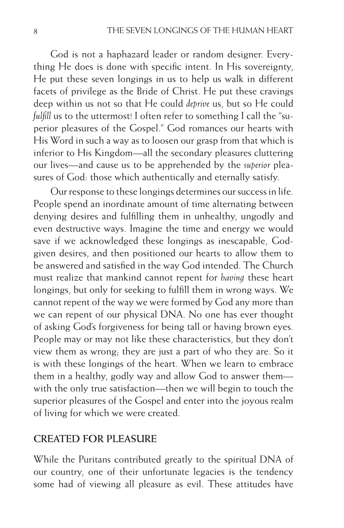God is not a haphazard leader or random designer. Everything He does is done with specific intent. In His sovereignty, He put these seven longings in us to help us walk in different facets of privilege as the Bride of Christ. He put these cravings deep within us not so that He could *deprive* us, but so He could *fulfill* us to the uttermost! I often refer to something I call the "superior pleasures of the Gospel." God romances our hearts with His Word in such a way as to loosen our grasp from that which is inferior to His Kingdom—all the secondary pleasures cluttering our lives—and cause us to be apprehended by the *superior* pleasures of God: those which authentically and eternally satisfy.

Our response to these longings determines our success in life. People spend an inordinate amount of time alternating between denying desires and fulfilling them in unhealthy, ungodly and even destructive ways. Imagine the time and energy we would save if we acknowledged these longings as inescapable, Godgiven desires, and then positioned our hearts to allow them to be answered and satisfied in the way God intended. The Church must realize that mankind cannot repent for *having* these heart longings, but only for seeking to fulfill them in wrong ways. We cannot repent of the way we were formed by God any more than we can repent of our physical DNA. No one has ever thought of asking God's forgiveness for being tall or having brown eyes. People may or may not like these characteristics, but they don't view them as wrong; they are just a part of who they are. So it is with these longings of the heart. When we learn to embrace them in a healthy, godly way and allow God to answer them with the only true satisfaction—then we will begin to touch the superior pleasures of the Gospel and enter into the joyous realm of living for which we were created.

## **CREATED FOR PLEASURE**

While the Puritans contributed greatly to the spiritual DNA of our country, one of their unfortunate legacies is the tendency some had of viewing all pleasure as evil. These attitudes have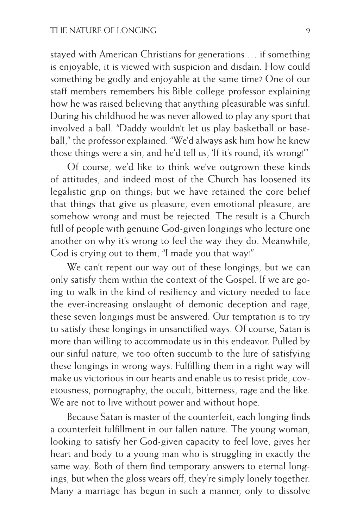stayed with American Christians for generations … if something is enjoyable, it is viewed with suspicion and disdain. How could something be godly and enjoyable at the same time? One of our staff members remembers his Bible college professor explaining how he was raised believing that anything pleasurable was sinful. During his childhood he was never allowed to play any sport that involved a ball. "Daddy wouldn't let us play basketball or baseball," the professor explained. "We'd always ask him how he knew those things were a sin, and he'd tell us, 'If it's round, it's wrong!'"

Of course, we'd like to think we've outgrown these kinds of attitudes, and indeed most of the Church has loosened its legalistic grip on things; but we have retained the core belief that things that give us pleasure, even emotional pleasure, are somehow wrong and must be rejected. The result is a Church full of people with genuine God-given longings who lecture one another on why it's wrong to feel the way they do. Meanwhile, God is crying out to them, "I made you that way!"

We can't repent our way out of these longings, but we can only satisfy them within the context of the Gospel. If we are going to walk in the kind of resiliency and victory needed to face the ever-increasing onslaught of demonic deception and rage, these seven longings must be answered. Our temptation is to try to satisfy these longings in unsanctified ways. Of course, Satan is more than willing to accommodate us in this endeavor. Pulled by our sinful nature, we too often succumb to the lure of satisfying these longings in wrong ways. Fulfilling them in a right way will make us victorious in our hearts and enable us to resist pride, covetousness, pornography, the occult, bitterness, rage and the like. We are not to live without power and without hope.

Because Satan is master of the counterfeit, each longing finds a counterfeit fulfillment in our fallen nature. The young woman, looking to satisfy her God-given capacity to feel love, gives her heart and body to a young man who is struggling in exactly the same way. Both of them find temporary answers to eternal longings, but when the gloss wears off, they're simply lonely together. Many a marriage has begun in such a manner, only to dissolve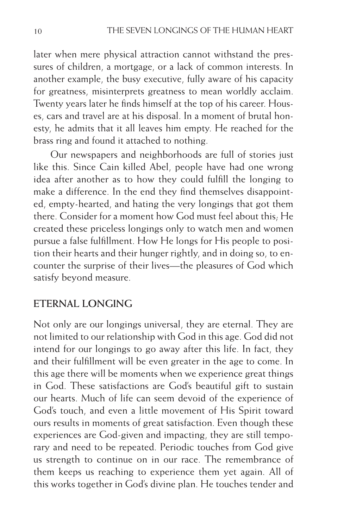later when mere physical attraction cannot withstand the pressures of children, a mortgage, or a lack of common interests. In another example, the busy executive, fully aware of his capacity for greatness, misinterprets greatness to mean worldly acclaim. Twenty years later he finds himself at the top of his career. Houses, cars and travel are at his disposal. In a moment of brutal honesty, he admits that it all leaves him empty. He reached for the brass ring and found it attached to nothing.

Our newspapers and neighborhoods are full of stories just like this. Since Cain killed Abel, people have had one wrong idea after another as to how they could fulfill the longing to make a difference. In the end they find themselves disappointed, empty-hearted, and hating the very longings that got them there. Consider for a moment how God must feel about this; He created these priceless longings only to watch men and women pursue a false fulfillment. How He longs for His people to position their hearts and their hunger rightly, and in doing so, to encounter the surprise of their lives—the pleasures of God which satisfy beyond measure.

#### **ETERNAL LONGING**

Not only are our longings universal, they are eternal. They are not limited to our relationship with God in this age. God did not intend for our longings to go away after this life. In fact, they and their fulfillment will be even greater in the age to come. In this age there will be moments when we experience great things in God. These satisfactions are God's beautiful gift to sustain our hearts. Much of life can seem devoid of the experience of God's touch, and even a little movement of His Spirit toward ours results in moments of great satisfaction. Even though these experiences are God-given and impacting, they are still temporary and need to be repeated. Periodic touches from God give us strength to continue on in our race. The remembrance of them keeps us reaching to experience them yet again. All of this works together in God's divine plan. He touches tender and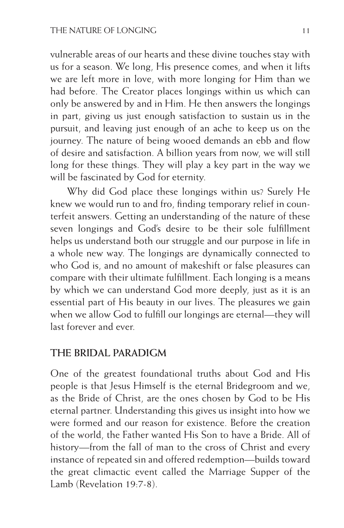vulnerable areas of our hearts and these divine touches stay with us for a season. We long, His presence comes, and when it lifts we are left more in love, with more longing for Him than we had before. The Creator places longings within us which can only be answered by and in Him. He then answers the longings in part, giving us just enough satisfaction to sustain us in the pursuit, and leaving just enough of an ache to keep us on the journey. The nature of being wooed demands an ebb and flow of desire and satisfaction. A billion years from now, we will still long for these things. They will play a key part in the way we will be fascinated by God for eternity.

Why did God place these longings within us? Surely He knew we would run to and fro, finding temporary relief in counterfeit answers. Getting an understanding of the nature of these seven longings and God's desire to be their sole fulfillment helps us understand both our struggle and our purpose in life in a whole new way. The longings are dynamically connected to who God is, and no amount of makeshift or false pleasures can compare with their ultimate fulfillment. Each longing is a means by which we can understand God more deeply, just as it is an essential part of His beauty in our lives. The pleasures we gain when we allow God to fulfill our longings are eternal—they will last forever and ever.

#### **THE BRIDAL PARADIGM**

One of the greatest foundational truths about God and His people is that Jesus Himself is the eternal Bridegroom and we, as the Bride of Christ, are the ones chosen by God to be His eternal partner. Understanding this gives us insight into how we were formed and our reason for existence. Before the creation of the world, the Father wanted His Son to have a Bride. All of history—from the fall of man to the cross of Christ and every instance of repeated sin and offered redemption—builds toward the great climactic event called the Marriage Supper of the Lamb (Revelation 19:7-8).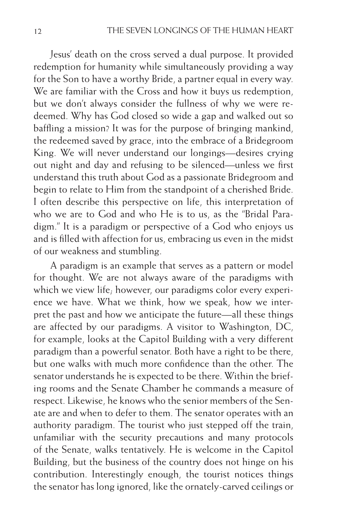Jesus' death on the cross served a dual purpose. It provided redemption for humanity while simultaneously providing a way for the Son to have a worthy Bride, a partner equal in every way. We are familiar with the Cross and how it buys us redemption, but we don't always consider the fullness of why we were redeemed. Why has God closed so wide a gap and walked out so baffling a mission? It was for the purpose of bringing mankind, the redeemed saved by grace, into the embrace of a Bridegroom King. We will never understand our longings—desires crying out night and day and refusing to be silenced—unless we first understand this truth about God as a passionate Bridegroom and begin to relate to Him from the standpoint of a cherished Bride. I often describe this perspective on life, this interpretation of who we are to God and who He is to us, as the "Bridal Paradigm." It is a paradigm or perspective of a God who enjoys us and is filled with affection for us, embracing us even in the midst of our weakness and stumbling.

A paradigm is an example that serves as a pattern or model for thought. We are not always aware of the paradigms with which we view life; however, our paradigms color every experience we have. What we think, how we speak, how we interpret the past and how we anticipate the future—all these things are affected by our paradigms. A visitor to Washington, DC, for example, looks at the Capitol Building with a very different paradigm than a powerful senator. Both have a right to be there, but one walks with much more confidence than the other. The senator understands he is expected to be there. Within the briefing rooms and the Senate Chamber he commands a measure of respect. Likewise, he knows who the senior members of the Senate are and when to defer to them. The senator operates with an authority paradigm. The tourist who just stepped off the train, unfamiliar with the security precautions and many protocols of the Senate, walks tentatively. He is welcome in the Capitol Building, but the business of the country does not hinge on his contribution. Interestingly enough, the tourist notices things the senator has long ignored, like the ornately-carved ceilings or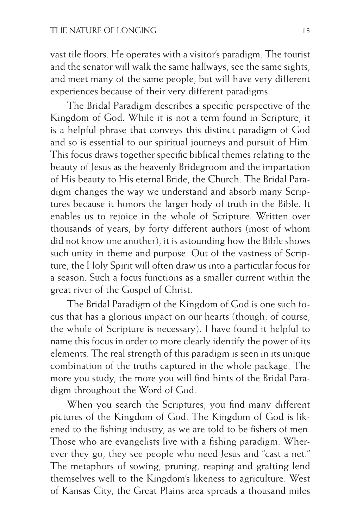vast tile floors. He operates with a visitor's paradigm. The tourist and the senator will walk the same hallways, see the same sights, and meet many of the same people, but will have very different experiences because of their very different paradigms.

The Bridal Paradigm describes a specific perspective of the Kingdom of God. While it is not a term found in Scripture, it is a helpful phrase that conveys this distinct paradigm of God and so is essential to our spiritual journeys and pursuit of Him. This focus draws together specific biblical themes relating to the beauty of Jesus as the heavenly Bridegroom and the impartation of His beauty to His eternal Bride, the Church. The Bridal Paradigm changes the way we understand and absorb many Scriptures because it honors the larger body of truth in the Bible. It enables us to rejoice in the whole of Scripture. Written over thousands of years, by forty different authors (most of whom did not know one another), it is astounding how the Bible shows such unity in theme and purpose. Out of the vastness of Scripture, the Holy Spirit will often draw us into a particular focus for a season. Such a focus functions as a smaller current within the great river of the Gospel of Christ.

The Bridal Paradigm of the Kingdom of God is one such focus that has a glorious impact on our hearts (though, of course, the whole of Scripture is necessary). I have found it helpful to name this focus in order to more clearly identify the power of its elements. The real strength of this paradigm is seen in its unique combination of the truths captured in the whole package. The more you study, the more you will find hints of the Bridal Paradigm throughout the Word of God.

When you search the Scriptures, you find many different pictures of the Kingdom of God. The Kingdom of God is likened to the fishing industry, as we are told to be fishers of men. Those who are evangelists live with a fishing paradigm. Wherever they go, they see people who need Jesus and "cast a net." The metaphors of sowing, pruning, reaping and grafting lend themselves well to the Kingdom's likeness to agriculture. West of Kansas City, the Great Plains area spreads a thousand miles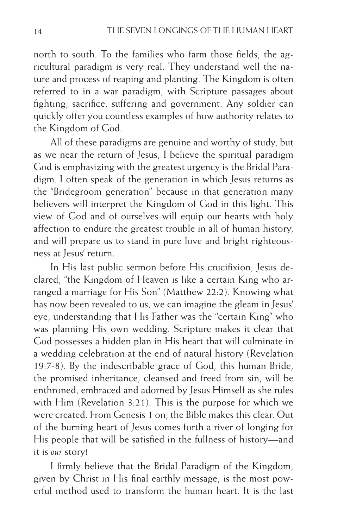north to south. To the families who farm those fields, the agricultural paradigm is very real. They understand well the nature and process of reaping and planting. The Kingdom is often referred to in a war paradigm, with Scripture passages about fighting, sacrifice, suffering and government. Any soldier can quickly offer you countless examples of how authority relates to the Kingdom of God.

All of these paradigms are genuine and worthy of study, but as we near the return of Jesus, I believe the spiritual paradigm God is emphasizing with the greatest urgency is the Bridal Paradigm. I often speak of the generation in which Jesus returns as the "Bridegroom generation" because in that generation many believers will interpret the Kingdom of God in this light. This view of God and of ourselves will equip our hearts with holy affection to endure the greatest trouble in all of human history, and will prepare us to stand in pure love and bright righteousness at Jesus' return.

In His last public sermon before His crucifixion, Jesus declared, "the Kingdom of Heaven is like a certain King who arranged a marriage for His Son" (Matthew 22:2). Knowing what has now been revealed to us, we can imagine the gleam in Jesus' eye, understanding that His Father was the "certain King" who was planning His own wedding. Scripture makes it clear that God possesses a hidden plan in His heart that will culminate in a wedding celebration at the end of natural history (Revelation 19:7-8). By the indescribable grace of God, this human Bride, the promised inheritance, cleansed and freed from sin, will be enthroned, embraced and adorned by Jesus Himself as she rules with Him (Revelation 3:21). This is the purpose for which we were created. From Genesis 1 on, the Bible makes this clear. Out of the burning heart of Jesus comes forth a river of longing for His people that will be satisfied in the fullness of history—and it is *our* story!

I firmly believe that the Bridal Paradigm of the Kingdom, given by Christ in His final earthly message, is the most powerful method used to transform the human heart. It is the last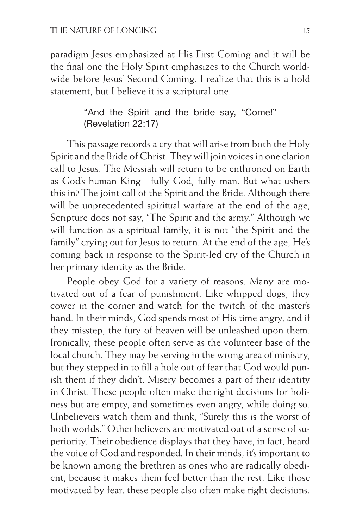paradigm Jesus emphasized at His First Coming and it will be the final one the Holy Spirit emphasizes to the Church worldwide before Jesus' Second Coming. I realize that this is a bold statement, but I believe it is a scriptural one.

## "And the Spirit and the bride say, "Come!" (Revelation 22:17)

This passage records a cry that will arise from both the Holy Spirit and the Bride of Christ. They will join voices in one clarion call to Jesus. The Messiah will return to be enthroned on Earth as God's human King—fully God, fully man. But what ushers this in? The joint call of the Spirit and the Bride. Although there will be unprecedented spiritual warfare at the end of the age, Scripture does not say, "The Spirit and the army." Although we will function as a spiritual family, it is not "the Spirit and the family" crying out for Jesus to return. At the end of the age, He's coming back in response to the Spirit-led cry of the Church in her primary identity as the Bride.

People obey God for a variety of reasons. Many are motivated out of a fear of punishment. Like whipped dogs, they cower in the corner and watch for the twitch of the master's hand. In their minds, God spends most of His time angry, and if they misstep, the fury of heaven will be unleashed upon them. Ironically, these people often serve as the volunteer base of the local church. They may be serving in the wrong area of ministry, but they stepped in to fill a hole out of fear that God would punish them if they didn't. Misery becomes a part of their identity in Christ. These people often make the right decisions for holiness but are empty, and sometimes even angry, while doing so. Unbelievers watch them and think, "Surely this is the worst of both worlds." Other believers are motivated out of a sense of superiority. Their obedience displays that they have, in fact, heard the voice of God and responded. In their minds, it's important to be known among the brethren as ones who are radically obedient, because it makes them feel better than the rest. Like those motivated by fear, these people also often make right decisions.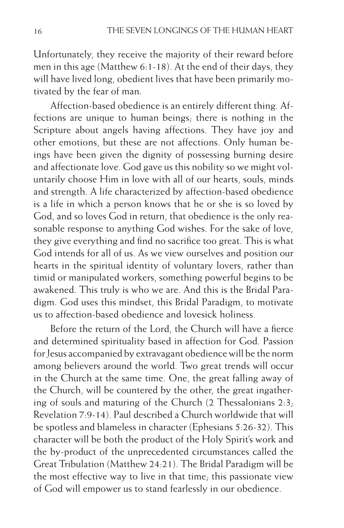Unfortunately, they receive the majority of their reward before men in this age (Matthew 6:1-18). At the end of their days, they will have lived long, obedient lives that have been primarily motivated by the fear of man.

Affection-based obedience is an entirely different thing. Affections are unique to human beings; there is nothing in the Scripture about angels having affections. They have joy and other emotions, but these are not affections. Only human beings have been given the dignity of possessing burning desire and affectionate love. God gave us this nobility so we might voluntarily choose Him in love with all of our hearts, souls, minds and strength. A life characterized by affection-based obedience is a life in which a person knows that he or she is so loved by God, and so loves God in return, that obedience is the only reasonable response to anything God wishes. For the sake of love, they give everything and find no sacrifice too great. This is what God intends for all of us. As we view ourselves and position our hearts in the spiritual identity of voluntary lovers, rather than timid or manipulated workers, something powerful begins to be awakened. This truly is who we are. And this is the Bridal Paradigm. God uses this mindset, this Bridal Paradigm, to motivate us to affection-based obedience and lovesick holiness.

Before the return of the Lord, the Church will have a fierce and determined spirituality based in affection for God. Passion for Jesus accompanied by extravagant obedience will be the norm among believers around the world. Two great trends will occur in the Church at the same time. One, the great falling away of the Church, will be countered by the other, the great ingathering of souls and maturing of the Church (2 Thessalonians 2:3; Revelation 7:9-14). Paul described a Church worldwide that will be spotless and blameless in character (Ephesians 5:26-32). This character will be both the product of the Holy Spirit's work and the by-product of the unprecedented circumstances called the Great Tribulation (Matthew 24:21). The Bridal Paradigm will be the most effective way to live in that time; this passionate view of God will empower us to stand fearlessly in our obedience.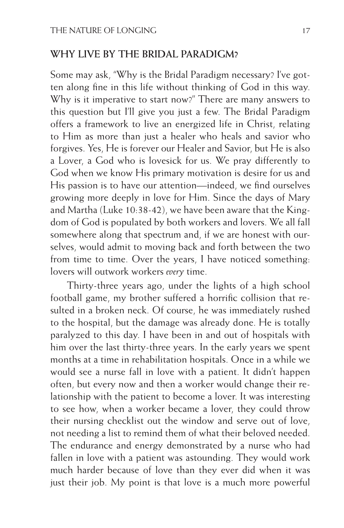#### **WHY LIVE BY THE BRIDAL PARADIGM?**

Some may ask, "Why is the Bridal Paradigm necessary? I've gotten along fine in this life without thinking of God in this way. Why is it imperative to start now?" There are many answers to this question but I'll give you just a few. The Bridal Paradigm offers a framework to live an energized life in Christ, relating to Him as more than just a healer who heals and savior who forgives. Yes, He is forever our Healer and Savior, but He is also a Lover, a God who is lovesick for us. We pray differently to God when we know His primary motivation is desire for us and His passion is to have our attention—indeed, we find ourselves growing more deeply in love for Him. Since the days of Mary and Martha (Luke 10:38-42), we have been aware that the Kingdom of God is populated by both workers and lovers. We all fall somewhere along that spectrum and, if we are honest with ourselves, would admit to moving back and forth between the two from time to time. Over the years, I have noticed something: lovers will outwork workers *every* time.

Thirty-three years ago, under the lights of a high school football game, my brother suffered a horrific collision that resulted in a broken neck. Of course, he was immediately rushed to the hospital, but the damage was already done. He is totally paralyzed to this day. I have been in and out of hospitals with him over the last thirty-three years. In the early years we spent months at a time in rehabilitation hospitals. Once in a while we would see a nurse fall in love with a patient. It didn't happen often, but every now and then a worker would change their relationship with the patient to become a lover. It was interesting to see how, when a worker became a lover, they could throw their nursing checklist out the window and serve out of love, not needing a list to remind them of what their beloved needed. The endurance and energy demonstrated by a nurse who had fallen in love with a patient was astounding. They would work much harder because of love than they ever did when it was just their job. My point is that love is a much more powerful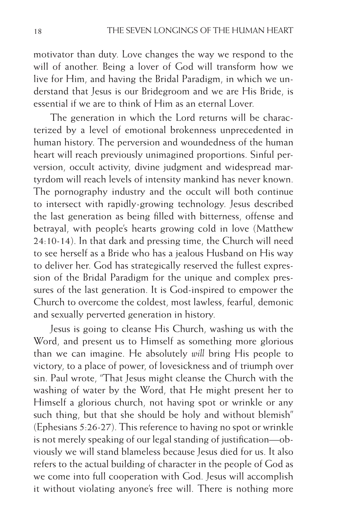motivator than duty. Love changes the way we respond to the will of another. Being a lover of God will transform how we live for Him, and having the Bridal Paradigm, in which we understand that Jesus is our Bridegroom and we are His Bride, is essential if we are to think of Him as an eternal Lover.

The generation in which the Lord returns will be characterized by a level of emotional brokenness unprecedented in human history. The perversion and woundedness of the human heart will reach previously unimagined proportions. Sinful perversion, occult activity, divine judgment and widespread martyrdom will reach levels of intensity mankind has never known. The pornography industry and the occult will both continue to intersect with rapidly-growing technology. Jesus described the last generation as being filled with bitterness, offense and betrayal, with people's hearts growing cold in love (Matthew 24:10-14). In that dark and pressing time, the Church will need to see herself as a Bride who has a jealous Husband on His way to deliver her. God has strategically reserved the fullest expression of the Bridal Paradigm for the unique and complex pressures of the last generation. It is God-inspired to empower the Church to overcome the coldest, most lawless, fearful, demonic and sexually perverted generation in history.

Jesus is going to cleanse His Church, washing us with the Word, and present us to Himself as something more glorious than we can imagine. He absolutely *will* bring His people to victory, to a place of power, of lovesickness and of triumph over sin. Paul wrote, "That Jesus might cleanse the Church with the washing of water by the Word, that He might present her to Himself a glorious church, not having spot or wrinkle or any such thing, but that she should be holy and without blemish" (Ephesians 5:26-27). This reference to having no spot or wrinkle is not merely speaking of our legal standing of justification—obviously we will stand blameless because Jesus died for us. It also refers to the actual building of character in the people of God as we come into full cooperation with God. Jesus will accomplish it without violating anyone's free will. There is nothing more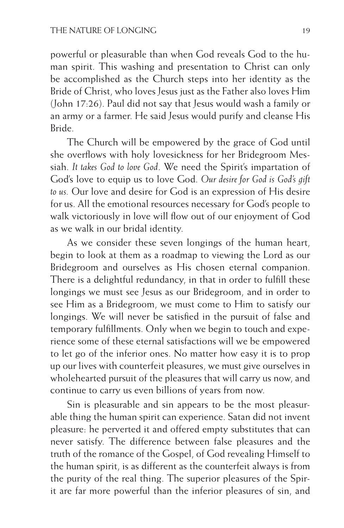powerful or pleasurable than when God reveals God to the human spirit. This washing and presentation to Christ can only be accomplished as the Church steps into her identity as the Bride of Christ, who loves Jesus just as the Father also loves Him (John 17:26). Paul did not say that Jesus would wash a family or an army or a farmer. He said Jesus would purify and cleanse His Bride.

The Church will be empowered by the grace of God until she overflows with holy lovesickness for her Bridegroom Messiah. *It takes God to love God*. We need the Spirit's impartation of God's love to equip us to love God. *Our desire for God is God's gift to us.* Our love and desire for God is an expression of His desire for us. All the emotional resources necessary for God's people to walk victoriously in love will flow out of our enjoyment of God as we walk in our bridal identity.

As we consider these seven longings of the human heart, begin to look at them as a roadmap to viewing the Lord as our Bridegroom and ourselves as His chosen eternal companion. There is a delightful redundancy, in that in order to fulfill these longings we must see Jesus as our Bridegroom, and in order to see Him as a Bridegroom, we must come to Him to satisfy our longings. We will never be satisfied in the pursuit of false and temporary fulfillments. Only when we begin to touch and experience some of these eternal satisfactions will we be empowered to let go of the inferior ones. No matter how easy it is to prop up our lives with counterfeit pleasures, we must give ourselves in wholehearted pursuit of the pleasures that will carry us now, and continue to carry us even billions of years from now.

Sin is pleasurable and sin appears to be the most pleasurable thing the human spirit can experience. Satan did not invent pleasure: he perverted it and offered empty substitutes that can never satisfy. The difference between false pleasures and the truth of the romance of the Gospel, of God revealing Himself to the human spirit, is as different as the counterfeit always is from the purity of the real thing. The superior pleasures of the Spirit are far more powerful than the inferior pleasures of sin, and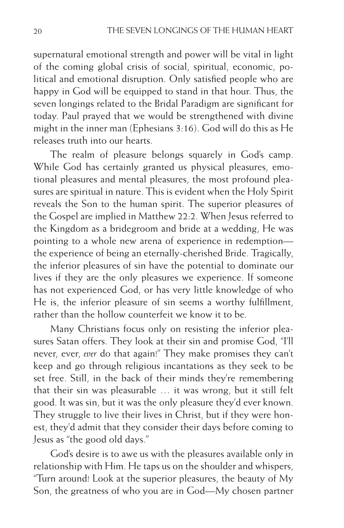supernatural emotional strength and power will be vital in light of the coming global crisis of social, spiritual, economic, political and emotional disruption. Only satisfied people who are happy in God will be equipped to stand in that hour. Thus, the seven longings related to the Bridal Paradigm are significant for today. Paul prayed that we would be strengthened with divine might in the inner man (Ephesians 3:16). God will do this as He releases truth into our hearts.

The realm of pleasure belongs squarely in God's camp. While God has certainly granted us physical pleasures, emotional pleasures and mental pleasures, the most profound pleasures are spiritual in nature. This is evident when the Holy Spirit reveals the Son to the human spirit. The superior pleasures of the Gospel are implied in Matthew 22:2. When Jesus referred to the Kingdom as a bridegroom and bride at a wedding, He was pointing to a whole new arena of experience in redemption the experience of being an eternally-cherished Bride. Tragically, the inferior pleasures of sin have the potential to dominate our lives if they are the only pleasures we experience. If someone has not experienced God, or has very little knowledge of who He is, the inferior pleasure of sin seems a worthy fulfillment, rather than the hollow counterfeit we know it to be.

Many Christians focus only on resisting the inferior pleasures Satan offers. They look at their sin and promise God, "I'll never, ever, *ever* do that again!" They make promises they can't keep and go through religious incantations as they seek to be set free. Still, in the back of their minds they're remembering that their sin was pleasurable … it was wrong, but it still felt good. It was sin, but it was the only pleasure they'd ever known. They struggle to live their lives in Christ, but if they were honest, they'd admit that they consider their days before coming to Jesus as "the good old days."

God's desire is to awe us with the pleasures available only in relationship with Him. He taps us on the shoulder and whispers, "Turn around! Look at the superior pleasures, the beauty of My Son, the greatness of who you are in God—My chosen partner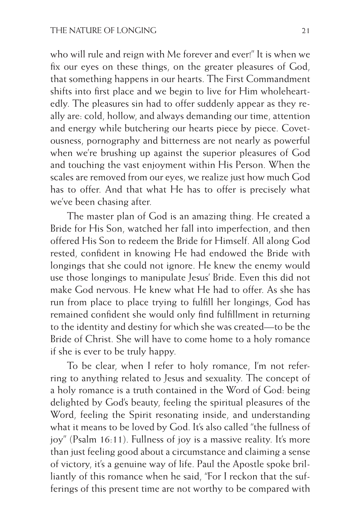who will rule and reign with Me forever and ever!" It is when we fix our eyes on these things, on the greater pleasures of God, that something happens in our hearts. The First Commandment shifts into first place and we begin to live for Him wholeheartedly. The pleasures sin had to offer suddenly appear as they really are: cold, hollow, and always demanding our time, attention and energy while butchering our hearts piece by piece. Covetousness, pornography and bitterness are not nearly as powerful when we're brushing up against the superior pleasures of God and touching the vast enjoyment within His Person. When the scales are removed from our eyes, we realize just how much God has to offer. And that what He has to offer is precisely what we've been chasing after.

The master plan of God is an amazing thing. He created a Bride for His Son, watched her fall into imperfection, and then offered His Son to redeem the Bride for Himself. All along God rested, confident in knowing He had endowed the Bride with longings that she could not ignore. He knew the enemy would use those longings to manipulate Jesus' Bride. Even this did not make God nervous. He knew what He had to offer. As she has run from place to place trying to fulfill her longings, God has remained confident she would only find fulfillment in returning to the identity and destiny for which she was created—to be the Bride of Christ. She will have to come home to a holy romance if she is ever to be truly happy.

To be clear, when I refer to holy romance, I'm not referring to anything related to Jesus and sexuality. The concept of a holy romance is a truth contained in the Word of God: being delighted by God's beauty, feeling the spiritual pleasures of the Word, feeling the Spirit resonating inside, and understanding what it means to be loved by God. It's also called "the fullness of joy" (Psalm 16:11). Fullness of joy is a massive reality. It's more than just feeling good about a circumstance and claiming a sense of victory, it's a genuine way of life. Paul the Apostle spoke brilliantly of this romance when he said, "For I reckon that the sufferings of this present time are not worthy to be compared with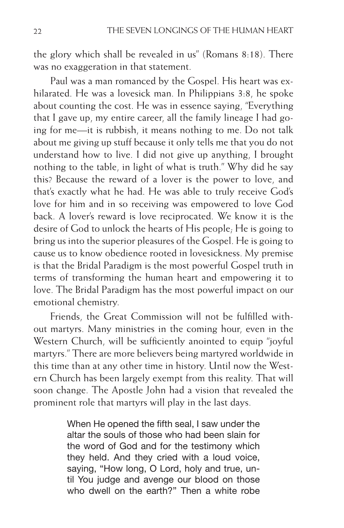the glory which shall be revealed in us" (Romans 8:18). There was no exaggeration in that statement.

Paul was a man romanced by the Gospel. His heart was exhilarated. He was a lovesick man. In Philippians 3:8, he spoke about counting the cost. He was in essence saying, "Everything that I gave up, my entire career, all the family lineage I had going for me—it is rubbish, it means nothing to me. Do not talk about me giving up stuff because it only tells me that you do not understand how to live. I did not give up anything, I brought nothing to the table, in light of what is truth." Why did he say this? Because the reward of a lover is the power to love, and that's exactly what he had. He was able to truly receive God's love for him and in so receiving was empowered to love God back. A lover's reward is love reciprocated. We know it is the desire of God to unlock the hearts of His people; He is going to bring us into the superior pleasures of the Gospel. He is going to cause us to know obedience rooted in lovesickness. My premise is that the Bridal Paradigm is the most powerful Gospel truth in terms of transforming the human heart and empowering it to love. The Bridal Paradigm has the most powerful impact on our emotional chemistry.

Friends, the Great Commission will not be fulfilled without martyrs. Many ministries in the coming hour, even in the Western Church, will be sufficiently anointed to equip "joyful martyrs." There are more believers being martyred worldwide in this time than at any other time in history. Until now the Western Church has been largely exempt from this reality. That will soon change. The Apostle John had a vision that revealed the prominent role that martyrs will play in the last days.

> When He opened the fifth seal, I saw under the altar the souls of those who had been slain for the word of God and for the testimony which they held. And they cried with a loud voice, saying, "How long, O Lord, holy and true, until You judge and avenge our blood on those who dwell on the earth?" Then a white robe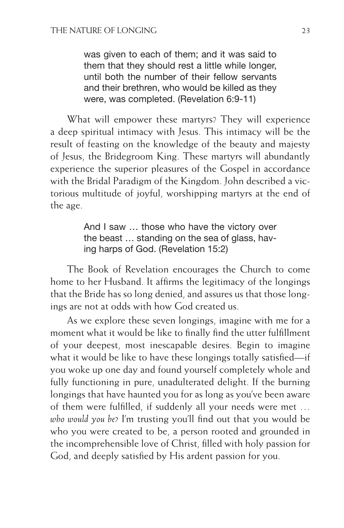was given to each of them; and it was said to them that they should rest a little while longer, until both the number of their fellow servants and their brethren, who would be killed as they were, was completed. (Revelation 6:9-11)

What will empower these martyrs? They will experience a deep spiritual intimacy with Jesus. This intimacy will be the result of feasting on the knowledge of the beauty and majesty of Jesus, the Bridegroom King. These martyrs will abundantly experience the superior pleasures of the Gospel in accordance with the Bridal Paradigm of the Kingdom. John described a victorious multitude of joyful, worshipping martyrs at the end of the age.

> And I saw … those who have the victory over the beast … standing on the sea of glass, having harps of God. (Revelation 15:2)

The Book of Revelation encourages the Church to come home to her Husband. It affirms the legitimacy of the longings that the Bride has so long denied, and assures us that those longings are not at odds with how God created us.

As we explore these seven longings, imagine with me for a moment what it would be like to finally find the utter fulfillment of your deepest, most inescapable desires. Begin to imagine what it would be like to have these longings totally satisfied—if you woke up one day and found yourself completely whole and fully functioning in pure, unadulterated delight. If the burning longings that have haunted you for as long as you've been aware of them were fulfilled, if suddenly all your needs were met … *who would you be?* I'm trusting you'll find out that you would be who you were created to be, a person rooted and grounded in the incomprehensible love of Christ, filled with holy passion for God, and deeply satisfied by His ardent passion for you.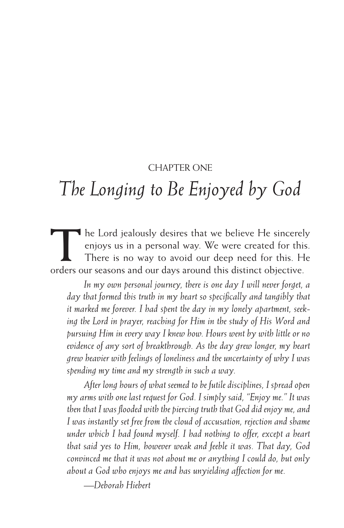# CHAPTER ONE

# *The Longing to Be Enjoyed by God*

The Lord jealously desires that we believe He sincerely enjoys us in a personal way. We were created for this. There is no way to avoid our deep need for this. He and an announcement of the singular prior and the distinct enjoys us in a personal way. We were created for this. orders our seasons and our days around this distinct objective.

*In my own personal journey, there is one day I will never forget, a day that formed this truth in my heart so specifically and tangibly that it marked me forever. I had spent the day in my lonely apartment, seeking the Lord in prayer, reaching for Him in the study of His Word and pursuing Him in every way I knew how. Hours went by with little or no evidence of any sort of breakthrough. As the day grew longer, my heart grew heavier with feelings of loneliness and the uncertainty of why I was spending my time and my strength in such a way.*

*After long hours of what seemed to be futile disciplines, I spread open my arms with one last request for God. I simply said, "Enjoy me." It was then that I was flooded with the piercing truth that God did enjoy me, and I was instantly set free from the cloud of accusation, rejection and shame under which I had found myself. I had nothing to offer, except a heart that said yes to Him, however weak and feeble it was. That day, God convinced me that it was not about me or anything I could do, but only about a God who enjoys me and has unyielding affection for me.*

*—Deborah Hiebert*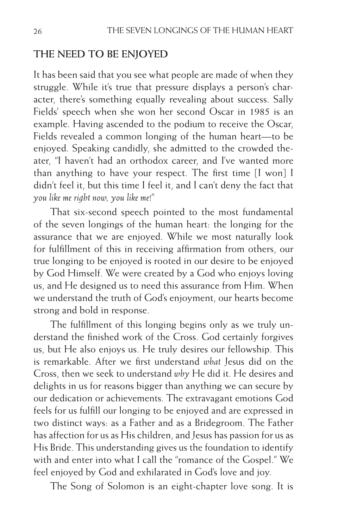## **THE NEED TO BE ENJOYED**

It has been said that you see what people are made of when they struggle. While it's true that pressure displays a person's character, there's something equally revealing about success. Sally Fields' speech when she won her second Oscar in 1985 is an example. Having ascended to the podium to receive the Oscar, Fields revealed a common longing of the human heart—to be enjoyed. Speaking candidly, she admitted to the crowded theater, "I haven't had an orthodox career, and I've wanted more than anything to have your respect. The first time [I won] I didn't feel it, but this time I feel it, and I can't deny the fact that *you like me right now, you like me*!"

That six-second speech pointed to the most fundamental of the seven longings of the human heart: the longing for the assurance that we are enjoyed. While we most naturally look for fulfillment of this in receiving affirmation from others, our true longing to be enjoyed is rooted in our desire to be enjoyed by God Himself. We were created by a God who enjoys loving us, and He designed us to need this assurance from Him. When we understand the truth of God's enjoyment, our hearts become strong and bold in response.

The fulfillment of this longing begins only as we truly understand the finished work of the Cross. God certainly forgives us, but He also enjoys us. He truly desires our fellowship. This is remarkable. After we first understand *what* Jesus did on the Cross, then we seek to understand *why* He did it. He desires and delights in us for reasons bigger than anything we can secure by our dedication or achievements. The extravagant emotions God feels for us fulfill our longing to be enjoyed and are expressed in two distinct ways: as a Father and as a Bridegroom. The Father has affection for us as His children, and Jesus has passion for us as His Bride. This understanding gives us the foundation to identify with and enter into what I call the "romance of the Gospel." We feel enjoyed by God and exhilarated in God's love and joy.

The Song of Solomon is an eight-chapter love song. It is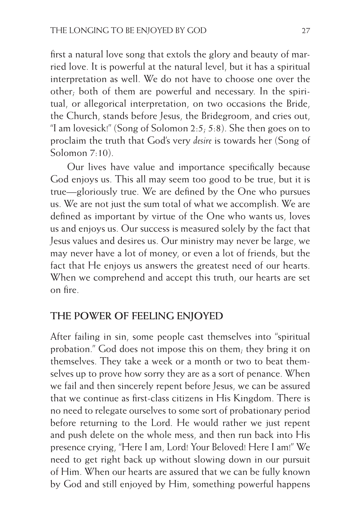first a natural love song that extols the glory and beauty of married love. It is powerful at the natural level, but it has a spiritual interpretation as well. We do not have to choose one over the other; both of them are powerful and necessary. In the spiritual, or allegorical interpretation, on two occasions the Bride, the Church, stands before Jesus, the Bridegroom, and cries out, "I am lovesick!" (Song of Solomon 2:5; 5:8). She then goes on to proclaim the truth that God's very *desire* is towards her (Song of Solomon 7:10).

Our lives have value and importance specifically because God enjoys us. This all may seem too good to be true, but it is true—gloriously true. We are defined by the One who pursues us. We are not just the sum total of what we accomplish. We are defined as important by virtue of the One who wants us, loves us and enjoys us. Our success is measured solely by the fact that Jesus values and desires us. Our ministry may never be large, we may never have a lot of money, or even a lot of friends, but the fact that He enjoys us answers the greatest need of our hearts. When we comprehend and accept this truth, our hearts are set on fire.

# **THE POWER OF FEELING ENJOYED**

After failing in sin, some people cast themselves into "spiritual probation." God does not impose this on them; they bring it on themselves. They take a week or a month or two to beat themselves up to prove how sorry they are as a sort of penance. When we fail and then sincerely repent before Jesus, we can be assured that we continue as first-class citizens in His Kingdom. There is no need to relegate ourselves to some sort of probationary period before returning to the Lord. He would rather we just repent and push delete on the whole mess, and then run back into His presence crying, "Here I am, Lord! Your Beloved! Here I am!" We need to get right back up without slowing down in our pursuit of Him. When our hearts are assured that we can be fully known by God and still enjoyed by Him, something powerful happens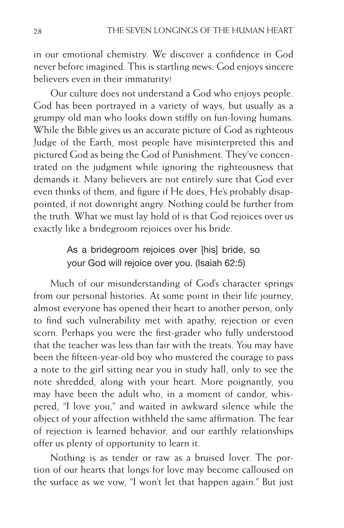in our emotional chemistry. We discover a confidence in God never before imagined. This is startling news: God enjoys sincere believers even in their immaturity!

Our culture does not understand a God who enjoys people. God has been portrayed in a variety of ways, but usually as a grumpy old man who looks down stiffly on fun-loving humans. While the Bible gives us an accurate picture of God as righteous Judge of the Earth, most people have misinterpreted this and pictured God as being the God of Punishment. They've concentrated on the judgment while ignoring the righteousness that demands it. Many believers are not entirely sure that God ever even thinks of them, and figure if He does, He's probably disappointed, if not downright angry. Nothing could be further from the truth. What we must lay hold of is that God rejoices over us exactly like a bridegroom rejoices over his bride.

> As a bridegroom rejoices over [his] bride, so your God will rejoice over you. (Isaiah 62:5)

Much of our misunderstanding of God's character springs from our personal histories. At some point in their life journey, almost everyone has opened their heart to another person, only to find such vulnerability met with apathy, rejection or even scorn. Perhaps you were the first-grader who fully understood that the teacher was less than fair with the treats. You may have been the fifteen-year-old boy who mustered the courage to pass a note to the girl sitting near you in study hall, only to see the note shredded, along with your heart. More poignantly, you may have been the adult who, in a moment of candor, whispered, "I love you," and waited in awkward silence while the object of your affection withheld the same affirmation. The fear of rejection is learned behavior, and our earthly relationships offer us plenty of opportunity to learn it.

Nothing is as tender or raw as a bruised lover. The portion of our hearts that longs for love may become calloused on the surface as we vow, "I won't let that happen again." But just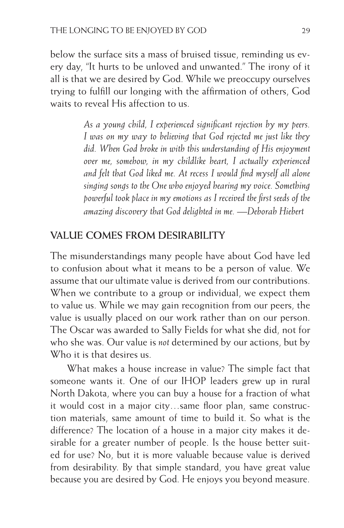below the surface sits a mass of bruised tissue, reminding us every day, "It hurts to be unloved and unwanted." The irony of it all is that we are desired by God. While we preoccupy ourselves trying to fulfill our longing with the affirmation of others, God waits to reveal His affection to us.

> *As a young child, I experienced significant rejection by my peers. I was on my way to believing that God rejected me just like they did. When God broke in with this understanding of His enjoyment over me, somehow, in my childlike heart, I actually experienced and felt that God liked me. At recess I would find myself all alone singing songs to the One who enjoyed hearing my voice. Something powerful took place in my emotions as I received the first seeds of the amazing discovery that God delighted in me. —Deborah Hiebert*

#### **VALUE COMES FROM DESIRABILITY**

The misunderstandings many people have about God have led to confusion about what it means to be a person of value. We assume that our ultimate value is derived from our contributions. When we contribute to a group or individual, we expect them to value us. While we may gain recognition from our peers, the value is usually placed on our work rather than on our person. The Oscar was awarded to Sally Fields for what she did, not for who she was. Our value is *not* determined by our actions, but by Who it is that desires us.

What makes a house increase in value? The simple fact that someone wants it. One of our IHOP leaders grew up in rural North Dakota, where you can buy a house for a fraction of what it would cost in a major city…same floor plan, same construction materials, same amount of time to build it. So what is the difference? The location of a house in a major city makes it desirable for a greater number of people. Is the house better suited for use? No, but it is more valuable because value is derived from desirability. By that simple standard, you have great value because you are desired by God. He enjoys you beyond measure.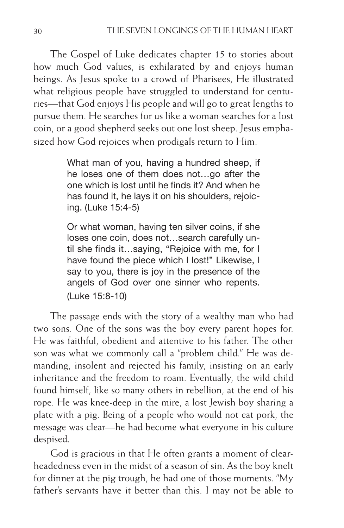The Gospel of Luke dedicates chapter 15 to stories about how much God values, is exhilarated by and enjoys human beings. As Jesus spoke to a crowd of Pharisees, He illustrated what religious people have struggled to understand for centuries—that God enjoys His people and will go to great lengths to pursue them. He searches for us like a woman searches for a lost coin, or a good shepherd seeks out one lost sheep. Jesus emphasized how God rejoices when prodigals return to Him.

> What man of you, having a hundred sheep, if he loses one of them does not…go after the one which is lost until he finds it? And when he has found it, he lays it on his shoulders, rejoicing. (Luke 15:4-5)

> Or what woman, having ten silver coins, if she loses one coin, does not…search carefully until she finds it…saying, "Rejoice with me, for I have found the piece which I lost!" Likewise, I say to you, there is joy in the presence of the angels of God over one sinner who repents. (Luke 15:8-10)

The passage ends with the story of a wealthy man who had two sons. One of the sons was the boy every parent hopes for. He was faithful, obedient and attentive to his father. The other son was what we commonly call a "problem child." He was demanding, insolent and rejected his family, insisting on an early inheritance and the freedom to roam. Eventually, the wild child found himself, like so many others in rebellion, at the end of his rope. He was knee-deep in the mire, a lost Jewish boy sharing a plate with a pig. Being of a people who would not eat pork, the message was clear—he had become what everyone in his culture despised.

God is gracious in that He often grants a moment of clearheadedness even in the midst of a season of sin. As the boy knelt for dinner at the pig trough, he had one of those moments. "My father's servants have it better than this. I may not be able to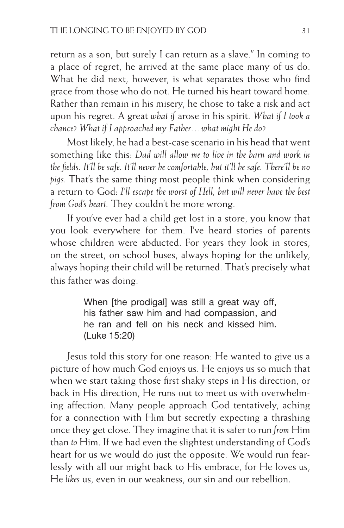return as a son, but surely I can return as a slave." In coming to a place of regret, he arrived at the same place many of us do. What he did next, however, is what separates those who find grace from those who do not. He turned his heart toward home. Rather than remain in his misery, he chose to take a risk and act upon his regret. A great *what if* arose in his spirit. *What if I took a chance? What if I approached my Father…what might He do?*

Most likely, he had a best-case scenario in his head that went something like this: *Dad will allow me to live in the barn and work in the fields. It'll be safe. It'll never be comfortable, but it'll be safe. There'll be no pigs.* That's the same thing most people think when considering a return to God: *I'll escape the worst of Hell, but will never have the best from God's heart.* They couldn't be more wrong.

If you've ever had a child get lost in a store, you know that you look everywhere for them. I've heard stories of parents whose children were abducted. For years they look in stores, on the street, on school buses, always hoping for the unlikely, always hoping their child will be returned. That's precisely what this father was doing.

> When [the prodigal] was still a great way off, his father saw him and had compassion, and he ran and fell on his neck and kissed him. (Luke 15:20)

Jesus told this story for one reason: He wanted to give us a picture of how much God enjoys us. He enjoys us so much that when we start taking those first shaky steps in His direction, or back in His direction, He runs out to meet us with overwhelming affection. Many people approach God tentatively, aching for a connection with Him but secretly expecting a thrashing once they get close. They imagine that it is safer to run *from* Him than *to* Him. If we had even the slightest understanding of God's heart for us we would do just the opposite. We would run fearlessly with all our might back to His embrace, for He loves us, He *likes* us, even in our weakness, our sin and our rebellion.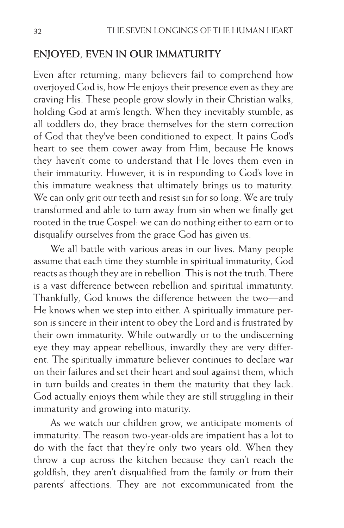## **ENJOYED, EVEN IN OUR IMMATURITY**

Even after returning, many believers fail to comprehend how overjoyed God is, how He enjoys their presence even as they are craving His. These people grow slowly in their Christian walks, holding God at arm's length. When they inevitably stumble, as all toddlers do, they brace themselves for the stern correction of God that they've been conditioned to expect. It pains God's heart to see them cower away from Him, because He knows they haven't come to understand that He loves them even in their immaturity. However, it is in responding to God's love in this immature weakness that ultimately brings us to maturity. We can only grit our teeth and resist sin for so long. We are truly transformed and able to turn away from sin when we finally get rooted in the true Gospel: we can do nothing either to earn or to disqualify ourselves from the grace God has given us.

We all battle with various areas in our lives. Many people assume that each time they stumble in spiritual immaturity, God reacts as though they are in rebellion. This is not the truth. There is a vast difference between rebellion and spiritual immaturity. Thankfully, God knows the difference between the two—and He knows when we step into either. A spiritually immature person is sincere in their intent to obey the Lord and is frustrated by their own immaturity. While outwardly or to the undiscerning eye they may appear rebellious, inwardly they are very different. The spiritually immature believer continues to declare war on their failures and set their heart and soul against them, which in turn builds and creates in them the maturity that they lack. God actually enjoys them while they are still struggling in their immaturity and growing into maturity.

As we watch our children grow, we anticipate moments of immaturity. The reason two-year-olds are impatient has a lot to do with the fact that they're only two years old. When they throw a cup across the kitchen because they can't reach the goldfish, they aren't disqualified from the family or from their parents' affections. They are not excommunicated from the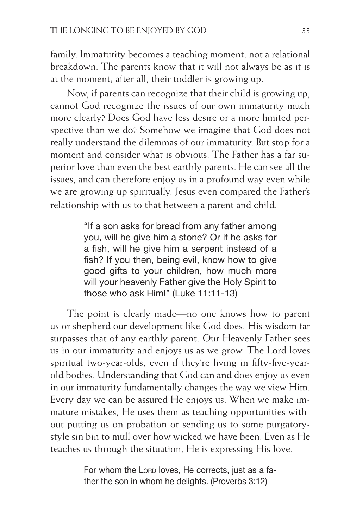family. Immaturity becomes a teaching moment, not a relational breakdown. The parents know that it will not always be as it is at the moment; after all, their toddler is growing up.

Now, if parents can recognize that their child is growing up, cannot God recognize the issues of our own immaturity much more clearly? Does God have less desire or a more limited perspective than we do? Somehow we imagine that God does not really understand the dilemmas of our immaturity. But stop for a moment and consider what is obvious. The Father has a far superior love than even the best earthly parents. He can see all the issues, and can therefore enjoy us in a profound way even while we are growing up spiritually. Jesus even compared the Father's relationship with us to that between a parent and child.

> "If a son asks for bread from any father among you, will he give him a stone? Or if he asks for a fish, will he give him a serpent instead of a fish? If you then, being evil, know how to give good gifts to your children, how much more will your heavenly Father give the Holy Spirit to those who ask Him!" (Luke 11:11-13)

The point is clearly made—no one knows how to parent us or shepherd our development like God does. His wisdom far surpasses that of any earthly parent. Our Heavenly Father sees us in our immaturity and enjoys us as we grow. The Lord loves spiritual two-year-olds, even if they're living in fifty-five-yearold bodies. Understanding that God can and does enjoy us even in our immaturity fundamentally changes the way we view Him. Every day we can be assured He enjoys us. When we make immature mistakes, He uses them as teaching opportunities without putting us on probation or sending us to some purgatorystyle sin bin to mull over how wicked we have been. Even as He teaches us through the situation, He is expressing His love.

> For whom the LORD loves, He corrects, just as a father the son in whom he delights. (Proverbs 3:12)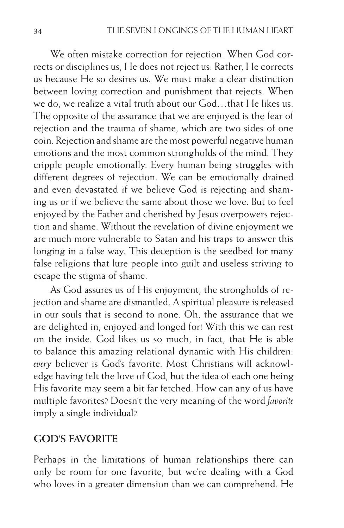We often mistake correction for rejection. When God corrects or disciplines us, He does not reject us. Rather, He corrects us because He so desires us. We must make a clear distinction between loving correction and punishment that rejects. When we do, we realize a vital truth about our God…that He likes us. The opposite of the assurance that we are enjoyed is the fear of rejection and the trauma of shame, which are two sides of one coin. Rejection and shame are the most powerful negative human emotions and the most common strongholds of the mind. They cripple people emotionally. Every human being struggles with different degrees of rejection. We can be emotionally drained and even devastated if we believe God is rejecting and shaming us or if we believe the same about those we love. But to feel enjoyed by the Father and cherished by Jesus overpowers rejection and shame. Without the revelation of divine enjoyment we are much more vulnerable to Satan and his traps to answer this longing in a false way. This deception is the seedbed for many false religions that lure people into guilt and useless striving to escape the stigma of shame.

As God assures us of His enjoyment, the strongholds of rejection and shame are dismantled. A spiritual pleasure is released in our souls that is second to none. Oh, the assurance that we are delighted in, enjoyed and longed for! With this we can rest on the inside. God likes us so much, in fact, that He is able to balance this amazing relational dynamic with His children: *every* believer is God's favorite. Most Christians will acknowledge having felt the love of God, but the idea of each one being His favorite may seem a bit far fetched. How can any of us have multiple favorites? Doesn't the very meaning of the word *favorite* imply a single individual?

## **GOD'S FAVORITE**

Perhaps in the limitations of human relationships there can only be room for one favorite, but we're dealing with a God who loves in a greater dimension than we can comprehend. He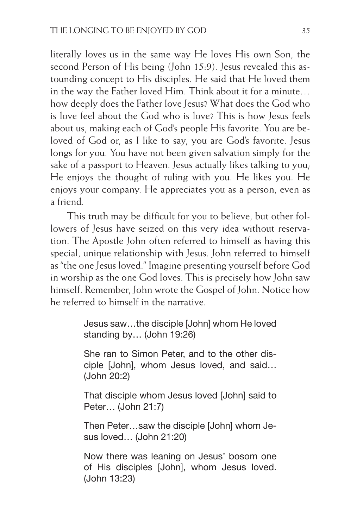literally loves us in the same way He loves His own Son, the second Person of His being (John 15:9). Jesus revealed this astounding concept to His disciples. He said that He loved them in the way the Father loved Him. Think about it for a minute… how deeply does the Father love Jesus? What does the God who is love feel about the God who is love? This is how Jesus feels about us, making each of God's people His favorite. You are beloved of God or, as I like to say, you are God's favorite. Jesus longs for you. You have not been given salvation simply for the sake of a passport to Heaven. Jesus actually likes talking to you; He enjoys the thought of ruling with you. He likes you. He enjoys your company. He appreciates you as a person, even as a friend.

This truth may be difficult for you to believe, but other followers of Jesus have seized on this very idea without reservation. The Apostle John often referred to himself as having this special, unique relationship with Jesus. John referred to himself as "the one Jesus loved." Imagine presenting yourself before God in worship as the one God loves. This is precisely how John saw himself. Remember, John wrote the Gospel of John. Notice how he referred to himself in the narrative.

> Jesus saw…the disciple [John] whom He loved standing by… (John 19:26)

> She ran to Simon Peter, and to the other disciple [John], whom Jesus loved, and said… (John 20:2)

> That disciple whom Jesus loved [John] said to Peter… (John 21:7)

> Then Peter…saw the disciple [John] whom Jesus loved… (John 21:20)

> Now there was leaning on Jesus' bosom one of His disciples [John], whom Jesus loved. (John 13:23)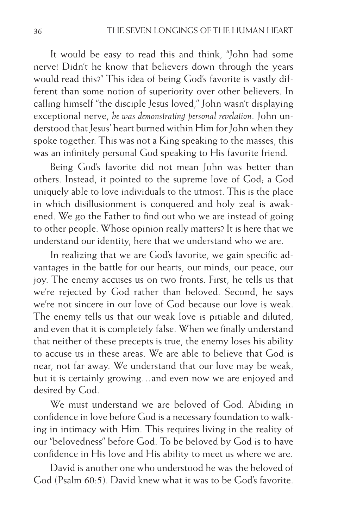It would be easy to read this and think, "John had some nerve! Didn't he know that believers down through the years would read this?" This idea of being God's favorite is vastly different than some notion of superiority over other believers. In calling himself "the disciple Jesus loved." John wasn't displaying exceptional nerve, *he was demonstrating personal revelation*. John understood that Jesus' heart burned within Him for John when they spoke together. This was not a King speaking to the masses, this was an infinitely personal God speaking to His favorite friend.

Being God's favorite did not mean John was better than others. Instead, it pointed to the supreme love of God; a God uniquely able to love individuals to the utmost. This is the place in which disillusionment is conquered and holy zeal is awakened. We go the Father to find out who we are instead of going to other people. Whose opinion really matters? It is here that we understand our identity, here that we understand who we are.

In realizing that we are God's favorite, we gain specific advantages in the battle for our hearts, our minds, our peace, our joy. The enemy accuses us on two fronts. First, he tells us that we're rejected by God rather than beloved. Second, he says we're not sincere in our love of God because our love is weak. The enemy tells us that our weak love is pitiable and diluted, and even that it is completely false. When we finally understand that neither of these precepts is true, the enemy loses his ability to accuse us in these areas. We are able to believe that God is near, not far away. We understand that our love may be weak, but it is certainly growing…and even now we are enjoyed and desired by God.

We must understand we are beloved of God. Abiding in confidence in love before God is a necessary foundation to walking in intimacy with Him. This requires living in the reality of our "belovedness" before God. To be beloved by God is to have confidence in His love and His ability to meet us where we are.

David is another one who understood he was the beloved of God (Psalm 60:5). David knew what it was to be God's favorite.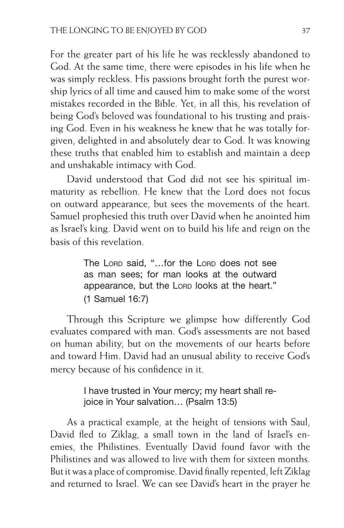For the greater part of his life he was recklessly abandoned to God. At the same time, there were episodes in his life when he was simply reckless. His passions brought forth the purest worship lyrics of all time and caused him to make some of the worst mistakes recorded in the Bible. Yet, in all this, his revelation of being God's beloved was foundational to his trusting and praising God. Even in his weakness he knew that he was totally forgiven, delighted in and absolutely dear to God. It was knowing these truths that enabled him to establish and maintain a deep and unshakable intimacy with God.

David understood that God did not see his spiritual immaturity as rebellion. He knew that the Lord does not focus on outward appearance, but sees the movements of the heart. Samuel prophesied this truth over David when he anointed him as Israel's king. David went on to build his life and reign on the basis of this revelation.

> The LORD said, "…for the LORD does not see as man sees; for man looks at the outward appearance, but the LORD looks at the heart." (1 Samuel 16:7)

Through this Scripture we glimpse how differently God evaluates compared with man. God's assessments are not based on human ability, but on the movements of our hearts before and toward Him. David had an unusual ability to receive God's mercy because of his confidence in it.

> I have trusted in Your mercy; my heart shall rejoice in Your salvation… (Psalm 13:5)

As a practical example, at the height of tensions with Saul, David fled to Ziklag, a small town in the land of Israel's enemies, the Philistines. Eventually David found favor with the Philistines and was allowed to live with them for sixteen months. But it was a place of compromise. David finally repented, left Ziklag and returned to Israel. We can see David's heart in the prayer he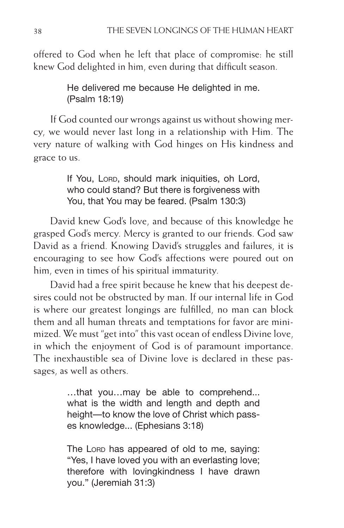offered to God when he left that place of compromise: he still knew God delighted in him, even during that difficult season.

> He delivered me because He delighted in me. (Psalm 18:19)

If God counted our wrongs against us without showing mercy, we would never last long in a relationship with Him. The very nature of walking with God hinges on His kindness and grace to us.

> If You, LORD, should mark iniquities, oh Lord, who could stand? But there is forgiveness with You, that You may be feared. (Psalm 130:3)

David knew God's love, and because of this knowledge he grasped God's mercy. Mercy is granted to our friends. God saw David as a friend. Knowing David's struggles and failures, it is encouraging to see how God's affections were poured out on him, even in times of his spiritual immaturity.

David had a free spirit because he knew that his deepest desires could not be obstructed by man. If our internal life in God is where our greatest longings are fulfilled, no man can block them and all human threats and temptations for favor are minimized. We must "get into" this vast ocean of endless Divine love, in which the enjoyment of God is of paramount importance. The inexhaustible sea of Divine love is declared in these passages, as well as others.

> …that you…may be able to comprehend... what is the width and length and depth and height—to know the love of Christ which passes knowledge... (Ephesians 3:18)

> The LORD has appeared of old to me, saying: "Yes, I have loved you with an everlasting love; therefore with lovingkindness I have drawn you." (Jeremiah 31:3)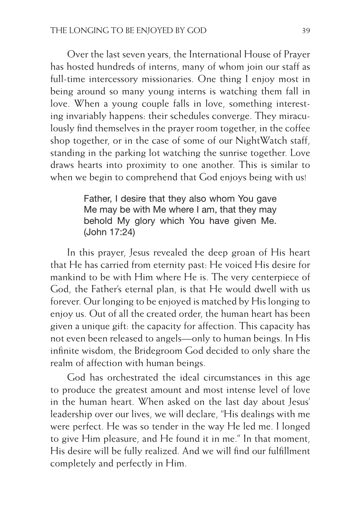Over the last seven years, the International House of Prayer has hosted hundreds of interns, many of whom join our staff as full-time intercessory missionaries. One thing I enjoy most in being around so many young interns is watching them fall in love. When a young couple falls in love, something interesting invariably happens: their schedules converge. They miraculously find themselves in the prayer room together, in the coffee shop together, or in the case of some of our NightWatch staff, standing in the parking lot watching the sunrise together. Love draws hearts into proximity to one another. This is similar to when we begin to comprehend that God enjoys being with us!

> Father, I desire that they also whom You gave Me may be with Me where I am, that they may behold My glory which You have given Me. (John 17:24)

In this prayer, Jesus revealed the deep groan of His heart that He has carried from eternity past: He voiced His desire for mankind to be with Him where He is. The very centerpiece of God, the Father's eternal plan, is that He would dwell with us forever. Our longing to be enjoyed is matched by His longing to enjoy us. Out of all the created order, the human heart has been given a unique gift: the capacity for affection. This capacity has not even been released to angels—only to human beings. In His infinite wisdom, the Bridegroom God decided to only share the realm of affection with human beings.

God has orchestrated the ideal circumstances in this age to produce the greatest amount and most intense level of love in the human heart. When asked on the last day about Jesus' leadership over our lives, we will declare, "His dealings with me were perfect. He was so tender in the way He led me. I longed to give Him pleasure, and He found it in me." In that moment, His desire will be fully realized. And we will find our fulfillment completely and perfectly in Him.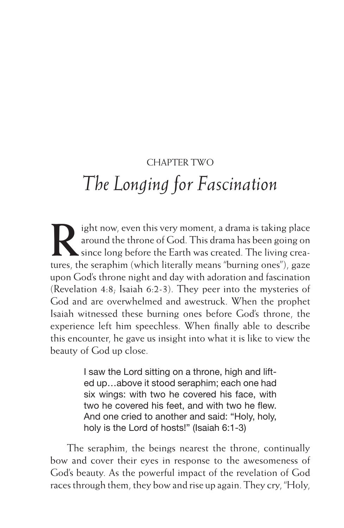## CHAPTER TWO

# *The Longing for Fascination*

**R**ight now, even this very moment, a drama is taking place<br>around the throne of God. This drama has been going on<br>since long before the Earth was created. The living crea-<br>turn the complim (which literally means "humine a around the throne of God. This drama has been going on since long before the Earth was created. The living creatures, the seraphim (which literally means "burning ones"), gaze upon God's throne night and day with adoration and fascination (Revelation 4:8; Isaiah 6:2-3). They peer into the mysteries of God and are overwhelmed and awestruck. When the prophet Isaiah witnessed these burning ones before God's throne, the experience left him speechless. When finally able to describe this encounter, he gave us insight into what it is like to view the beauty of God up close.

> I saw the Lord sitting on a throne, high and lifted up…above it stood seraphim; each one had six wings: with two he covered his face, with two he covered his feet, and with two he flew. And one cried to another and said: "Holy, holy, holy is the Lord of hosts!" (Isaiah 6:1-3)

The seraphim, the beings nearest the throne, continually bow and cover their eyes in response to the awesomeness of God's beauty. As the powerful impact of the revelation of God races through them, they bow and rise up again. They cry, "Holy,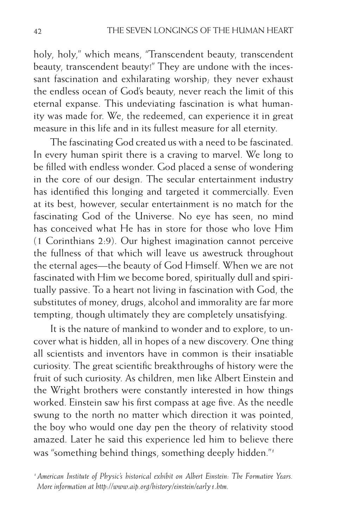holy, holy," which means, "Transcendent beauty, transcendent beauty, transcendent beauty!" They are undone with the incessant fascination and exhilarating worship; they never exhaust the endless ocean of God's beauty, never reach the limit of this eternal expanse. This undeviating fascination is what humanity was made for. We, the redeemed, can experience it in great measure in this life and in its fullest measure for all eternity.

The fascinating God created us with a need to be fascinated. In every human spirit there is a craving to marvel. We long to be filled with endless wonder. God placed a sense of wondering in the core of our design. The secular entertainment industry has identified this longing and targeted it commercially. Even at its best, however, secular entertainment is no match for the fascinating God of the Universe. No eye has seen, no mind has conceived what He has in store for those who love Him (1 Corinthians 2:9). Our highest imagination cannot perceive the fullness of that which will leave us awestruck throughout the eternal ages—the beauty of God Himself. When we are not fascinated with Him we become bored, spiritually dull and spiritually passive. To a heart not living in fascination with God, the substitutes of money, drugs, alcohol and immorality are far more tempting, though ultimately they are completely unsatisfying.

It is the nature of mankind to wonder and to explore, to uncover what is hidden, all in hopes of a new discovery. One thing all scientists and inventors have in common is their insatiable curiosity. The great scientific breakthroughs of history were the fruit of such curiosity. As children, men like Albert Einstein and the Wright brothers were constantly interested in how things worked. Einstein saw his first compass at age five. As the needle swung to the north no matter which direction it was pointed, the boy who would one day pen the theory of relativity stood amazed. Later he said this experience led him to believe there was "something behind things, something deeply hidden."*<sup>1</sup>*

*1 American Institute of Physic's historical exhibit on Albert Einstein: The Formative Years. More information at http://www.aip.org/history/einstein/early1.htm.*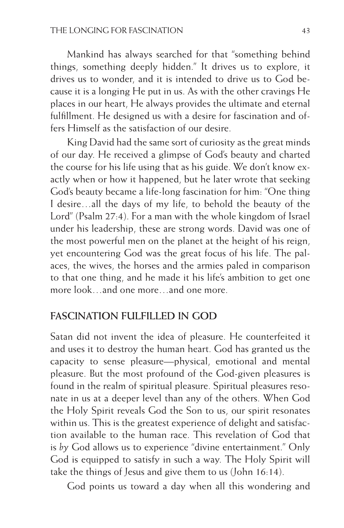Mankind has always searched for that "something behind things, something deeply hidden." It drives us to explore, it drives us to wonder, and it is intended to drive us to God because it is a longing He put in us. As with the other cravings He places in our heart, He always provides the ultimate and eternal fulfillment. He designed us with a desire for fascination and offers Himself as the satisfaction of our desire.

King David had the same sort of curiosity as the great minds of our day. He received a glimpse of God's beauty and charted the course for his life using that as his guide. We don't know exactly when or how it happened, but he later wrote that seeking God's beauty became a life-long fascination for him: "One thing I desire…all the days of my life, to behold the beauty of the Lord" (Psalm 27:4). For a man with the whole kingdom of Israel under his leadership, these are strong words. David was one of the most powerful men on the planet at the height of his reign, yet encountering God was the great focus of his life. The palaces, the wives, the horses and the armies paled in comparison to that one thing, and he made it his life's ambition to get one more look …and one more …and one more.

#### **FASCINATION FULFILLED IN GOD**

Satan did not invent the idea of pleasure. He counterfeited it and uses it to destroy the human heart. God has granted us the capacity to sense pleasure—physical, emotional and mental pleasure. But the most profound of the God-given pleasures is found in the realm of spiritual pleasure. Spiritual pleasures resonate in us at a deeper level than any of the others. When God the Holy Spirit reveals God the Son to us, our spirit resonates within us. This is the greatest experience of delight and satisfaction available to the human race. This revelation of God that is *by* God allows us to experience "divine entertainment." Only God is equipped to satisfy in such a way. The Holy Spirit will take the things of Jesus and give them to us (John 16:14).

God points us toward a day when all this wondering and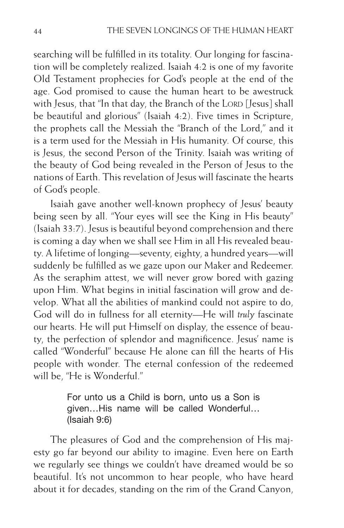searching will be fulfilled in its totality. Our longing for fascination will be completely realized. Isaiah 4:2 is one of my favorite Old Testament prophecies for God's people at the end of the age. God promised to cause the human heart to be awestruck with Jesus, that "In that day, the Branch of the LORD [Jesus] shall be beautiful and glorious" (Isaiah 4:2). Five times in Scripture, the prophets call the Messiah the "Branch of the Lord," and it is a term used for the Messiah in His humanity. Of course, this is Jesus, the second Person of the Trinity. Isaiah was writing of the beauty of God being revealed in the Person of Jesus to the nations of Earth. This revelation of Jesus will fascinate the hearts of God's people.

Isaiah gave another well-known prophecy of Jesus' beauty being seen by all. "Your eyes will see the King in His beauty" (Isaiah 33:7). Jesus is beautiful beyond comprehension and there is coming a day when we shall see Him in all His revealed beauty. A lifetime of longing—seventy, eighty, a hundred years—will suddenly be fulfilled as we gaze upon our Maker and Redeemer. As the seraphim attest, we will never grow bored with gazing upon Him. What begins in initial fascination will grow and develop. What all the abilities of mankind could not aspire to do, God will do in fullness for all eternity—He will *truly* fascinate our hearts. He will put Himself on display, the essence of beauty, the perfection of splendor and magnificence. Jesus' name is called "Wonderful" because He alone can fill the hearts of His people with wonder. The eternal confession of the redeemed will be, "He is Wonderful."

> For unto us a Child is born, unto us a Son is given…His name will be called Wonderful… (Isaiah 9:6)

The pleasures of God and the comprehension of His majesty go far beyond our ability to imagine. Even here on Earth we regularly see things we couldn't have dreamed would be so beautiful. It's not uncommon to hear people, who have heard about it for decades, standing on the rim of the Grand Canyon,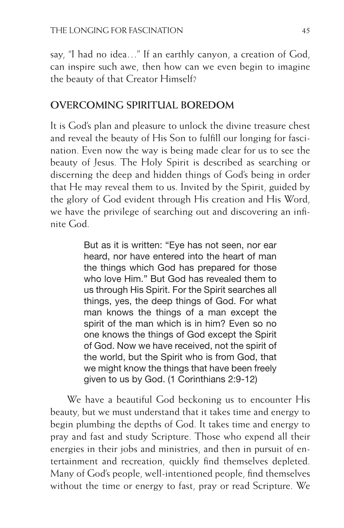say, "I had no idea…" If an earthly canyon, a creation of God, can inspire such awe, then how can we even begin to imagine the beauty of that Creator Himself?

#### **OVERCOMING SPIRITUAL BOREDOM**

It is God's plan and pleasure to unlock the divine treasure chest and reveal the beauty of His Son to fulfill our longing for fascination. Even now the way is being made clear for us to see the beauty of Jesus. The Holy Spirit is described as searching or discerning the deep and hidden things of God's being in order that He may reveal them to us. Invited by the Spirit, guided by the glory of God evident through His creation and His Word, we have the privilege of searching out and discovering an infinite God.

> But as it is written: "Eye has not seen, nor ear heard, nor have entered into the heart of man the things which God has prepared for those who love Him." But God has revealed them to us through His Spirit. For the Spirit searches all things, yes, the deep things of God. For what man knows the things of a man except the spirit of the man which is in him? Even so no one knows the things of God except the Spirit of God. Now we have received, not the spirit of the world, but the Spirit who is from God, that we might know the things that have been freely given to us by God. (1 Corinthians 2:9-12)

We have a beautiful God beckoning us to encounter His beauty, but we must understand that it takes time and energy to begin plumbing the depths of God. It takes time and energy to pray and fast and study Scripture. Those who expend all their energies in their jobs and ministries, and then in pursuit of entertainment and recreation, quickly find themselves depleted. Many of God's people, well-intentioned people, find themselves without the time or energy to fast, pray or read Scripture. We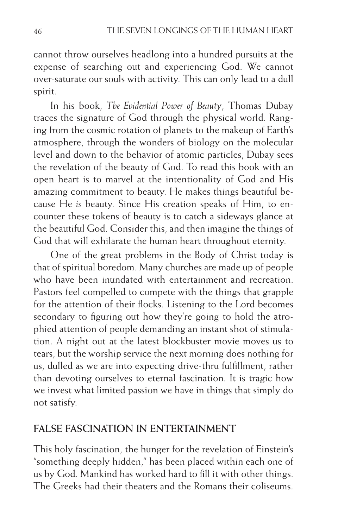cannot throw ourselves headlong into a hundred pursuits at the expense of searching out and experiencing God. We cannot over-saturate our souls with activity. This can only lead to a dull spirit.

In his book, *The Evidential Power of Beauty*, Thomas Dubay traces the signature of God through the physical world. Ranging from the cosmic rotation of planets to the makeup of Earth's atmosphere, through the wonders of biology on the molecular level and down to the behavior of atomic particles, Dubay sees the revelation of the beauty of God. To read this book with an open heart is to marvel at the intentionality of God and His amazing commitment to beauty. He makes things beautiful because He *is* beauty. Since His creation speaks of Him, to encounter these tokens of beauty is to catch a sideways glance at the beautiful God. Consider this, and then imagine the things of God that will exhilarate the human heart throughout eternity.

One of the great problems in the Body of Christ today is that of spiritual boredom. Many churches are made up of people who have been inundated with entertainment and recreation. Pastors feel compelled to compete with the things that grapple for the attention of their flocks. Listening to the Lord becomes secondary to figuring out how they're going to hold the atrophied attention of people demanding an instant shot of stimulation. A night out at the latest blockbuster movie moves us to tears, but the worship service the next morning does nothing for us, dulled as we are into expecting drive-thru fulfillment, rather than devoting ourselves to eternal fascination. It is tragic how we invest what limited passion we have in things that simply do not satisfy.

## **FALSE FASCINATION IN ENTERTAINMENT**

This holy fascination, the hunger for the revelation of Einstein's "something deeply hidden," has been placed within each one of us by God. Mankind has worked hard to fill it with other things. The Greeks had their theaters and the Romans their coliseums.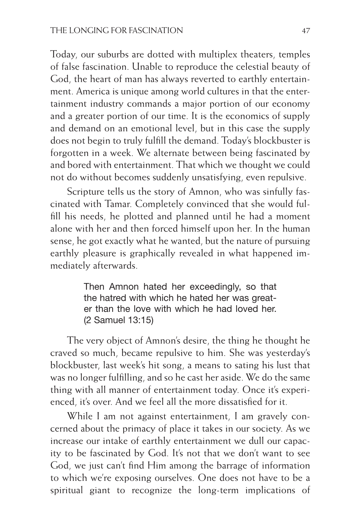#### THE LONGING FOR FASCINATION

Today, our suburbs are dotted with multiplex theaters, temples of false fascination. Unable to reproduce the celestial beauty of God, the heart of man has always reverted to earthly entertainment. America is unique among world cultures in that the entertainment industry commands a major portion of our economy and a greater portion of our time. It is the economics of supply and demand on an emotional level, but in this case the supply does not begin to truly fulfill the demand. Today's blockbuster is forgotten in a week. We alternate between being fascinated by and bored with entertainment. That which we thought we could not do without becomes suddenly unsatisfying, even repulsive.

Scripture tells us the story of Amnon, who was sinfully fascinated with Tamar. Completely convinced that she would fulfill his needs, he plotted and planned until he had a moment alone with her and then forced himself upon her. In the human sense, he got exactly what he wanted, but the nature of pursuing earthly pleasure is graphically revealed in what happened immediately afterwards.

> Then Amnon hated her exceedingly, so that the hatred with which he hated her was greater than the love with which he had loved her. (2 Samuel 13:15)

The very object of Amnon's desire, the thing he thought he craved so much, became repulsive to him. She was yesterday's blockbuster, last week's hit song, a means to sating his lust that was no longer fulfilling, and so he cast her aside. We do the same thing with all manner of entertainment today. Once it's experienced, it's over. And we feel all the more dissatisfied for it.

While I am not against entertainment, I am gravely concerned about the primacy of place it takes in our society. As we increase our intake of earthly entertainment we dull our capacity to be fascinated by God. It's not that we don't want to see God, we just can't find Him among the barrage of information to which we're exposing ourselves. One does not have to be a spiritual giant to recognize the long-term implications of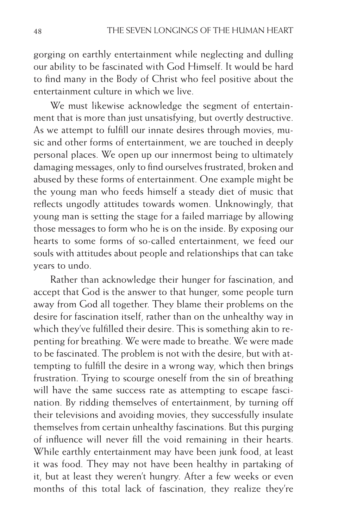gorging on earthly entertainment while neglecting and dulling our ability to be fascinated with God Himself. It would be hard to find many in the Body of Christ who feel positive about the entertainment culture in which we live.

We must likewise acknowledge the segment of entertainment that is more than just unsatisfying, but overtly destructive. As we attempt to fulfill our innate desires through movies, music and other forms of entertainment, we are touched in deeply personal places. We open up our innermost being to ultimately damaging messages, only to find ourselves frustrated, broken and abused by these forms of entertainment. One example might be the young man who feeds himself a steady diet of music that reflects ungodly attitudes towards women. Unknowingly, that young man is setting the stage for a failed marriage by allowing those messages to form who he is on the inside. By exposing our hearts to some forms of so-called entertainment, we feed our souls with attitudes about people and relationships that can take years to undo.

Rather than acknowledge their hunger for fascination, and accept that God is the answer to that hunger, some people turn away from God all together. They blame their problems on the desire for fascination itself, rather than on the unhealthy way in which they've fulfilled their desire. This is something akin to repenting for breathing. We were made to breathe. We were made to be fascinated. The problem is not with the desire, but with attempting to fulfill the desire in a wrong way, which then brings frustration. Trying to scourge oneself from the sin of breathing will have the same success rate as attempting to escape fascination. By ridding themselves of entertainment, by turning off their televisions and avoiding movies, they successfully insulate themselves from certain unhealthy fascinations. But this purging of influence will never fill the void remaining in their hearts. While earthly entertainment may have been junk food, at least it was food. They may not have been healthy in partaking of it, but at least they weren't hungry. After a few weeks or even months of this total lack of fascination, they realize they're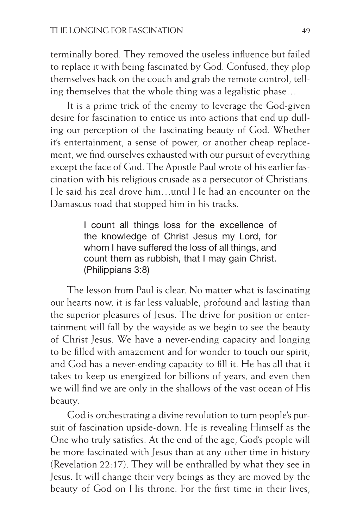terminally bored. They removed the useless influence but failed to replace it with being fascinated by God. Confused, they plop themselves back on the couch and grab the remote control, telling themselves that the whole thing was a legalistic phase…

It is a prime trick of the enemy to leverage the God-given desire for fascination to entice us into actions that end up dulling our perception of the fascinating beauty of God. Whether it's entertainment, a sense of power, or another cheap replacement, we find ourselves exhausted with our pursuit of everything except the face of God. The Apostle Paul wrote of his earlier fascination with his religious crusade as a persecutor of Christians. He said his zeal drove him…until He had an encounter on the Damascus road that stopped him in his tracks.

> I count all things loss for the excellence of the knowledge of Christ Jesus my Lord, for whom I have suffered the loss of all things, and count them as rubbish, that I may gain Christ. (Philippians 3:8)

The lesson from Paul is clear. No matter what is fascinating our hearts now, it is far less valuable, profound and lasting than the superior pleasures of Jesus. The drive for position or entertainment will fall by the wayside as we begin to see the beauty of Christ Jesus. We have a never-ending capacity and longing to be filled with amazement and for wonder to touch our spirit; and God has a never-ending capacity to fill it. He has all that it takes to keep us energized for billions of years, and even then we will find we are only in the shallows of the vast ocean of His beauty.

God is orchestrating a divine revolution to turn people's pursuit of fascination upside-down. He is revealing Himself as the One who truly satisfies. At the end of the age, God's people will be more fascinated with Jesus than at any other time in history (Revelation 22:17). They will be enthralled by what they see in Jesus. It will change their very beings as they are moved by the beauty of God on His throne. For the first time in their lives,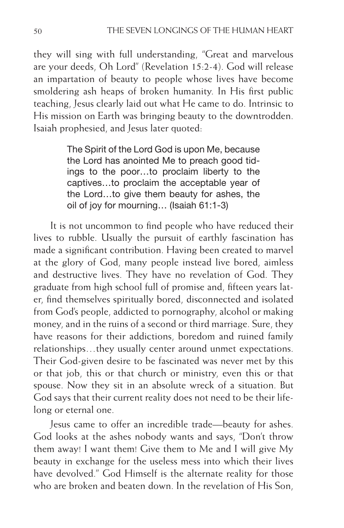they will sing with full understanding, "Great and marvelous are your deeds, Oh Lord" (Revelation 15:2-4). God will release an impartation of beauty to people whose lives have become smoldering ash heaps of broken humanity. In His first public teaching, Jesus clearly laid out what He came to do. Intrinsic to His mission on Earth was bringing beauty to the downtrodden. Isaiah prophesied, and Jesus later quoted:

> The Spirit of the Lord God is upon Me, because the Lord has anointed Me to preach good tidings to the poor…to proclaim liberty to the captives…to proclaim the acceptable year of the Lord…to give them beauty for ashes, the oil of joy for mourning… (Isaiah 61:1-3)

It is not uncommon to find people who have reduced their lives to rubble. Usually the pursuit of earthly fascination has made a significant contribution. Having been created to marvel at the glory of God, many people instead live bored, aimless and destructive lives. They have no revelation of God. They graduate from high school full of promise and, fifteen years later, find themselves spiritually bored, disconnected and isolated from God's people, addicted to pornography, alcohol or making money, and in the ruins of a second or third marriage. Sure, they have reasons for their addictions, boredom and ruined family relationships…they usually center around unmet expectations. Their God-given desire to be fascinated was never met by this or that job, this or that church or ministry, even this or that spouse. Now they sit in an absolute wreck of a situation. But God says that their current reality does not need to be their lifelong or eternal one.

Jesus came to offer an incredible trade—beauty for ashes. God looks at the ashes nobody wants and says, "Don't throw them away! I want them! Give them to Me and I will give My beauty in exchange for the useless mess into which their lives have devolved." God Himself is the alternate reality for those who are broken and beaten down. In the revelation of His Son,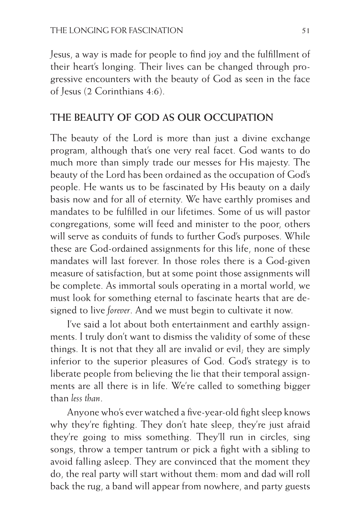Jesus, a way is made for people to find joy and the fulfillment of their heart's longing. Their lives can be changed through progressive encounters with the beauty of God as seen in the face of Jesus (2 Corinthians 4:6).

## **THE BEAUTY OF GOD AS OUR OCCUPATION**

The beauty of the Lord is more than just a divine exchange program, although that's one very real facet. God wants to do much more than simply trade our messes for His majesty. The beauty of the Lord has been ordained as the occupation of God's people. He wants us to be fascinated by His beauty on a daily basis now and for all of eternity. We have earthly promises and mandates to be fulfilled in our lifetimes. Some of us will pastor congregations, some will feed and minister to the poor, others will serve as conduits of funds to further God's purposes. While these are God-ordained assignments for this life, none of these mandates will last forever. In those roles there is a God-given measure of satisfaction, but at some point those assignments will be complete. As immortal souls operating in a mortal world, we must look for something eternal to fascinate hearts that are designed to live *forever*. And we must begin to cultivate it now.

I've said a lot about both entertainment and earthly assignments. I truly don't want to dismiss the validity of some of these things. It is not that they all are invalid or evil; they are simply inferior to the superior pleasures of God. God's strategy is to liberate people from believing the lie that their temporal assignments are all there is in life. We're called to something bigger than *less than*.

Anyone who's ever watched a five-year-old fight sleep knows why they're fighting. They don't hate sleep, they're just afraid they're going to miss something. They'll run in circles, sing songs, throw a temper tantrum or pick a fight with a sibling to avoid falling asleep. They are convinced that the moment they do, the real party will start without them: mom and dad will roll back the rug, a band will appear from nowhere, and party guests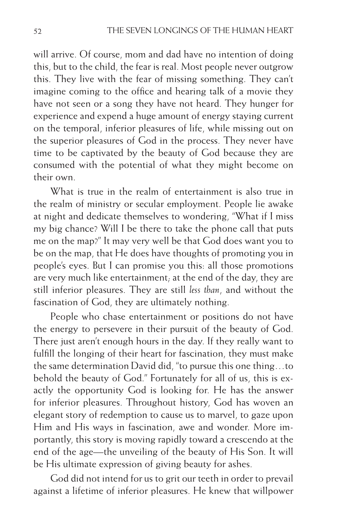will arrive. Of course, mom and dad have no intention of doing this, but to the child, the fear is real. Most people never outgrow this. They live with the fear of missing something. They can't imagine coming to the office and hearing talk of a movie they have not seen or a song they have not heard. They hunger for experience and expend a huge amount of energy staying current on the temporal, inferior pleasures of life, while missing out on the superior pleasures of God in the process. They never have time to be captivated by the beauty of God because they are consumed with the potential of what they might become on their own.

What is true in the realm of entertainment is also true in the realm of ministry or secular employment. People lie awake at night and dedicate themselves to wondering, "What if I miss my big chance? Will I be there to take the phone call that puts me on the map?" It may very well be that God does want you to be on the map, that He does have thoughts of promoting you in people's eyes. But I can promise you this: all those promotions are very much like entertainment; at the end of the day, they are still inferior pleasures. They are still *less than*, and without the fascination of God, they are ultimately nothing.

People who chase entertainment or positions do not have the energy to persevere in their pursuit of the beauty of God. There just aren't enough hours in the day. If they really want to fulfill the longing of their heart for fascination, they must make the same determination David did, "to pursue this one thing…to behold the beauty of God." Fortunately for all of us, this is exactly the opportunity God is looking for. He has the answer for inferior pleasures. Throughout history, God has woven an elegant story of redemption to cause us to marvel, to gaze upon Him and His ways in fascination, awe and wonder. More importantly, this story is moving rapidly toward a crescendo at the end of the age—the unveiling of the beauty of His Son. It will be His ultimate expression of giving beauty for ashes.

God did not intend for us to grit our teeth in order to prevail against a lifetime of inferior pleasures. He knew that willpower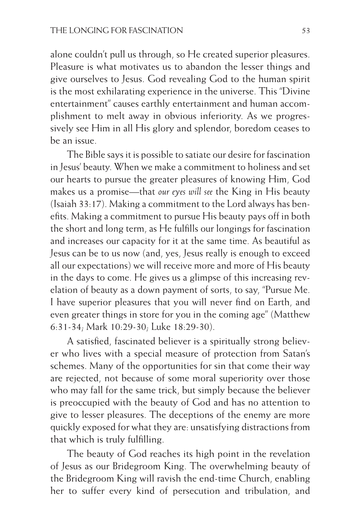alone couldn't pull us through, so He created superior pleasures. Pleasure is what motivates us to abandon the lesser things and give ourselves to Jesus. God revealing God to the human spirit is the most exhilarating experience in the universe. This "Divine entertainment" causes earthly entertainment and human accomplishment to melt away in obvious inferiority. As we progressively see Him in all His glory and splendor, boredom ceases to be an issue.

The Bible says it is possible to satiate our desire for fascination in Jesus' beauty. When we make a commitment to holiness and set our hearts to pursue the greater pleasures of knowing Him, God makes us a promise—that *our eyes will see* the King in His beauty (Isaiah 33:17). Making a commitment to the Lord always has benefits. Making a commitment to pursue His beauty pays off in both the short and long term, as He fulfills our longings for fascination and increases our capacity for it at the same time. As beautiful as Jesus can be to us now (and, yes, Jesus really is enough to exceed all our expectations) we will receive more and more of His beauty in the days to come. He gives us a glimpse of this increasing revelation of beauty as a down payment of sorts, to say, "Pursue Me. I have superior pleasures that you will never find on Earth, and even greater things in store for you in the coming age" (Matthew 6:31-34; Mark 10:29-30; Luke 18:29-30).

A satisfied, fascinated believer is a spiritually strong believer who lives with a special measure of protection from Satan's schemes. Many of the opportunities for sin that come their way are rejected, not because of some moral superiority over those who may fall for the same trick, but simply because the believer is preoccupied with the beauty of God and has no attention to give to lesser pleasures. The deceptions of the enemy are more quickly exposed for what they are: unsatisfying distractions from that which is truly fulfilling.

The beauty of God reaches its high point in the revelation of Jesus as our Bridegroom King. The overwhelming beauty of the Bridegroom King will ravish the end-time Church, enabling her to suffer every kind of persecution and tribulation, and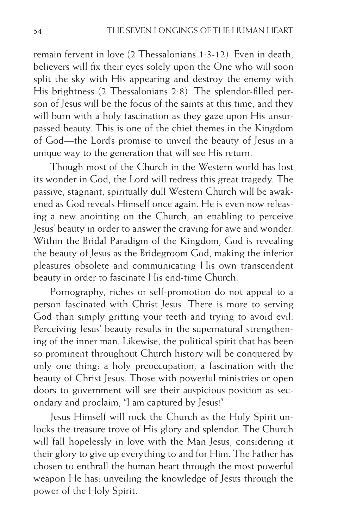remain fervent in love (2 Thessalonians 1:3-12). Even in death, believers will fix their eyes solely upon the One who will soon split the sky with His appearing and destroy the enemy with His brightness (2 Thessalonians 2:8). The splendor-filled person of Jesus will be the focus of the saints at this time, and they will burn with a holy fascination as they gaze upon His unsurpassed beauty. This is one of the chief themes in the Kingdom of God—the Lord's promise to unveil the beauty of Jesus in a unique way to the generation that will see His return.

Though most of the Church in the Western world has lost its wonder in God, the Lord will redress this great tragedy. The passive, stagnant, spiritually dull Western Church will be awakened as God reveals Himself once again. He is even now releasing a new anointing on the Church, an enabling to perceive Jesus' beauty in order to answer the craving for awe and wonder. Within the Bridal Paradigm of the Kingdom, God is revealing the beauty of Jesus as the Bridegroom God, making the inferior pleasures obsolete and communicating His own transcendent beauty in order to fascinate His end-time Church.

Pornography, riches or self-promotion do not appeal to a person fascinated with Christ Jesus. There is more to serving God than simply gritting your teeth and trying to avoid evil. Perceiving Jesus' beauty results in the supernatural strengthening of the inner man. Likewise, the political spirit that has been so prominent throughout Church history will be conquered by only one thing: a holy preoccupation, a fascination with the beauty of Christ Jesus. Those with powerful ministries or open doors to government will see their auspicious position as secondary and proclaim, "I am captured by Jesus!"

Jesus Himself will rock the Church as the Holy Spirit unlocks the treasure trove of His glory and splendor. The Church will fall hopelessly in love with the Man Jesus, considering it their glory to give up everything to and for Him. The Father has chosen to enthrall the human heart through the most powerful weapon He has: unveiling the knowledge of Jesus through the power of the Holy Spirit.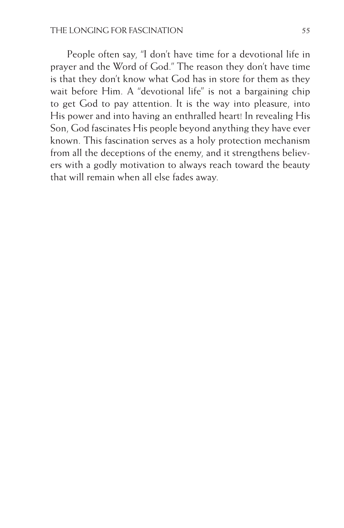People often say, "I don't have time for a devotional life in prayer and the Word of God." The reason they don't have time is that they don't know what God has in store for them as they wait before Him. A "devotional life" is not a bargaining chip to get God to pay attention. It is the way into pleasure, into His power and into having an enthralled heart! In revealing His Son, God fascinates His people beyond anything they have ever known. This fascination serves as a holy protection mechanism from all the deceptions of the enemy, and it strengthens believers with a godly motivation to always reach toward the beauty that will remain when all else fades away.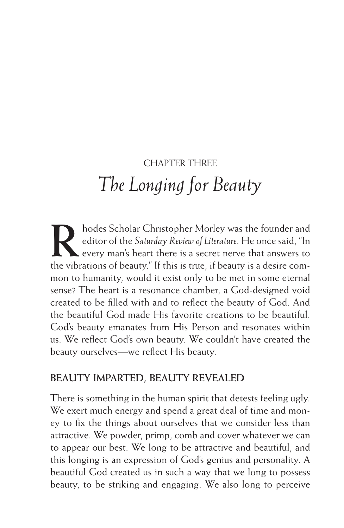## CHAPTER THREE *The Longing for Beauty*

Rhodes Scholar Christopher Morley was the founder and editor of the *Saturday Review of Literature*. He once said, "In every man's heart there is a secret nerve that answers to editor of the *Saturday Review of Literature*. He once said, "In  $\blacktriangle$  every man's heart there is a secret nerve that answers to the vibrations of beauty." If this is true, if beauty is a desire common to humanity, would it exist only to be met in some eternal sense? The heart is a resonance chamber, a God-designed void created to be filled with and to reflect the beauty of God. And the beautiful God made His favorite creations to be beautiful. God's beauty emanates from His Person and resonates within us. We reflect God's own beauty. We couldn't have created the beauty ourselves—we reflect His beauty.

## **BEAUTY IMPARTED, BEAUTY REVEALED**

There is something in the human spirit that detests feeling ugly. We exert much energy and spend a great deal of time and money to fix the things about ourselves that we consider less than attractive. We powder, primp, comb and cover whatever we can to appear our best. We long to be attractive and beautiful, and this longing is an expression of God's genius and personality. A beautiful God created us in such a way that we long to possess beauty, to be striking and engaging. We also long to perceive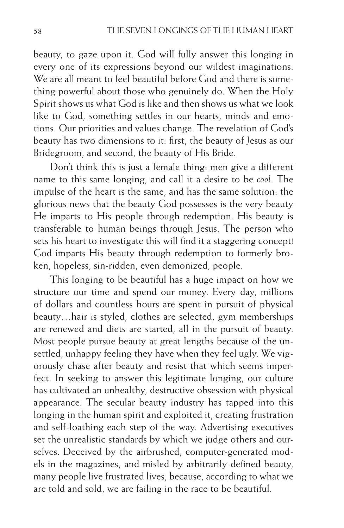beauty, to gaze upon it. God will fully answer this longing in every one of its expressions beyond our wildest imaginations. We are all meant to feel beautiful before God and there is something powerful about those who genuinely do. When the Holy Spirit shows us what God is like and then shows us what we look like to God, something settles in our hearts, minds and emotions. Our priorities and values change. The revelation of God's beauty has two dimensions to it: first, the beauty of Jesus as our Bridegroom, and second, the beauty of His Bride.

Don't think this is just a female thing: men give a different name to this same longing, and call it a desire to be *cool*. The impulse of the heart is the same, and has the same solution: the glorious news that the beauty God possesses is the very beauty He imparts to His people through redemption. His beauty is transferable to human beings through Jesus. The person who sets his heart to investigate this will find it a staggering concept! God imparts His beauty through redemption to formerly broken, hopeless, sin-ridden, even demonized, people.

This longing to be beautiful has a huge impact on how we structure our time and spend our money. Every day, millions of dollars and countless hours are spent in pursuit of physical beauty…hair is styled, clothes are selected, gym memberships are renewed and diets are started, all in the pursuit of beauty. Most people pursue beauty at great lengths because of the unsettled, unhappy feeling they have when they feel ugly. We vigorously chase after beauty and resist that which seems imperfect. In seeking to answer this legitimate longing, our culture has cultivated an unhealthy, destructive obsession with physical appearance. The secular beauty industry has tapped into this longing in the human spirit and exploited it, creating frustration and self-loathing each step of the way. Advertising executives set the unrealistic standards by which we judge others and ourselves. Deceived by the airbrushed, computer-generated models in the magazines, and misled by arbitrarily-defined beauty, many people live frustrated lives, because, according to what we are told and sold, we are failing in the race to be beautiful.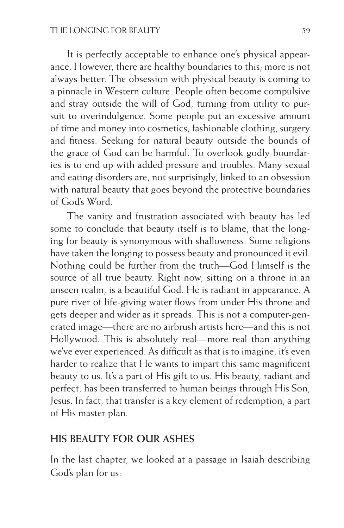It is perfectly acceptable to enhance one's physical appearance. However, there are healthy boundaries to this; more is not always better. The obsession with physical beauty is coming to a pinnacle in Western culture. People often become compulsive and stray outside the will of God, turning from utility to pursuit to overindulgence. Some people put an excessive amount of time and money into cosmetics, fashionable clothing, surgery and fitness. Seeking for natural beauty outside the bounds of the grace of God can be harmful. To overlook godly boundaries is to end up with added pressure and troubles. Many sexual and eating disorders are, not surprisingly, linked to an obsession with natural beauty that goes beyond the protective boundaries of God's Word.

The vanity and frustration associated with beauty has led some to conclude that beauty itself is to blame, that the longing for beauty is synonymous with shallowness. Some religions have taken the longing to possess beauty and pronounced it evil. Nothing could be further from the truth—God Himself is the source of all true beauty. Right now, sitting on a throne in an unseen realm, is a beautiful God. He is radiant in appearance. A pure river of life-giving water flows from under His throne and gets deeper and wider as it spreads. This is not a computer-generated image—there are no airbrush artists here—and this is not Hollywood. This is absolutely real—more real than anything we've ever experienced. As difficult as that is to imagine, it's even harder to realize that He wants to impart this same magnificent beauty to us. It's a part of His gift to us. His beauty, radiant and perfect, has been transferred to human beings through His Son, Jesus. In fact, that transfer is a key element of redemption, a part of His master plan.

#### **HIS BEAUTY FOR OUR ASHES**

In the last chapter, we looked at a passage in Isaiah describing God's plan for us: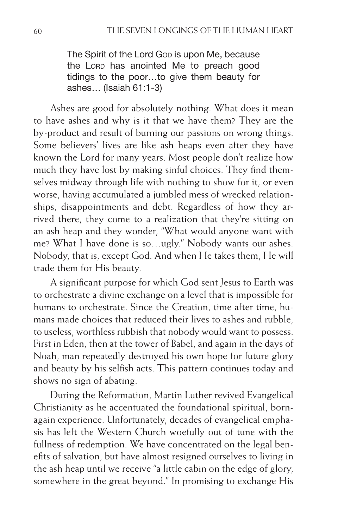The Spirit of the Lord GOD is upon Me, because the LORD has anointed Me to preach good tidings to the poor…to give them beauty for ashes… (Isaiah 61:1-3)

Ashes are good for absolutely nothing. What does it mean to have ashes and why is it that we have them? They are the by-product and result of burning our passions on wrong things. Some believers' lives are like ash heaps even after they have known the Lord for many years. Most people don't realize how much they have lost by making sinful choices. They find themselves midway through life with nothing to show for it, or even worse, having accumulated a jumbled mess of wrecked relationships, disappointments and debt. Regardless of how they arrived there, they come to a realization that they're sitting on an ash heap and they wonder, "What would anyone want with me? What I have done is so…ugly." Nobody wants our ashes. Nobody, that is, except God. And when He takes them, He will trade them for His beauty.

A significant purpose for which God sent Jesus to Earth was to orchestrate a divine exchange on a level that is impossible for humans to orchestrate. Since the Creation, time after time, humans made choices that reduced their lives to ashes and rubble, to useless, worthless rubbish that nobody would want to possess. First in Eden, then at the tower of Babel, and again in the days of Noah, man repeatedly destroyed his own hope for future glory and beauty by his selfish acts. This pattern continues today and shows no sign of abating.

During the Reformation, Martin Luther revived Evangelical Christianity as he accentuated the foundational spiritual, bornagain experience. Unfortunately, decades of evangelical emphasis has left the Western Church woefully out of tune with the fullness of redemption. We have concentrated on the legal benefits of salvation, but have almost resigned ourselves to living in the ash heap until we receive "a little cabin on the edge of glory, somewhere in the great beyond." In promising to exchange His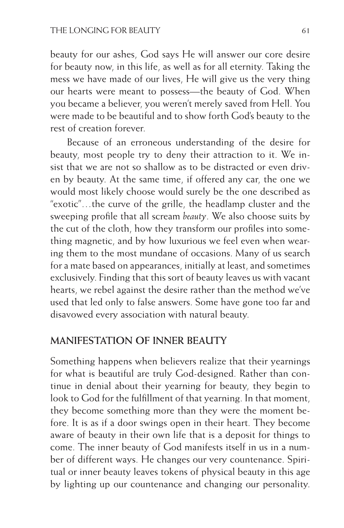beauty for our ashes, God says He will answer our core desire for beauty now, in this life, as well as for all eternity. Taking the mess we have made of our lives, He will give us the very thing our hearts were meant to possess—the beauty of God. When you became a believer, you weren't merely saved from Hell. You were made to be beautiful and to show forth God's beauty to the rest of creation forever.

Because of an erroneous understanding of the desire for beauty, most people try to deny their attraction to it. We insist that we are not so shallow as to be distracted or even driven by beauty. At the same time, if offered any car, the one we would most likely choose would surely be the one described as "exotic"…the curve of the grille, the headlamp cluster and the sweeping profile that all scream *beauty*. We also choose suits by the cut of the cloth, how they transform our profiles into something magnetic, and by how luxurious we feel even when wearing them to the most mundane of occasions. Many of us search for a mate based on appearances, initially at least, and sometimes exclusively. Finding that this sort of beauty leaves us with vacant hearts, we rebel against the desire rather than the method we've used that led only to false answers. Some have gone too far and disavowed every association with natural beauty.

## **MANIFESTATION OF INNER BEAUTY**

Something happens when believers realize that their yearnings for what is beautiful are truly God-designed. Rather than continue in denial about their yearning for beauty, they begin to look to God for the fulfillment of that yearning. In that moment, they become something more than they were the moment before. It is as if a door swings open in their heart. They become aware of beauty in their own life that is a deposit for things to come. The inner beauty of God manifests itself in us in a number of different ways. He changes our very countenance. Spiritual or inner beauty leaves tokens of physical beauty in this age by lighting up our countenance and changing our personality.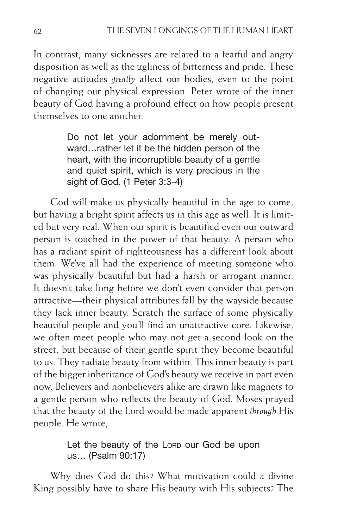In contrast, many sicknesses are related to a fearful and angry disposition as well as the ugliness of bitterness and pride. These negative attitudes *greatly* affect our bodies, even to the point of changing our physical expression. Peter wrote of the inner beauty of God having a profound effect on how people present themselves to one another.

> Do not let your adornment be merely outward…rather let it be the hidden person of the heart, with the incorruptible beauty of a gentle and quiet spirit, which is very precious in the sight of God. (1 Peter 3:3-4)

God will make us physically beautiful in the age to come, but having a bright spirit affects us in this age as well. It is limited but very real. When our spirit is beautified even our outward person is touched in the power of that beauty. A person who has a radiant spirit of righteousness has a different look about them. We've all had the experience of meeting someone who was physically beautiful but had a harsh or arrogant manner. It doesn't take long before we don't even consider that person attractive—their physical attributes fall by the wayside because they lack inner beauty. Scratch the surface of some physically beautiful people and you'll find an unattractive core. Likewise, we often meet people who may not get a second look on the street, but because of their gentle spirit they become beautiful to us. They radiate beauty from within. This inner beauty is part of the bigger inheritance of God's beauty we receive in part even now. Believers and nonbelievers alike are drawn like magnets to a gentle person who reflects the beauty of God. Moses prayed that the beauty of the Lord would be made apparent *through* His people. He wrote,

> Let the beauty of the LORD our God be upon us… (Psalm 90:17)

Why does God do this? What motivation could a divine King possibly have to share His beauty with His subjects? The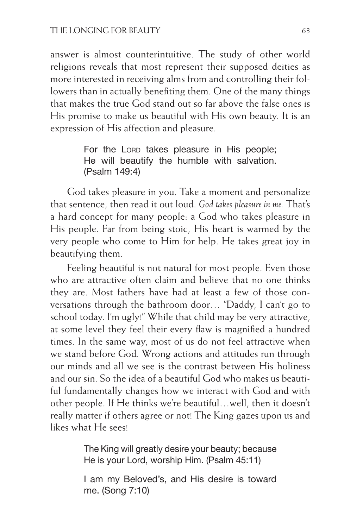answer is almost counterintuitive. The study of other world religions reveals that most represent their supposed deities as more interested in receiving alms from and controlling their followers than in actually benefiting them. One of the many things that makes the true God stand out so far above the false ones is His promise to make us beautiful with His own beauty. It is an expression of His affection and pleasure.

> For the LORD takes pleasure in His people; He will beautify the humble with salvation. (Psalm 149:4)

God takes pleasure in you. Take a moment and personalize that sentence, then read it out loud. *God takes pleasure in me.* That's a hard concept for many people: a God who takes pleasure in His people. Far from being stoic, His heart is warmed by the very people who come to Him for help. He takes great joy in beautifying them.

Feeling beautiful is not natural for most people. Even those who are attractive often claim and believe that no one thinks they are. Most fathers have had at least a few of those conversations through the bathroom door… "Daddy, I can't go to school today. I'm ugly!" While that child may be very attractive, at some level they feel their every flaw is magnified a hundred times. In the same way, most of us do not feel attractive when we stand before God. Wrong actions and attitudes run through our minds and all we see is the contrast between His holiness and our sin. So the idea of a beautiful God who makes us beautiful fundamentally changes how we interact with God and with other people. If He thinks we're beautiful…well, then it doesn't really matter if others agree or not! The King gazes upon us and likes what He sees!

> The King will greatly desire your beauty; because He is your Lord, worship Him. (Psalm 45:11)

> I am my Beloved's, and His desire is toward me. (Song 7:10)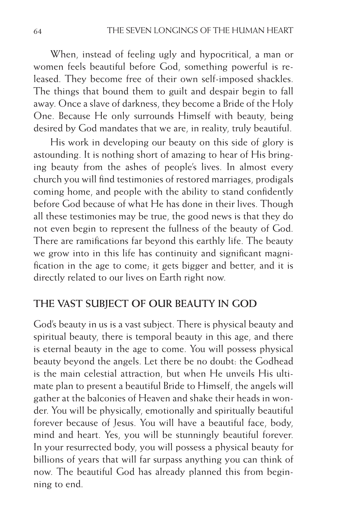When, instead of feeling ugly and hypocritical, a man or women feels beautiful before God, something powerful is released. They become free of their own self-imposed shackles. The things that bound them to guilt and despair begin to fall away. Once a slave of darkness, they become a Bride of the Holy One. Because He only surrounds Himself with beauty, being desired by God mandates that we are, in reality, truly beautiful.

His work in developing our beauty on this side of glory is astounding. It is nothing short of amazing to hear of His bringing beauty from the ashes of people's lives. In almost every church you will find testimonies of restored marriages, prodigals coming home, and people with the ability to stand confidently before God because of what He has done in their lives. Though all these testimonies may be true, the good news is that they do not even begin to represent the fullness of the beauty of God. There are ramifications far beyond this earthly life. The beauty we grow into in this life has continuity and significant magnification in the age to come; it gets bigger and better, and it is directly related to our lives on Earth right now.

## **THE VAST SUBJECT OF OUR BEAUTY IN GOD**

God's beauty in us is a vast subject. There is physical beauty and spiritual beauty, there is temporal beauty in this age, and there is eternal beauty in the age to come. You will possess physical beauty beyond the angels. Let there be no doubt: the Godhead is the main celestial attraction, but when He unveils His ultimate plan to present a beautiful Bride to Himself, the angels will gather at the balconies of Heaven and shake their heads in wonder. You will be physically, emotionally and spiritually beautiful forever because of Jesus. You will have a beautiful face, body, mind and heart. Yes, you will be stunningly beautiful forever. In your resurrected body, you will possess a physical beauty for billions of years that will far surpass anything you can think of now. The beautiful God has already planned this from beginning to end.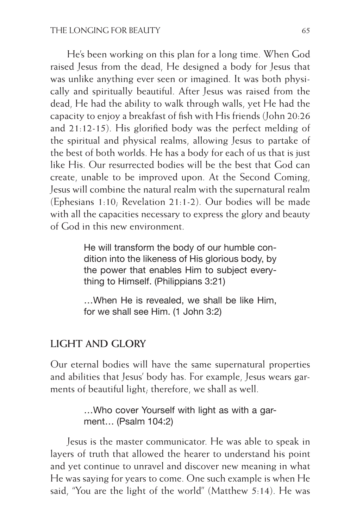He's been working on this plan for a long time. When God raised Jesus from the dead, He designed a body for Jesus that was unlike anything ever seen or imagined. It was both physically and spiritually beautiful. After Jesus was raised from the dead, He had the ability to walk through walls, yet He had the capacity to enjoy a breakfast of fish with His friends (John 20:26 and 21:12-15). His glorified body was the perfect melding of the spiritual and physical realms, allowing Jesus to partake of the best of both worlds. He has a body for each of us that is just like His. Our resurrected bodies will be the best that God can create, unable to be improved upon. At the Second Coming, Jesus will combine the natural realm with the supernatural realm (Ephesians 1:10; Revelation 21:1-2). Our bodies will be made with all the capacities necessary to express the glory and beauty of God in this new environment.

> He will transform the body of our humble condition into the likeness of His glorious body, by the power that enables Him to subject everything to Himself. (Philippians 3:21)

> …When He is revealed, we shall be like Him, for we shall see Him. (1 John 3:2)

#### **LIGHT AND GLORY**

Our eternal bodies will have the same supernatural properties and abilities that Jesus' body has. For example, Jesus wears garments of beautiful light; therefore, we shall as well.

> …Who cover Yourself with light as with a garment… (Psalm 104:2)

Jesus is the master communicator. He was able to speak in layers of truth that allowed the hearer to understand his point and yet continue to unravel and discover new meaning in what He was saying for years to come. One such example is when He said, "You are the light of the world" (Matthew 5:14). He was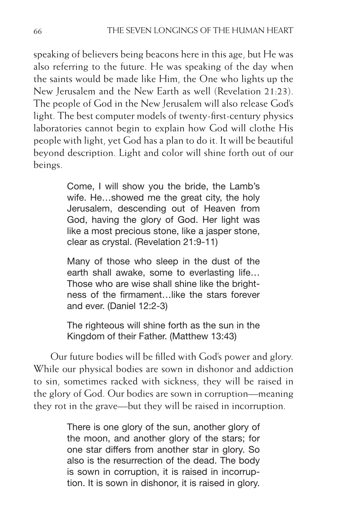speaking of believers being beacons here in this age, but He was also referring to the future. He was speaking of the day when the saints would be made like Him, the One who lights up the New Jerusalem and the New Earth as well (Revelation 21:23). The people of God in the New Jerusalem will also release God's light. The best computer models of twenty-first-century physics laboratories cannot begin to explain how God will clothe His people with light, yet God has a plan to do it. It will be beautiful beyond description. Light and color will shine forth out of our beings.

> Come, I will show you the bride, the Lamb's wife. He…showed me the great city, the holy Jerusalem, descending out of Heaven from God, having the glory of God. Her light was like a most precious stone, like a jasper stone, clear as crystal. (Revelation 21:9-11)

> Many of those who sleep in the dust of the earth shall awake, some to everlasting life… Those who are wise shall shine like the brightness of the firmament…like the stars forever and ever. (Daniel 12:2-3)

> The righteous will shine forth as the sun in the Kingdom of their Father. (Matthew 13:43)

Our future bodies will be filled with God's power and glory. While our physical bodies are sown in dishonor and addiction to sin, sometimes racked with sickness, they will be raised in the glory of God. Our bodies are sown in corruption—meaning they rot in the grave—but they will be raised in incorruption.

> There is one glory of the sun, another glory of the moon, and another glory of the stars; for one star differs from another star in glory. So also is the resurrection of the dead. The body is sown in corruption, it is raised in incorruption. It is sown in dishonor, it is raised in glory.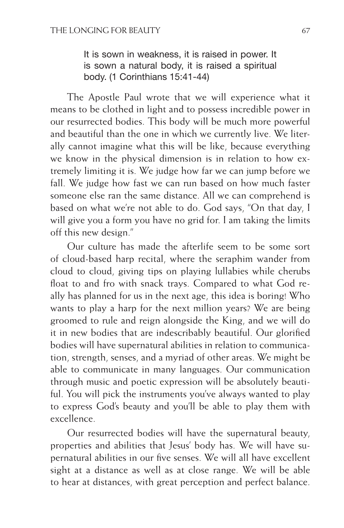It is sown in weakness, it is raised in power. It is sown a natural body, it is raised a spiritual body. (1 Corinthians 15:41-44)

The Apostle Paul wrote that we will experience what it means to be clothed in light and to possess incredible power in our resurrected bodies. This body will be much more powerful and beautiful than the one in which we currently live. We literally cannot imagine what this will be like, because everything we know in the physical dimension is in relation to how extremely limiting it is. We judge how far we can jump before we fall. We judge how fast we can run based on how much faster someone else ran the same distance. All we can comprehend is based on what we're not able to do. God says, "On that day, I will give you a form you have no grid for. I am taking the limits off this new design."

Our culture has made the afterlife seem to be some sort of cloud-based harp recital, where the seraphim wander from cloud to cloud, giving tips on playing lullabies while cherubs float to and fro with snack trays. Compared to what God really has planned for us in the next age, this idea is boring! Who wants to play a harp for the next million years? We are being groomed to rule and reign alongside the King, and we will do it in new bodies that are indescribably beautiful. Our glorified bodies will have supernatural abilities in relation to communication, strength, senses, and a myriad of other areas. We might be able to communicate in many languages. Our communication through music and poetic expression will be absolutely beautiful. You will pick the instruments you've always wanted to play to express God's beauty and you'll be able to play them with excellence.

Our resurrected bodies will have the supernatural beauty, properties and abilities that Jesus' body has. We will have supernatural abilities in our five senses. We will all have excellent sight at a distance as well as at close range. We will be able to hear at distances, with great perception and perfect balance.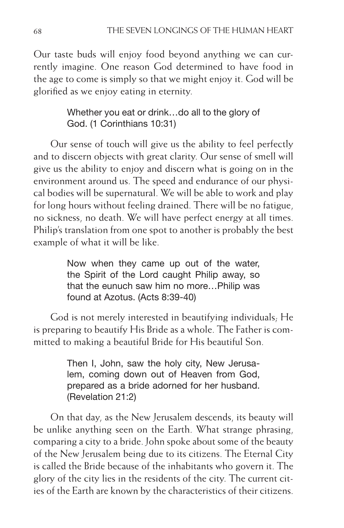Our taste buds will enjoy food beyond anything we can currently imagine. One reason God determined to have food in the age to come is simply so that we might enjoy it. God will be glorified as we enjoy eating in eternity.

## Whether you eat or drink…do all to the glory of God. (1 Corinthians 10:31)

Our sense of touch will give us the ability to feel perfectly and to discern objects with great clarity. Our sense of smell will give us the ability to enjoy and discern what is going on in the environment around us. The speed and endurance of our physical bodies will be supernatural. We will be able to work and play for long hours without feeling drained. There will be no fatigue, no sickness, no death. We will have perfect energy at all times. Philip's translation from one spot to another is probably the best example of what it will be like.

> Now when they came up out of the water, the Spirit of the Lord caught Philip away, so that the eunuch saw him no more…Philip was found at Azotus. (Acts 8:39-40)

God is not merely interested in beautifying individuals; He is preparing to beautify His Bride as a whole. The Father is committed to making a beautiful Bride for His beautiful Son.

> Then I, John, saw the holy city, New Jerusalem, coming down out of Heaven from God, prepared as a bride adorned for her husband. (Revelation 21:2)

On that day, as the New Jerusalem descends, its beauty will be unlike anything seen on the Earth. What strange phrasing, comparing a city to a bride. John spoke about some of the beauty of the New Jerusalem being due to its citizens. The Eternal City is called the Bride because of the inhabitants who govern it. The glory of the city lies in the residents of the city. The current cities of the Earth are known by the characteristics of their citizens.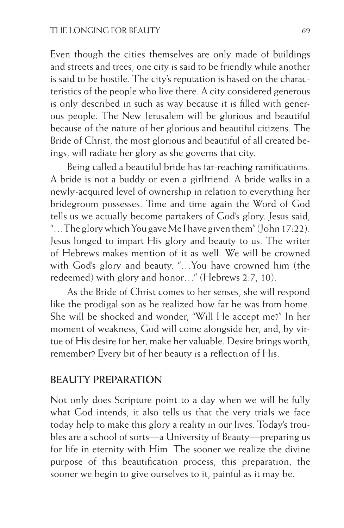Even though the cities themselves are only made of buildings and streets and trees, one city is said to be friendly while another is said to be hostile. The city's reputation is based on the characteristics of the people who live there. A city considered generous is only described in such as way because it is filled with generous people. The New Jerusalem will be glorious and beautiful because of the nature of her glorious and beautiful citizens. The Bride of Christ, the most glorious and beautiful of all created beings, will radiate her glory as she governs that city.

Being called a beautiful bride has far-reaching ramifications. A bride is not a buddy or even a girlfriend. A bride walks in a newly-acquired level of ownership in relation to everything her bridegroom possesses. Time and time again the Word of God tells us we actually become partakers of God's glory. Jesus said, "…The glory which You gave Me I have given them" (John 17:22). Jesus longed to impart His glory and beauty to us. The writer of Hebrews makes mention of it as well. We will be crowned with God's glory and beauty. "…You have crowned him (the redeemed) with glory and honor…" (Hebrews 2:7, 10).

As the Bride of Christ comes to her senses, she will respond like the prodigal son as he realized how far he was from home. She will be shocked and wonder, "Will He accept me?" In her moment of weakness, God will come alongside her, and, by virtue of His desire for her, make her valuable. Desire brings worth, remember? Every bit of her beauty is a reflection of His.

#### **BEAUTY PREPARATION**

Not only does Scripture point to a day when we will be fully what God intends, it also tells us that the very trials we face today help to make this glory a reality in our lives. Today's troubles are a school of sorts—a University of Beauty—preparing us for life in eternity with Him. The sooner we realize the divine purpose of this beautification process, this preparation, the sooner we begin to give ourselves to it, painful as it may be.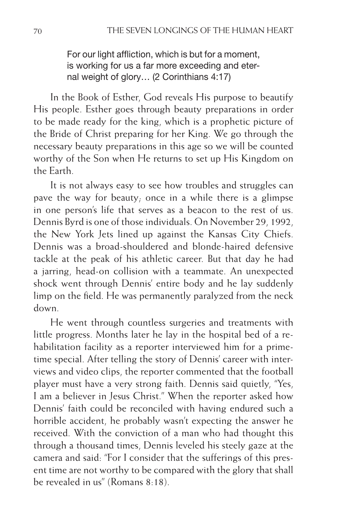For our light affliction, which is but for a moment, is working for us a far more exceeding and eternal weight of glory… (2 Corinthians 4:17)

In the Book of Esther, God reveals His purpose to beautify His people. Esther goes through beauty preparations in order to be made ready for the king, which is a prophetic picture of the Bride of Christ preparing for her King. We go through the necessary beauty preparations in this age so we will be counted worthy of the Son when He returns to set up His Kingdom on the Earth.

It is not always easy to see how troubles and struggles can pave the way for beauty; once in a while there is a glimpse in one person's life that serves as a beacon to the rest of us. Dennis Byrd is one of those individuals. On November 29, 1992, the New York Jets lined up against the Kansas City Chiefs. Dennis was a broad-shouldered and blonde-haired defensive tackle at the peak of his athletic career. But that day he had a jarring, head-on collision with a teammate. An unexpected shock went through Dennis' entire body and he lay suddenly limp on the field. He was permanently paralyzed from the neck down.

He went through countless surgeries and treatments with little progress. Months later he lay in the hospital bed of a rehabilitation facility as a reporter interviewed him for a primetime special. After telling the story of Dennis' career with interviews and video clips, the reporter commented that the football player must have a very strong faith. Dennis said quietly, "Yes, I am a believer in Jesus Christ." When the reporter asked how Dennis' faith could be reconciled with having endured such a horrible accident, he probably wasn't expecting the answer he received. With the conviction of a man who had thought this through a thousand times, Dennis leveled his steely gaze at the camera and said: "For I consider that the sufferings of this present time are not worthy to be compared with the glory that shall be revealed in us" (Romans 8:18).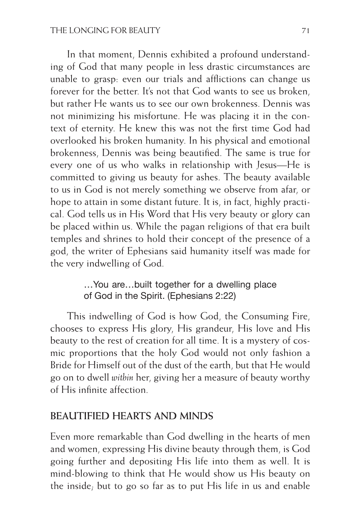In that moment, Dennis exhibited a profound understanding of God that many people in less drastic circumstances are unable to grasp: even our trials and afflictions can change us forever for the better. It's not that God wants to see us broken. but rather He wants us to see our own brokenness. Dennis was not minimizing his misfortune. He was placing it in the context of eternity. He knew this was not the first time God had overlooked his broken humanity. In his physical and emotional brokenness, Dennis was being beautified. The same is true for every one of us who walks in relationship with Jesus—He is committed to giving us beauty for ashes. The beauty available to us in God is not merely something we observe from afar, or hope to attain in some distant future. It is, in fact, highly practical. God tells us in His Word that His very beauty or glory can be placed within us. While the pagan religions of that era built temples and shrines to hold their concept of the presence of a god, the writer of Ephesians said humanity itself was made for the very indwelling of God.

> …You are…built together for a dwelling place of God in the Spirit. (Ephesians 2:22)

This indwelling of God is how God, the Consuming Fire, chooses to express His glory, His grandeur, His love and His beauty to the rest of creation for all time. It is a mystery of cosmic proportions that the holy God would not only fashion a Bride for Himself out of the dust of the earth, but that He would go on to dwell *within* her, giving her a measure of beauty worthy of His infinite affection.

#### **BEAUTIFIED HEARTS AND MINDS**

Even more remarkable than God dwelling in the hearts of men and women, expressing His divine beauty through them, is God going further and depositing His life into them as well. It is mind-blowing to think that He would show us His beauty on the inside; but to go so far as to put His life in us and enable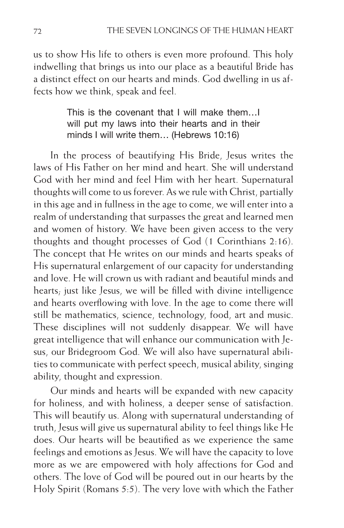us to show His life to others is even more profound. This holy indwelling that brings us into our place as a beautiful Bride has a distinct effect on our hearts and minds. God dwelling in us affects how we think, speak and feel.

> This is the covenant that I will make them…I will put my laws into their hearts and in their minds I will write them… (Hebrews 10:16)

In the process of beautifying His Bride, Jesus writes the laws of His Father on her mind and heart. She will understand God with her mind and feel Him with her heart. Supernatural thoughts will come to us forever. As we rule with Christ, partially in this age and in fullness in the age to come, we will enter into a realm of understanding that surpasses the great and learned men and women of history. We have been given access to the very thoughts and thought processes of God (1 Corinthians 2:16). The concept that He writes on our minds and hearts speaks of His supernatural enlargement of our capacity for understanding and love. He will crown us with radiant and beautiful minds and hearts; just like Jesus, we will be filled with divine intelligence and hearts overflowing with love. In the age to come there will still be mathematics, science, technology, food, art and music. These disciplines will not suddenly disappear. We will have great intelligence that will enhance our communication with Jesus, our Bridegroom God. We will also have supernatural abilities to communicate with perfect speech, musical ability, singing ability, thought and expression.

Our minds and hearts will be expanded with new capacity for holiness, and with holiness, a deeper sense of satisfaction. This will beautify us. Along with supernatural understanding of truth, Jesus will give us supernatural ability to feel things like He does. Our hearts will be beautified as we experience the same feelings and emotions as Jesus. We will have the capacity to love more as we are empowered with holy affections for God and others. The love of God will be poured out in our hearts by the Holy Spirit (Romans 5:5). The very love with which the Father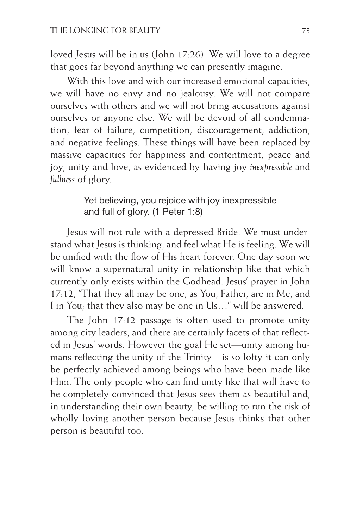loved Jesus will be in us (John 17:26). We will love to a degree that goes far beyond anything we can presently imagine.

With this love and with our increased emotional capacities, we will have no envy and no jealousy. We will not compare ourselves with others and we will not bring accusations against ourselves or anyone else. We will be devoid of all condemnation, fear of failure, competition, discouragement, addiction, and negative feelings. These things will have been replaced by massive capacities for happiness and contentment, peace and joy, unity and love, as evidenced by having joy *inexpressible* and *fullness* of glory.

## Yet believing, you rejoice with joy inexpressible and full of glory. (1 Peter 1:8)

Jesus will not rule with a depressed Bride. We must understand what Jesus is thinking, and feel what He is feeling. We will be unified with the flow of His heart forever. One day soon we will know a supernatural unity in relationship like that which currently only exists within the Godhead. Jesus' prayer in John 17:12, "That they all may be one, as You, Father, are in Me, and I in You; that they also may be one in Us…" will be answered.

The John 17:12 passage is often used to promote unity among city leaders, and there are certainly facets of that reflected in Jesus' words. However the goal He set—unity among humans reflecting the unity of the Trinity—is so lofty it can only be perfectly achieved among beings who have been made like Him. The only people who can find unity like that will have to be completely convinced that Jesus sees them as beautiful and, in understanding their own beauty, be willing to run the risk of wholly loving another person because Jesus thinks that other person is beautiful too.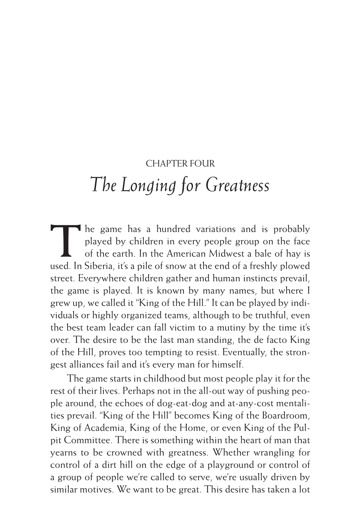#### CHAPTER FOUR

# *The Longing for Greatness*

The game has a hundred variations and is probably<br>played by children in every people group on the face<br>of the earth. In the American Midwest a bale of hay is<br>used to Sibosia it's a pilo of request the and of a functional a played by children in every people group on the face of the earth. In the American Midwest a bale of hay is used. In Siberia, it's a pile of snow at the end of a freshly plowed street. Everywhere children gather and human instincts prevail, the game is played. It is known by many names, but where I grew up, we called it "King of the Hill." It can be played by individuals or highly organized teams, although to be truthful, even the best team leader can fall victim to a mutiny by the time it's over. The desire to be the last man standing, the de facto King of the Hill, proves too tempting to resist. Eventually, the strongest alliances fail and it's every man for himself.

The game starts in childhood but most people play it for the rest of their lives. Perhaps not in the all-out way of pushing people around, the echoes of dog-eat-dog and at-any-cost mentalities prevail. "King of the Hill" becomes King of the Boardroom, King of Academia, King of the Home, or even King of the Pulpit Committee. There is something within the heart of man that yearns to be crowned with greatness. Whether wrangling for control of a dirt hill on the edge of a playground or control of a group of people we're called to serve, we're usually driven by similar motives. We want to be great. This desire has taken a lot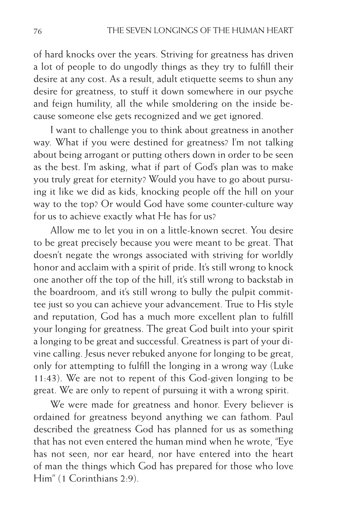of hard knocks over the years. Striving for greatness has driven a lot of people to do ungodly things as they try to fulfill their desire at any cost. As a result, adult etiquette seems to shun any desire for greatness, to stuff it down somewhere in our psyche and feign humility, all the while smoldering on the inside because someone else gets recognized and we get ignored.

I want to challenge you to think about greatness in another way. What if you were destined for greatness? I'm not talking about being arrogant or putting others down in order to be seen as the best. I'm asking, what if part of God's plan was to make you truly great for eternity? Would you have to go about pursuing it like we did as kids, knocking people off the hill on your way to the top? Or would God have some counter-culture way for us to achieve exactly what He has for us?

Allow me to let you in on a little-known secret. You desire to be great precisely because you were meant to be great. That doesn't negate the wrongs associated with striving for worldly honor and acclaim with a spirit of pride. It's still wrong to knock one another off the top of the hill, it's still wrong to backstab in the boardroom, and it's still wrong to bully the pulpit committee just so you can achieve your advancement. True to His style and reputation, God has a much more excellent plan to fulfill your longing for greatness. The great God built into your spirit a longing to be great and successful. Greatness is part of your divine calling. Jesus never rebuked anyone for longing to be great, only for attempting to fulfill the longing in a wrong way (Luke 11:43). We are not to repent of this God-given longing to be great. We are only to repent of pursuing it with a wrong spirit.

We were made for greatness and honor. Every believer is ordained for greatness beyond anything we can fathom. Paul described the greatness God has planned for us as something that has not even entered the human mind when he wrote, "Eye has not seen, nor ear heard, nor have entered into the heart of man the things which God has prepared for those who love Him" (1 Corinthians 2:9).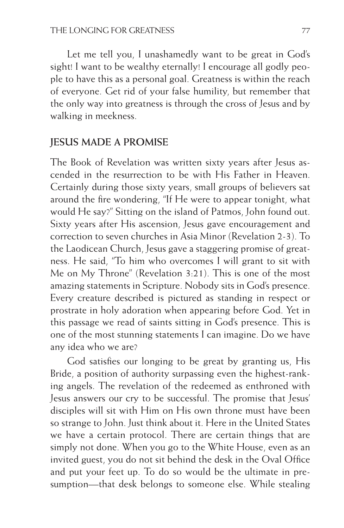Let me tell you, I unashamedly want to be great in God's sight! I want to be wealthy eternally! I encourage all godly people to have this as a personal goal. Greatness is within the reach of everyone. Get rid of your false humility, but remember that the only way into greatness is through the cross of Jesus and by walking in meekness.

#### **JESUS MADE A PROMISE**

The Book of Revelation was written sixty years after Jesus ascended in the resurrection to be with His Father in Heaven. Certainly during those sixty years, small groups of believers sat around the fire wondering, "If He were to appear tonight, what would He say?" Sitting on the island of Patmos, John found out. Sixty years after His ascension, Jesus gave encouragement and correction to seven churches in Asia Minor (Revelation 2-3). To the Laodicean Church, Jesus gave a staggering promise of greatness. He said, "To him who overcomes I will grant to sit with Me on My Throne" (Revelation 3:21). This is one of the most amazing statements in Scripture. Nobody sits in God's presence. Every creature described is pictured as standing in respect or prostrate in holy adoration when appearing before God. Yet in this passage we read of saints sitting in God's presence. This is one of the most stunning statements I can imagine. Do we have any idea who we are?

God satisfies our longing to be great by granting us, His Bride, a position of authority surpassing even the highest-ranking angels. The revelation of the redeemed as enthroned with Jesus answers our cry to be successful. The promise that Jesus' disciples will sit with Him on His own throne must have been so strange to John. Just think about it. Here in the United States we have a certain protocol. There are certain things that are simply not done. When you go to the White House, even as an invited guest, you do not sit behind the desk in the Oval Office and put your feet up. To do so would be the ultimate in presumption—that desk belongs to someone else. While stealing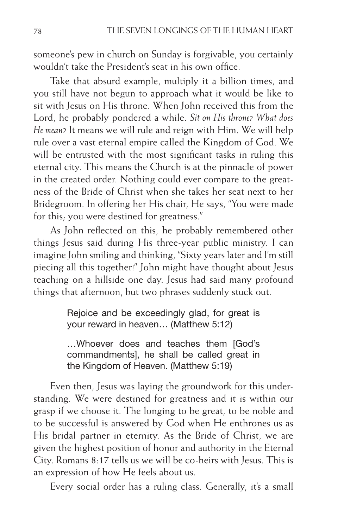someone's pew in church on Sunday is forgivable, you certainly wouldn't take the President's seat in his own office.

Take that absurd example, multiply it a billion times, and you still have not begun to approach what it would be like to sit with Jesus on His throne. When John received this from the Lord, he probably pondered a while. *Sit on His throne? What does He mean?* It means we will rule and reign with Him. We will help rule over a vast eternal empire called the Kingdom of God. We will be entrusted with the most significant tasks in ruling this eternal city. This means the Church is at the pinnacle of power in the created order. Nothing could ever compare to the greatness of the Bride of Christ when she takes her seat next to her Bridegroom. In offering her His chair, He says, "You were made for this; you were destined for greatness."

As John reflected on this, he probably remembered other things Jesus said during His three-year public ministry. I can imagine John smiling and thinking, "Sixty years later and I'm still piecing all this together!" John might have thought about Jesus teaching on a hillside one day. Jesus had said many profound things that afternoon, but two phrases suddenly stuck out.

> Rejoice and be exceedingly glad, for great is your reward in heaven… (Matthew 5:12)

> …Whoever does and teaches them [God's commandments], he shall be called great in the Kingdom of Heaven. (Matthew 5:19)

Even then, Jesus was laying the groundwork for this understanding. We were destined for greatness and it is within our grasp if we choose it. The longing to be great, to be noble and to be successful is answered by God when He enthrones us as His bridal partner in eternity. As the Bride of Christ, we are given the highest position of honor and authority in the Eternal City. Romans 8:17 tells us we will be co-heirs with Jesus. This is an expression of how He feels about us.

Every social order has a ruling class. Generally, it's a small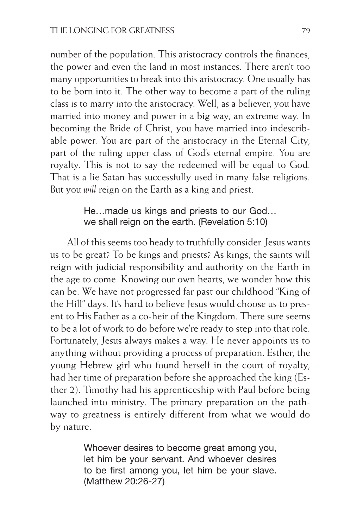number of the population. This aristocracy controls the finances, the power and even the land in most instances. There aren't too many opportunities to break into this aristocracy. One usually has to be born into it. The other way to become a part of the ruling class is to marry into the aristocracy. Well, as a believer, you have married into money and power in a big way, an extreme way. In becoming the Bride of Christ, you have married into indescribable power. You are part of the aristocracy in the Eternal City, part of the ruling upper class of God's eternal empire. You are royalty. This is not to say the redeemed will be equal to God. That is a lie Satan has successfully used in many false religions. But you *will* reign on the Earth as a king and priest.

> He…made us kings and priests to our God… we shall reign on the earth. (Revelation 5:10)

All of this seems too heady to truthfully consider. Jesus wants us to be great? To be kings and priests? As kings, the saints will reign with judicial responsibility and authority on the Earth in the age to come. Knowing our own hearts, we wonder how this can be. We have not progressed far past our childhood "King of the Hill" days. It's hard to believe Jesus would choose us to present to His Father as a co-heir of the Kingdom. There sure seems to be a lot of work to do before we're ready to step into that role. Fortunately, Jesus always makes a way. He never appoints us to anything without providing a process of preparation. Esther, the young Hebrew girl who found herself in the court of royalty, had her time of preparation before she approached the king (Esther 2). Timothy had his apprenticeship with Paul before being launched into ministry. The primary preparation on the pathway to greatness is entirely different from what we would do by nature.

> Whoever desires to become great among you, let him be your servant. And whoever desires to be first among you, let him be your slave. (Matthew 20:26-27)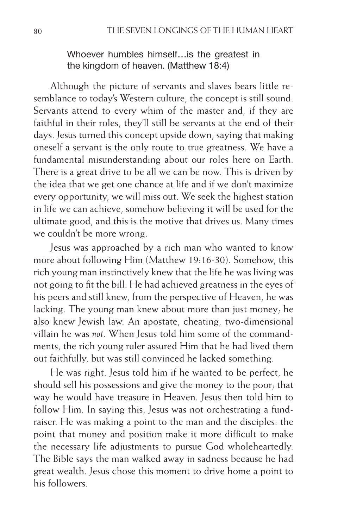### Whoever humbles himself…is the greatest in the kingdom of heaven. (Matthew 18:4)

Although the picture of servants and slaves bears little resemblance to today's Western culture, the concept is still sound. Servants attend to every whim of the master and, if they are faithful in their roles, they'll still be servants at the end of their days. Jesus turned this concept upside down, saying that making oneself a servant is the only route to true greatness. We have a fundamental misunderstanding about our roles here on Earth. There is a great drive to be all we can be now. This is driven by the idea that we get one chance at life and if we don't maximize every opportunity, we will miss out. We seek the highest station in life we can achieve, somehow believing it will be used for the ultimate good, and this is the motive that drives us. Many times we couldn't be more wrong.

Jesus was approached by a rich man who wanted to know more about following Him (Matthew 19:16-30). Somehow, this rich young man instinctively knew that the life he was living was not going to fit the bill. He had achieved greatness in the eyes of his peers and still knew, from the perspective of Heaven, he was lacking. The young man knew about more than just money; he also knew Jewish law. An apostate, cheating, two-dimensional villain he was *not*. When Jesus told him some of the commandments, the rich young ruler assured Him that he had lived them out faithfully, but was still convinced he lacked something.

He was right. Jesus told him if he wanted to be perfect, he should sell his possessions and give the money to the poor; that way he would have treasure in Heaven. Jesus then told him to follow Him. In saying this, Jesus was not orchestrating a fundraiser. He was making a point to the man and the disciples: the point that money and position make it more difficult to make the necessary life adjustments to pursue God wholeheartedly. The Bible says the man walked away in sadness because he had great wealth. Jesus chose this moment to drive home a point to his followers.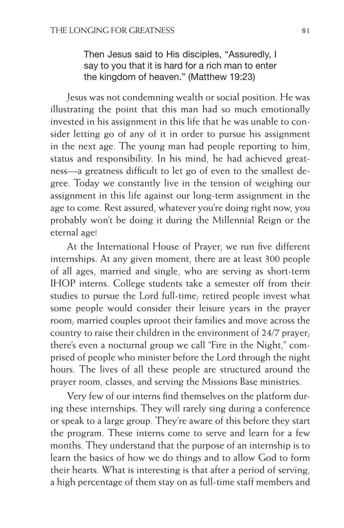Then Jesus said to His disciples, "Assuredly, I say to you that it is hard for a rich man to enter the kingdom of heaven." (Matthew 19:23)

Jesus was not condemning wealth or social position. He was illustrating the point that this man had so much emotionally invested in his assignment in this life that he was unable to consider letting go of any of it in order to pursue his assignment in the next age. The young man had people reporting to him, status and responsibility. In his mind, he had achieved greatness—a greatness difficult to let go of even to the smallest degree. Today we constantly live in the tension of weighing our assignment in this life against our long-term assignment in the age to come. Rest assured, whatever you're doing right now, you probably won't be doing it during the Millennial Reign or the eternal age!

At the International House of Prayer, we run five different internships. At any given moment, there are at least 300 people of all ages, married and single, who are serving as short-term IHOP interns. College students take a semester off from their studies to pursue the Lord full-time; retired people invest what some people would consider their leisure years in the prayer room; married couples uproot their families and move across the country to raise their children in the environment of 24/7 prayer; there's even a nocturnal group we call "Fire in the Night," comprised of people who minister before the Lord through the night hours. The lives of all these people are structured around the prayer room, classes, and serving the Missions Base ministries.

Very few of our interns find themselves on the platform during these internships. They will rarely sing during a conference or speak to a large group. They're aware of this before they start the program. These interns come to serve and learn for a few months. They understand that the purpose of an internship is to learn the basics of how we do things and to allow God to form their hearts. What is interesting is that after a period of serving, a high percentage of them stay on as full-time staff members and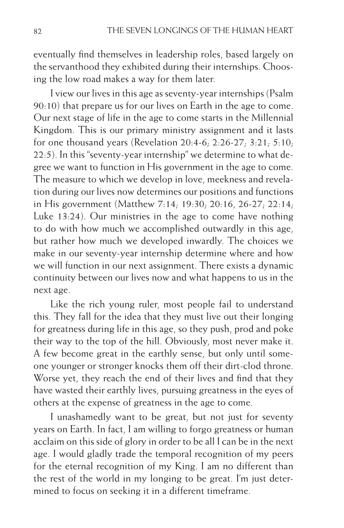eventually find themselves in leadership roles, based largely on the servanthood they exhibited during their internships. Choosing the low road makes a way for them later.

I view our lives in this age as seventy-year internships (Psalm 90:10) that prepare us for our lives on Earth in the age to come. Our next stage of life in the age to come starts in the Millennial Kingdom. This is our primary ministry assignment and it lasts for one thousand years (Revelation 20:4-6; 2:26-27; 3:21; 5:10; 22:5). In this "seventy-year internship" we determine to what degree we want to function in His government in the age to come. The measure to which we develop in love, meekness and revelation during our lives now determines our positions and functions in His government (Matthew 7:14; 19:30; 20:16, 26-27; 22:14; Luke 13:24). Our ministries in the age to come have nothing to do with how much we accomplished outwardly in this age, but rather how much we developed inwardly. The choices we make in our seventy-year internship determine where and how we will function in our next assignment. There exists a dynamic continuity between our lives now and what happens to us in the next age.

Like the rich young ruler, most people fail to understand this. They fall for the idea that they must live out their longing for greatness during life in this age, so they push, prod and poke their way to the top of the hill. Obviously, most never make it. A few become great in the earthly sense, but only until someone younger or stronger knocks them off their dirt-clod throne. Worse yet, they reach the end of their lives and find that they have wasted their earthly lives, pursuing greatness in the eyes of others at the expense of greatness in the age to come.

I unashamedly want to be great, but not just for seventy years on Earth. In fact, I am willing to forgo greatness or human acclaim on this side of glory in order to be all I can be in the next age. I would gladly trade the temporal recognition of my peers for the eternal recognition of my King. I am no different than the rest of the world in my longing to be great. I'm just determined to focus on seeking it in a different timeframe.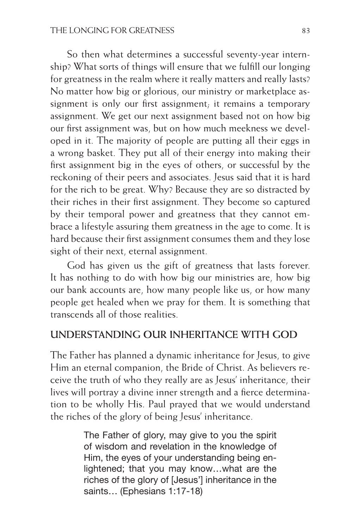So then what determines a successful seventy-year internship? What sorts of things will ensure that we fulfill our longing for greatness in the realm where it really matters and really lasts? No matter how big or glorious, our ministry or marketplace assignment is only our first assignment, it remains a temporary assignment. We get our next assignment based not on how big our first assignment was, but on how much meekness we developed in it. The majority of people are putting all their eggs in a wrong basket. They put all of their energy into making their first assignment big in the eyes of others, or successful by the reckoning of their peers and associates. Jesus said that it is hard for the rich to be great. Why? Because they are so distracted by their riches in their first assignment. They become so captured by their temporal power and greatness that they cannot embrace a lifestyle assuring them greatness in the age to come. It is hard because their first assignment consumes them and they lose sight of their next, eternal assignment.

God has given us the gift of greatness that lasts forever. It has nothing to do with how big our ministries are, how big our bank accounts are, how many people like us, or how many people get healed when we pray for them. It is something that transcends all of those realities.

#### **UNDERSTANDING OUR INHERITANCE WITH GOD**

The Father has planned a dynamic inheritance for Jesus, to give Him an eternal companion, the Bride of Christ. As believers receive the truth of who they really are as Jesus' inheritance, their lives will portray a divine inner strength and a fierce determination to be wholly His. Paul prayed that we would understand the riches of the glory of being Jesus' inheritance.

> The Father of glory, may give to you the spirit of wisdom and revelation in the knowledge of Him, the eyes of your understanding being enlightened; that you may know…what are the riches of the glory of [Jesus'] inheritance in the saints… (Ephesians 1:17-18)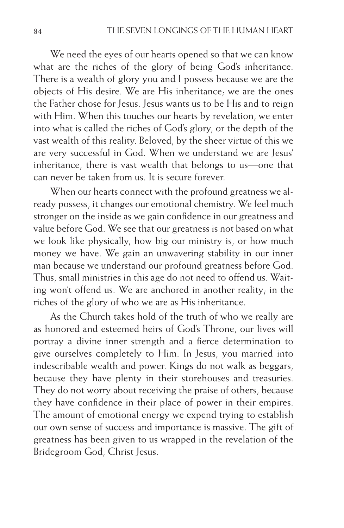We need the eyes of our hearts opened so that we can know what are the riches of the glory of being God's inheritance. There is a wealth of glory you and I possess because we are the objects of His desire. We are His inheritance; we are the ones the Father chose for Jesus. Jesus wants us to be His and to reign with Him. When this touches our hearts by revelation, we enter into what is called the riches of God's glory, or the depth of the vast wealth of this reality. Beloved, by the sheer virtue of this we are very successful in God. When we understand we are Jesus' inheritance, there is vast wealth that belongs to us—one that can never be taken from us. It is secure forever.

When our hearts connect with the profound greatness we already possess, it changes our emotional chemistry. We feel much stronger on the inside as we gain confidence in our greatness and value before God. We see that our greatness is not based on what we look like physically, how big our ministry is, or how much money we have. We gain an unwavering stability in our inner man because we understand our profound greatness before God. Thus, small ministries in this age do not need to offend us. Waiting won't offend us. We are anchored in another reality; in the riches of the glory of who we are as His inheritance.

As the Church takes hold of the truth of who we really are as honored and esteemed heirs of God's Throne, our lives will portray a divine inner strength and a fierce determination to give ourselves completely to Him. In Jesus, you married into indescribable wealth and power. Kings do not walk as beggars, because they have plenty in their storehouses and treasuries. They do not worry about receiving the praise of others, because they have confidence in their place of power in their empires. The amount of emotional energy we expend trying to establish our own sense of success and importance is massive. The gift of greatness has been given to us wrapped in the revelation of the Bridegroom God, Christ Jesus.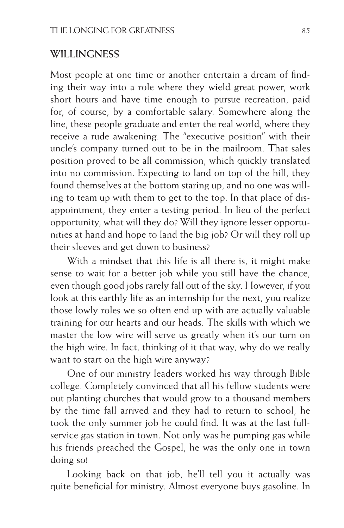#### **WILLINGNESS**

Most people at one time or another entertain a dream of finding their way into a role where they wield great power, work short hours and have time enough to pursue recreation, paid for, of course, by a comfortable salary. Somewhere along the line, these people graduate and enter the real world, where they receive a rude awakening. The "executive position" with their uncle's company turned out to be in the mailroom. That sales position proved to be all commission, which quickly translated into no commission. Expecting to land on top of the hill, they found themselves at the bottom staring up, and no one was willing to team up with them to get to the top. In that place of disappointment, they enter a testing period. In lieu of the perfect opportunity, what will they do? Will they ignore lesser opportunities at hand and hope to land the big job? Or will they roll up their sleeves and get down to business?

With a mindset that this life is all there is, it might make sense to wait for a better job while you still have the chance, even though good jobs rarely fall out of the sky. However, if you look at this earthly life as an internship for the next, you realize those lowly roles we so often end up with are actually valuable training for our hearts and our heads. The skills with which we master the low wire will serve us greatly when it's our turn on the high wire. In fact, thinking of it that way, why do we really want to start on the high wire anyway?

One of our ministry leaders worked his way through Bible college. Completely convinced that all his fellow students were out planting churches that would grow to a thousand members by the time fall arrived and they had to return to school, he took the only summer job he could find. It was at the last fullservice gas station in town. Not only was he pumping gas while his friends preached the Gospel, he was the only one in town doing so!

Looking back on that job, he'll tell you it actually was quite beneficial for ministry. Almost everyone buys gasoline. In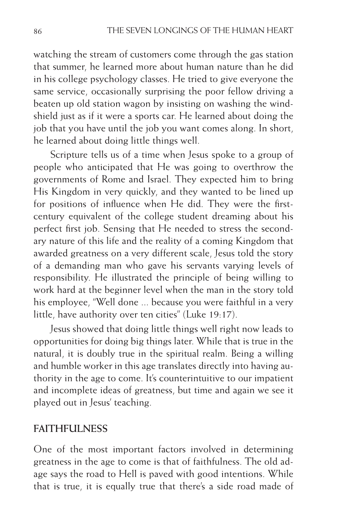watching the stream of customers come through the gas station that summer, he learned more about human nature than he did in his college psychology classes. He tried to give everyone the same service, occasionally surprising the poor fellow driving a beaten up old station wagon by insisting on washing the windshield just as if it were a sports car. He learned about doing the job that you have until the job you want comes along. In short, he learned about doing little things well.

Scripture tells us of a time when Jesus spoke to a group of people who anticipated that He was going to overthrow the governments of Rome and Israel. They expected him to bring His Kingdom in very quickly, and they wanted to be lined up for positions of influence when He did. They were the firstcentury equivalent of the college student dreaming about his perfect first job. Sensing that He needed to stress the secondary nature of this life and the reality of a coming Kingdom that awarded greatness on a very different scale, Jesus told the story of a demanding man who gave his servants varying levels of responsibility. He illustrated the principle of being willing to work hard at the beginner level when the man in the story told his employee, "Well done ... because you were faithful in a very little, have authority over ten cities" (Luke 19:17).

Jesus showed that doing little things well right now leads to opportunities for doing big things later. While that is true in the natural, it is doubly true in the spiritual realm. Being a willing and humble worker in this age translates directly into having authority in the age to come. It's counterintuitive to our impatient and incomplete ideas of greatness, but time and again we see it played out in Jesus' teaching.

#### **FAITHFULNESS**

One of the most important factors involved in determining greatness in the age to come is that of faithfulness. The old adage says the road to Hell is paved with good intentions. While that is true, it is equally true that there's a side road made of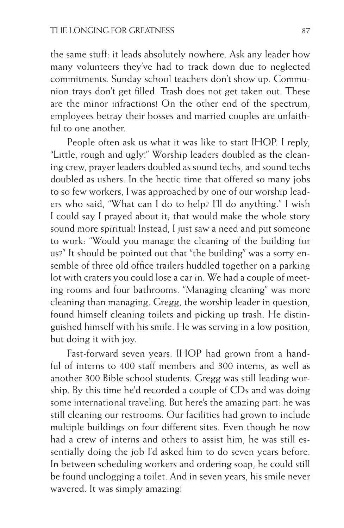the same stuff: it leads absolutely nowhere. Ask any leader how many volunteers they've had to track down due to neglected commitments. Sunday school teachers don't show up. Communion trays don't get filled. Trash does not get taken out. These are the minor infractions! On the other end of the spectrum, employees betray their bosses and married couples are unfaithful to one another.

People often ask us what it was like to start IHOP. I reply, "Little, rough and ugly!" Worship leaders doubled as the cleaning crew, prayer leaders doubled as sound techs, and sound techs doubled as ushers. In the hectic time that offered so many jobs to so few workers, I was approached by one of our worship leaders who said, "What can I do to help? I'll do anything." I wish I could say I prayed about it; that would make the whole story sound more spiritual! Instead, I just saw a need and put someone to work: "Would you manage the cleaning of the building for us?" It should be pointed out that "the building" was a sorry ensemble of three old office trailers huddled together on a parking lot with craters you could lose a car in. We had a couple of meeting rooms and four bathrooms. "Managing cleaning" was more cleaning than managing. Gregg, the worship leader in question, found himself cleaning toilets and picking up trash. He distinguished himself with his smile. He was serving in a low position, but doing it with joy.

Fast-forward seven years. IHOP had grown from a handful of interns to 400 staff members and 300 interns, as well as another 300 Bible school students. Gregg was still leading worship. By this time he'd recorded a couple of CDs and was doing some international traveling. But here's the amazing part: he was still cleaning our restrooms. Our facilities had grown to include multiple buildings on four different sites. Even though he now had a crew of interns and others to assist him, he was still essentially doing the job I'd asked him to do seven years before. In between scheduling workers and ordering soap, he could still be found unclogging a toilet. And in seven years, his smile never wavered. It was simply amazing!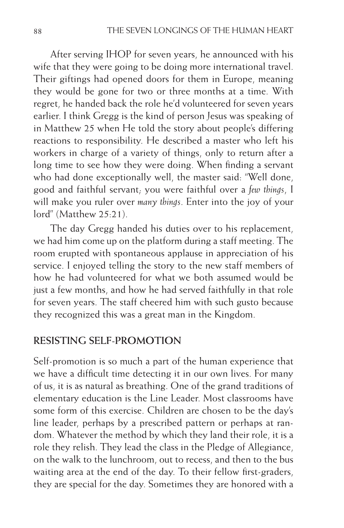After serving IHOP for seven years, he announced with his wife that they were going to be doing more international travel. Their giftings had opened doors for them in Europe, meaning they would be gone for two or three months at a time. With regret, he handed back the role he'd volunteered for seven years earlier. I think Gregg is the kind of person Jesus was speaking of in Matthew 25 when He told the story about people's differing reactions to responsibility. He described a master who left his workers in charge of a variety of things, only to return after a long time to see how they were doing. When finding a servant who had done exceptionally well, the master said: "Well done, good and faithful servant; you were faithful over a *few things*, I will make you ruler over *many things*. Enter into the joy of your lord" (Matthew 25:21).

The day Gregg handed his duties over to his replacement, we had him come up on the platform during a staff meeting. The room erupted with spontaneous applause in appreciation of his service. I enjoyed telling the story to the new staff members of how he had volunteered for what we both assumed would be just a few months, and how he had served faithfully in that role for seven years. The staff cheered him with such gusto because they recognized this was a great man in the Kingdom.

## **RESISTING SELF-PROMOTION**

Self-promotion is so much a part of the human experience that we have a difficult time detecting it in our own lives. For many of us, it is as natural as breathing. One of the grand traditions of elementary education is the Line Leader. Most classrooms have some form of this exercise. Children are chosen to be the day's line leader, perhaps by a prescribed pattern or perhaps at random. Whatever the method by which they land their role, it is a role they relish. They lead the class in the Pledge of Allegiance, on the walk to the lunchroom, out to recess, and then to the bus waiting area at the end of the day. To their fellow first-graders, they are special for the day. Sometimes they are honored with a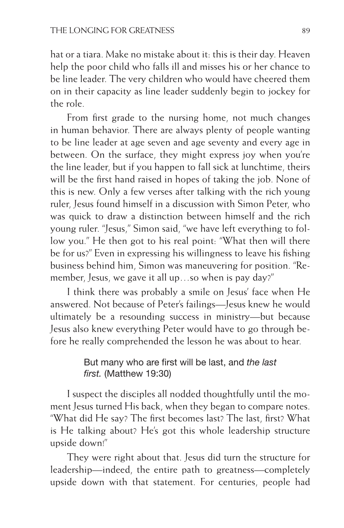hat or a tiara. Make no mistake about it: this is their day. Heaven help the poor child who falls ill and misses his or her chance to be line leader. The very children who would have cheered them on in their capacity as line leader suddenly begin to jockey for the role.

From first grade to the nursing home, not much changes in human behavior. There are always plenty of people wanting to be line leader at age seven and age seventy and every age in between. On the surface, they might express joy when you're the line leader, but if you happen to fall sick at lunchtime, theirs will be the first hand raised in hopes of taking the job. None of this is new. Only a few verses after talking with the rich young ruler, Jesus found himself in a discussion with Simon Peter, who was quick to draw a distinction between himself and the rich young ruler. "Jesus," Simon said, "we have left everything to follow you." He then got to his real point: "What then will there be for us?" Even in expressing his willingness to leave his fishing business behind him, Simon was maneuvering for position. "Remember, Jesus, we gave it all up…so when is pay day?"

I think there was probably a smile on Jesus' face when He answered. Not because of Peter's failings—Jesus knew he would ultimately be a resounding success in ministry—but because Jesus also knew everything Peter would have to go through before he really comprehended the lesson he was about to hear.

#### But many who are first will be last, and *the last first.* (Matthew 19:30)

I suspect the disciples all nodded thoughtfully until the moment Jesus turned His back, when they began to compare notes. "What did He say? The first becomes last? The last, first? What is He talking about? He's got this whole leadership structure upside down!"

They were right about that. Jesus did turn the structure for leadership—indeed, the entire path to greatness—completely upside down with that statement. For centuries, people had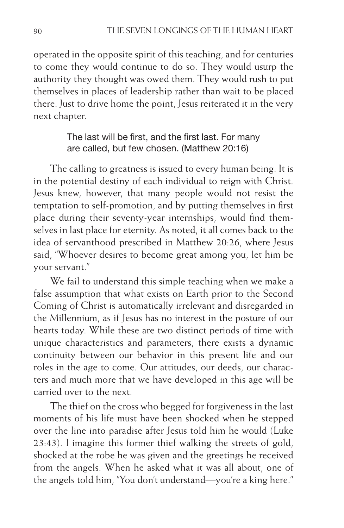operated in the opposite spirit of this teaching, and for centuries to come they would continue to do so. They would usurp the authority they thought was owed them. They would rush to put themselves in places of leadership rather than wait to be placed there. Just to drive home the point, Jesus reiterated it in the very next chapter.

#### The last will be first, and the first last. For many are called, but few chosen. (Matthew 20:16)

The calling to greatness is issued to every human being. It is in the potential destiny of each individual to reign with Christ. Jesus knew, however, that many people would not resist the temptation to self-promotion, and by putting themselves in first place during their seventy-year internships, would find themselves in last place for eternity. As noted, it all comes back to the idea of servanthood prescribed in Matthew 20:26, where Jesus said, "Whoever desires to become great among you, let him be your servant."

We fail to understand this simple teaching when we make a false assumption that what exists on Earth prior to the Second Coming of Christ is automatically irrelevant and disregarded in the Millennium, as if Jesus has no interest in the posture of our hearts today. While these are two distinct periods of time with unique characteristics and parameters, there exists a dynamic continuity between our behavior in this present life and our roles in the age to come. Our attitudes, our deeds, our characters and much more that we have developed in this age will be carried over to the next.

The thief on the cross who begged for forgiveness in the last moments of his life must have been shocked when he stepped over the line into paradise after Jesus told him he would (Luke 23:43). I imagine this former thief walking the streets of gold, shocked at the robe he was given and the greetings he received from the angels. When he asked what it was all about, one of the angels told him, "You don't understand—you're a king here."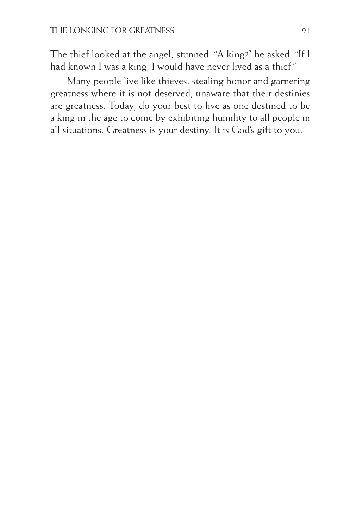The thief looked at the angel, stunned. "A king?" he asked. "If I had known I was a king, I would have never lived as a thief!"

Many people live like thieves, stealing honor and garnering greatness where it is not deserved, unaware that their destinies are greatness. Today, do your best to live as one destined to be a king in the age to come by exhibiting humility to all people in all situations. Greatness is your destiny. It is God's gift to you.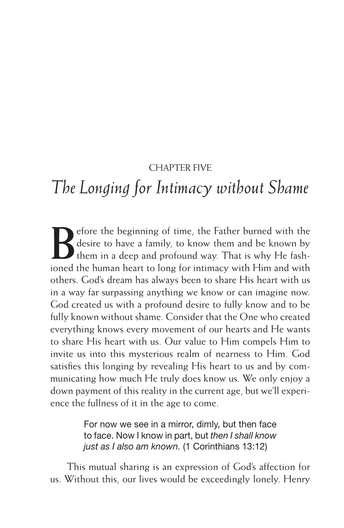## CHAPTER FIVE

## *The Longing for Intimacy without Shame*

**B** efore the beginning of time, the Father burned with the desire to have a family, to know them and be known by them in a deep and profound way. That is why He fashdesire to have a family, to know them and be known by ioned the human heart to long for intimacy with Him and with others. God's dream has always been to share His heart with us in a way far surpassing anything we know or can imagine now. God created us with a profound desire to fully know and to be fully known without shame. Consider that the One who created everything knows every movement of our hearts and He wants to share His heart with us. Our value to Him compels Him to invite us into this mysterious realm of nearness to Him. God satisfies this longing by revealing His heart to us and by communicating how much He truly does know us. We only enjoy a down payment of this reality in the current age, but we'll experience the fullness of it in the age to come.

> For now we see in a mirror, dimly, but then face to face. Now I know in part, but *then I shall know just as I also am known.* (1 Corinthians 13:12)

This mutual sharing is an expression of God's affection for us. Without this, our lives would be exceedingly lonely. Henry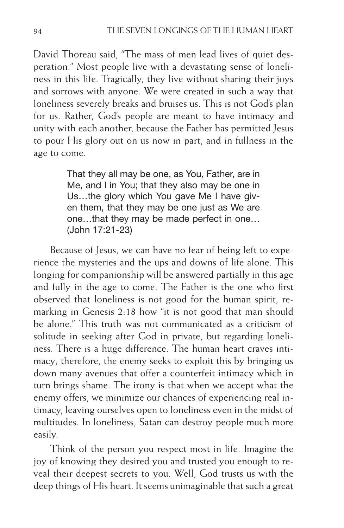David Thoreau said, "The mass of men lead lives of quiet desperation." Most people live with a devastating sense of loneliness in this life. Tragically, they live without sharing their joys and sorrows with anyone. We were created in such a way that loneliness severely breaks and bruises us. This is not God's plan for us. Rather, God's people are meant to have intimacy and unity with each another, because the Father has permitted Jesus to pour His glory out on us now in part, and in fullness in the age to come.

> That they all may be one, as You, Father, are in Me, and I in You; that they also may be one in Us…the glory which You gave Me I have given them, that they may be one just as We are one…that they may be made perfect in one… (John 17:21-23)

Because of Jesus, we can have no fear of being left to experience the mysteries and the ups and downs of life alone. This longing for companionship will be answered partially in this age and fully in the age to come. The Father is the one who first observed that loneliness is not good for the human spirit, remarking in Genesis 2:18 how "it is not good that man should be alone." This truth was not communicated as a criticism of solitude in seeking after God in private, but regarding loneliness. There is a huge difference. The human heart craves intimacy; therefore, the enemy seeks to exploit this by bringing us down many avenues that offer a counterfeit intimacy which in turn brings shame. The irony is that when we accept what the enemy offers, we minimize our chances of experiencing real intimacy, leaving ourselves open to loneliness even in the midst of multitudes. In loneliness, Satan can destroy people much more easily.

Think of the person you respect most in life. Imagine the joy of knowing they desired you and trusted you enough to reveal their deepest secrets to you. Well, God trusts us with the deep things of His heart. It seems unimaginable that such a great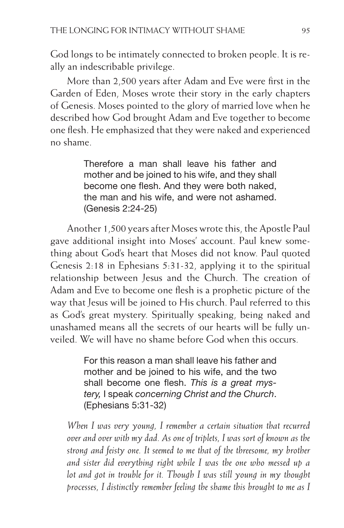God longs to be intimately connected to broken people. It is really an indescribable privilege.

More than 2,500 years after Adam and Eve were first in the Garden of Eden, Moses wrote their story in the early chapters of Genesis. Moses pointed to the glory of married love when he described how God brought Adam and Eve together to become one flesh. He emphasized that they were naked and experienced no shame.

> Therefore a man shall leave his father and mother and be joined to his wife, and they shall become one flesh. And they were both naked, the man and his wife, and were not ashamed. (Genesis 2:24-25)

Another 1,500 years after Moses wrote this, the Apostle Paul gave additional insight into Moses' account. Paul knew something about God's heart that Moses did not know. Paul quoted Genesis 2:18 in Ephesians 5:31-32, applying it to the spiritual relationship between Jesus and the Church. The creation of Adam and Eve to become one flesh is a prophetic picture of the way that Jesus will be joined to His church. Paul referred to this as God's great mystery. Spiritually speaking, being naked and unashamed means all the secrets of our hearts will be fully unveiled. We will have no shame before God when this occurs.

> For this reason a man shall leave his father and mother and be joined to his wife, and the two shall become one flesh. *This is a great mystery,* I speak *concerning Christ and the Church*. (Ephesians 5:31-32)

*When I was very young, I remember a certain situation that recurred over and over with my dad. As one of triplets, I was sort of known as the strong and feisty one. It seemed to me that of the threesome, my brother and sister did everything right while I was the one who messed up a lot and got in trouble for it. Though I was still young in my thought processes, I distinctly remember feeling the shame this brought to me as I*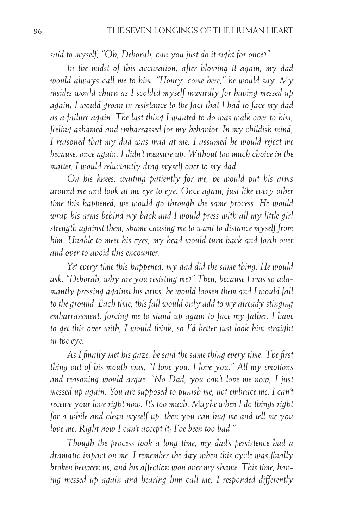*said to myself, "Oh, Deborah, can you just do it right for once?"*

*In the midst of this accusation, after blowing it again, my dad would always call me to him. "Honey, come here," he would say. My insides would churn as I scolded myself inwardly for having messed up again; I would groan in resistance to the fact that I had to face my dad as a failure again. The last thing I wanted to do was walk over to him, feeling ashamed and embarrassed for my behavior. In my childish mind, I reasoned that my dad was mad at me. I assumed he would reject me because, once again, I didn't measure up. Without too much choice in the matter, I would reluctantly drag myself over to my dad.*

*On his knees, waiting patiently for me, he would put his arms around me and look at me eye to eye. Once again, just like every other time this happened, we would go through the same process. He would wrap his arms behind my back and I would press with all my little girl strength against them, shame causing me to want to distance myself from him. Unable to meet his eyes, my head would turn back and forth over and over to avoid this encounter.*

*Yet every time this happened, my dad did the same thing. He would ask, "Deborah, why are you resisting me?" Then, because I was so adamantly pressing against his arms, he would loosen them and I would fall to the ground. Each time, this fall would only add to my already stinging embarrassment, forcing me to stand up again to face my father. I have to get this over with, I would think, so I'd better just look him straight in the eye.*

*As I finally met his gaze, he said the same thing every time. The first thing out of his mouth was, "I love you. I love you." All my emotions and reasoning would argue. "No Dad, you can't love me now; I just messed up again. You are supposed to punish me, not embrace me. I can't receive your love right now. It's too much. Maybe when I do things right for a while and clean myself up, then you can hug me and tell me you love me. Right now I can't accept it; I've been too bad."*

*Though the process took a long time, my dad's persistence had a dramatic impact on me. I remember the day when this cycle was finally broken between us, and his affection won over my shame. This time, having messed up again and hearing him call me, I responded differently*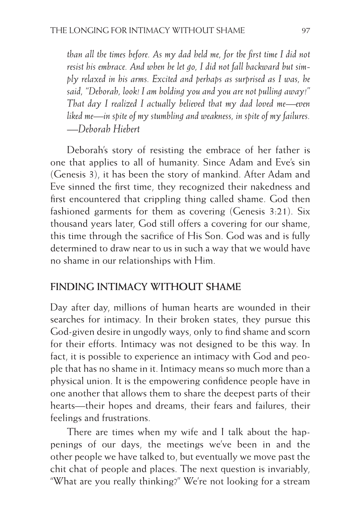*than all the times before. As my dad held me, for the first time I did not resist his embrace. And when he let go, I did not fall backward but simply relaxed in his arms. Excited and perhaps as surprised as I was, he said, "Deborah, look! I am holding you and you are not pulling away!" That day I realized I actually believed that my dad loved me—even liked me—in spite of my stumbling and weakness, in spite of my failures. —Deborah Hiebert*

Deborah's story of resisting the embrace of her father is one that applies to all of humanity. Since Adam and Eve's sin (Genesis 3), it has been the story of mankind. After Adam and Eve sinned the first time, they recognized their nakedness and first encountered that crippling thing called shame. God then fashioned garments for them as covering (Genesis 3:21). Six thousand years later, God still offers a covering for our shame, this time through the sacrifice of His Son. God was and is fully determined to draw near to us in such a way that we would have no shame in our relationships with Him.

#### **FINDING INTIMACY WITHOUT SHAME**

Day after day, millions of human hearts are wounded in their searches for intimacy. In their broken states, they pursue this God-given desire in ungodly ways, only to find shame and scorn for their efforts. Intimacy was not designed to be this way. In fact, it is possible to experience an intimacy with God and people that has no shame in it. Intimacy means so much more than a physical union. It is the empowering confidence people have in one another that allows them to share the deepest parts of their hearts—their hopes and dreams, their fears and failures, their feelings and frustrations.

There are times when my wife and I talk about the happenings of our days, the meetings we've been in and the other people we have talked to, but eventually we move past the chit chat of people and places. The next question is invariably, "What are you really thinking?" We're not looking for a stream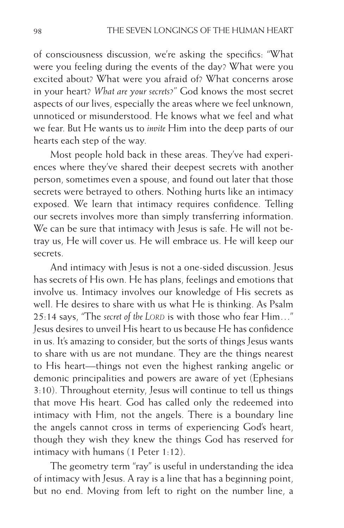of consciousness discussion, we're asking the specifics: "What were you feeling during the events of the day? What were you excited about? What were you afraid of? What concerns arose in your heart? *What are your secrets?"* God knows the most secret aspects of our lives, especially the areas where we feel unknown, unnoticed or misunderstood. He knows what we feel and what we fear. But He wants us to *invite* Him into the deep parts of our hearts each step of the way.

Most people hold back in these areas. They've had experiences where they've shared their deepest secrets with another person, sometimes even a spouse, and found out later that those secrets were betrayed to others. Nothing hurts like an intimacy exposed. We learn that intimacy requires confidence. Telling our secrets involves more than simply transferring information. We can be sure that intimacy with Jesus is safe. He will not betray us, He will cover us. He will embrace us. He will keep our secrets.

And intimacy with Jesus is not a one-sided discussion. Jesus has secrets of His own. He has plans, feelings and emotions that involve us. Intimacy involves our knowledge of His secrets as well. He desires to share with us what He is thinking. As Psalm 25:14 says, "The *secret of the LORD* is with those who fear Him…" Jesus desires to unveil His heart to us because He has confidence in us. It's amazing to consider, but the sorts of things Jesus wants to share with us are not mundane. They are the things nearest to His heart—things not even the highest ranking angelic or demonic principalities and powers are aware of yet (Ephesians 3:10). Throughout eternity, Jesus will continue to tell us things that move His heart. God has called only the redeemed into intimacy with Him, not the angels. There is a boundary line the angels cannot cross in terms of experiencing God's heart, though they wish they knew the things God has reserved for intimacy with humans (1 Peter 1:12).

The geometry term "ray" is useful in understanding the idea of intimacy with Jesus. A ray is a line that has a beginning point, but no end. Moving from left to right on the number line, a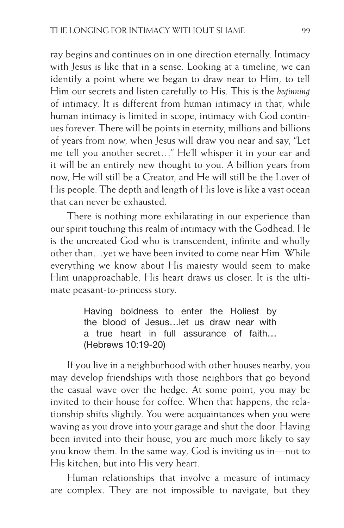ray begins and continues on in one direction eternally. Intimacy with Jesus is like that in a sense. Looking at a timeline, we can identify a point where we began to draw near to Him, to tell Him our secrets and listen carefully to His. This is the *beginning* of intimacy. It is different from human intimacy in that, while human intimacy is limited in scope, intimacy with God continues forever. There will be points in eternity, millions and billions of years from now, when Jesus will draw you near and say, "Let me tell you another secret…" He'll whisper it in your ear and it will be an entirely new thought to you. A billion years from now, He will still be a Creator, and He will still be the Lover of His people. The depth and length of His love is like a vast ocean that can never be exhausted.

There is nothing more exhilarating in our experience than our spirit touching this realm of intimacy with the Godhead. He is the uncreated God who is transcendent, infinite and wholly other than…yet we have been invited to come near Him. While everything we know about His majesty would seem to make Him unapproachable, His heart draws us closer. It is the ultimate peasant-to-princess story.

> Having boldness to enter the Holiest by the blood of Jesus…let us draw near with a true heart in full assurance of faith… (Hebrews 10:19-20)

If you live in a neighborhood with other houses nearby, you may develop friendships with those neighbors that go beyond the casual wave over the hedge. At some point, you may be invited to their house for coffee. When that happens, the relationship shifts slightly. You were acquaintances when you were waving as you drove into your garage and shut the door. Having been invited into their house, you are much more likely to say you know them. In the same way, God is inviting us in—not to His kitchen, but into His very heart.

Human relationships that involve a measure of intimacy are complex. They are not impossible to navigate, but they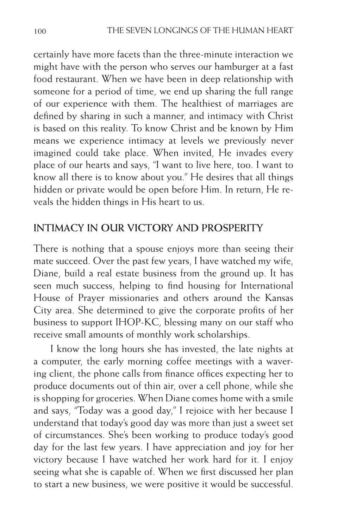certainly have more facets than the three-minute interaction we might have with the person who serves our hamburger at a fast food restaurant. When we have been in deep relationship with someone for a period of time, we end up sharing the full range of our experience with them. The healthiest of marriages are defined by sharing in such a manner, and intimacy with Christ is based on this reality. To know Christ and be known by Him means we experience intimacy at levels we previously never imagined could take place. When invited, He invades every place of our hearts and says, "I want to live here, too. I want to know all there is to know about you." He desires that all things hidden or private would be open before Him. In return, He reveals the hidden things in His heart to us.

#### **INTIMACY IN OUR VICTORY AND PROSPERITY**

There is nothing that a spouse enjoys more than seeing their mate succeed. Over the past few years, I have watched my wife, Diane, build a real estate business from the ground up. It has seen much success, helping to find housing for International House of Prayer missionaries and others around the Kansas City area. She determined to give the corporate profits of her business to support IHOP-KC, blessing many on our staff who receive small amounts of monthly work scholarships.

I know the long hours she has invested, the late nights at a computer, the early morning coffee meetings with a wavering client, the phone calls from finance offices expecting her to produce documents out of thin air, over a cell phone, while she is shopping for groceries. When Diane comes home with a smile and says, "Today was a good day," I rejoice with her because I understand that today's good day was more than just a sweet set of circumstances. She's been working to produce today's good day for the last few years. I have appreciation and joy for her victory because I have watched her work hard for it. I enjoy seeing what she is capable of. When we first discussed her plan to start a new business, we were positive it would be successful.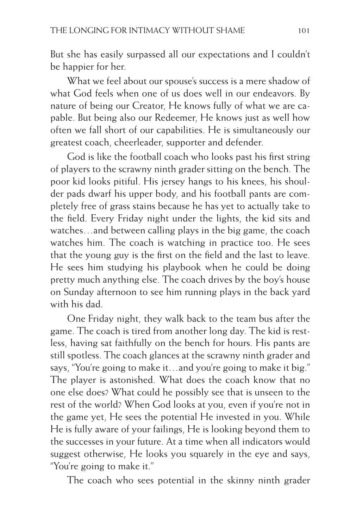But she has easily surpassed all our expectations and I couldn't be happier for her.

What we feel about our spouse's success is a mere shadow of what God feels when one of us does well in our endeavors. By nature of being our Creator, He knows fully of what we are capable. But being also our Redeemer, He knows just as well how often we fall short of our capabilities. He is simultaneously our greatest coach, cheerleader, supporter and defender.

God is like the football coach who looks past his first string of players to the scrawny ninth grader sitting on the bench. The poor kid looks pitiful. His jersey hangs to his knees, his shoulder pads dwarf his upper body, and his football pants are completely free of grass stains because he has yet to actually take to the field. Every Friday night under the lights, the kid sits and watches…and between calling plays in the big game, the coach watches him. The coach is watching in practice too. He sees that the young guy is the first on the field and the last to leave. He sees him studying his playbook when he could be doing pretty much anything else. The coach drives by the boy's house on Sunday afternoon to see him running plays in the back yard with his dad.

One Friday night, they walk back to the team bus after the game. The coach is tired from another long day. The kid is restless, having sat faithfully on the bench for hours. His pants are still spotless. The coach glances at the scrawny ninth grader and says, "You're going to make it…and you're going to make it big." The player is astonished. What does the coach know that no one else does? What could he possibly see that is unseen to the rest of the world? When God looks at you, even if you're not in the game yet, He sees the potential He invested in you. While He is fully aware of your failings, He is looking beyond them to the successes in your future. At a time when all indicators would suggest otherwise, He looks you squarely in the eye and says, "You're going to make it."

The coach who sees potential in the skinny ninth grader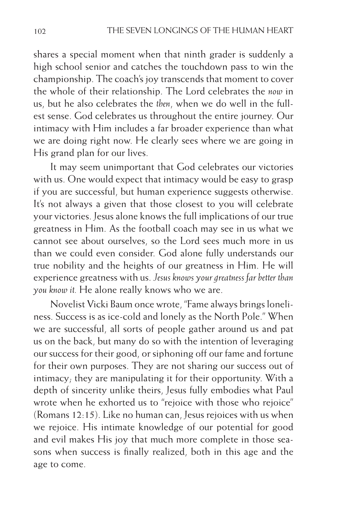shares a special moment when that ninth grader is suddenly a high school senior and catches the touchdown pass to win the championship. The coach's joy transcends that moment to cover the whole of their relationship. The Lord celebrates the *now* in us, but he also celebrates the *then*, when we do well in the fullest sense. God celebrates us throughout the entire journey. Our intimacy with Him includes a far broader experience than what we are doing right now. He clearly sees where we are going in His grand plan for our lives.

It may seem unimportant that God celebrates our victories with us. One would expect that intimacy would be easy to grasp if you are successful, but human experience suggests otherwise. It's not always a given that those closest to you will celebrate your victories. Jesus alone knows the full implications of our true greatness in Him. As the football coach may see in us what we cannot see about ourselves, so the Lord sees much more in us than we could even consider. God alone fully understands our true nobility and the heights of our greatness in Him. He will experience greatness with us. *Jesus knows your greatness far better than you know it.* He alone really knows who we are.

Novelist Vicki Baum once wrote, "Fame always brings loneliness. Success is as ice-cold and lonely as the North Pole." When we are successful, all sorts of people gather around us and pat us on the back, but many do so with the intention of leveraging our success for their good, or siphoning off our fame and fortune for their own purposes. They are not sharing our success out of intimacy; they are manipulating it for their opportunity. With a depth of sincerity unlike theirs, Jesus fully embodies what Paul wrote when he exhorted us to "rejoice with those who rejoice" (Romans 12:15). Like no human can, Jesus rejoices with us when we rejoice. His intimate knowledge of our potential for good and evil makes His joy that much more complete in those seasons when success is finally realized, both in this age and the age to come.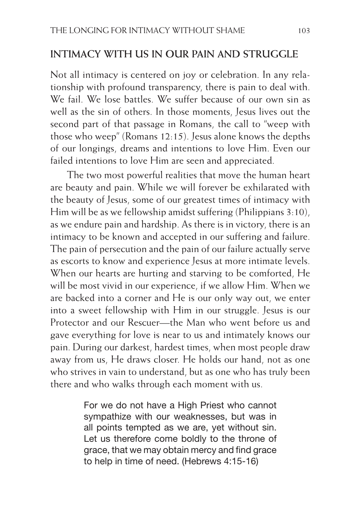#### **INTIMACY WITH US IN OUR PAIN AND STRUGGLE**

Not all intimacy is centered on joy or celebration. In any relationship with profound transparency, there is pain to deal with. We fail. We lose battles. We suffer because of our own sin as well as the sin of others. In those moments, Jesus lives out the second part of that passage in Romans, the call to "weep with those who weep" (Romans 12:15). Jesus alone knows the depths of our longings, dreams and intentions to love Him. Even our failed intentions to love Him are seen and appreciated.

The two most powerful realities that move the human heart are beauty and pain. While we will forever be exhilarated with the beauty of Jesus, some of our greatest times of intimacy with Him will be as we fellowship amidst suffering (Philippians 3:10), as we endure pain and hardship. As there is in victory, there is an intimacy to be known and accepted in our suffering and failure. The pain of persecution and the pain of our failure actually serve as escorts to know and experience Jesus at more intimate levels. When our hearts are hurting and starving to be comforted, He will be most vivid in our experience, if we allow Him. When we are backed into a corner and He is our only way out, we enter into a sweet fellowship with Him in our struggle. Jesus is our Protector and our Rescuer—the Man who went before us and gave everything for love is near to us and intimately knows our pain. During our darkest, hardest times, when most people draw away from us, He draws closer. He holds our hand, not as one who strives in vain to understand, but as one who has truly been there and who walks through each moment with us.

> For we do not have a High Priest who cannot sympathize with our weaknesses, but was in all points tempted as we are, yet without sin. Let us therefore come boldly to the throne of grace, that we may obtain mercy and find grace to help in time of need. (Hebrews 4:15-16)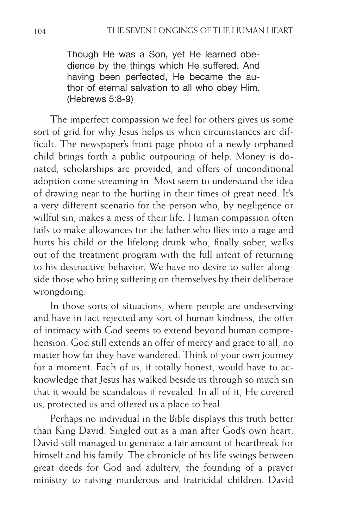Though He was a Son, yet He learned obedience by the things which He suffered. And having been perfected, He became the author of eternal salvation to all who obey Him. (Hebrews 5:8-9)

The imperfect compassion we feel for others gives us some sort of grid for why Jesus helps us when circumstances are difficult. The newspaper's front-page photo of a newly-orphaned child brings forth a public outpouring of help. Money is donated, scholarships are provided, and offers of unconditional adoption come streaming in. Most seem to understand the idea of drawing near to the hurting in their times of great need. It's a very different scenario for the person who, by negligence or willful sin, makes a mess of their life. Human compassion often fails to make allowances for the father who flies into a rage and hurts his child or the lifelong drunk who, finally sober, walks out of the treatment program with the full intent of returning to his destructive behavior. We have no desire to suffer alongside those who bring suffering on themselves by their deliberate wrongdoing.

In those sorts of situations, where people are undeserving and have in fact rejected any sort of human kindness, the offer of intimacy with God seems to extend beyond human comprehension. God still extends an offer of mercy and grace to all, no matter how far they have wandered. Think of your own journey for a moment. Each of us, if totally honest, would have to acknowledge that Jesus has walked beside us through so much sin that it would be scandalous if revealed. In all of it, He covered us, protected us and offered us a place to heal.

Perhaps no individual in the Bible displays this truth better than King David. Singled out as a man after God's own heart, David still managed to generate a fair amount of heartbreak for himself and his family. The chronicle of his life swings between great deeds for God and adultery, the founding of a prayer ministry to raising murderous and fratricidal children. David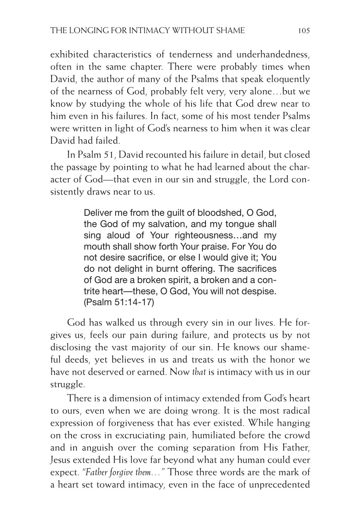exhibited characteristics of tenderness and underhandedness, often in the same chapter. There were probably times when David, the author of many of the Psalms that speak eloquently of the nearness of God, probably felt very, very alone…but we know by studying the whole of his life that God drew near to him even in his failures. In fact, some of his most tender Psalms were written in light of God's nearness to him when it was clear David had failed.

In Psalm 51, David recounted his failure in detail, but closed the passage by pointing to what he had learned about the character of God—that even in our sin and struggle, the Lord consistently draws near to us.

> Deliver me from the guilt of bloodshed, O God, the God of my salvation, and my tongue shall sing aloud of Your righteousness…and my mouth shall show forth Your praise. For You do not desire sacrifice, or else I would give it; You do not delight in burnt offering. The sacrifices of God are a broken spirit, a broken and a contrite heart—these, O God, You will not despise. (Psalm 51:14-17)

God has walked us through every sin in our lives. He forgives us, feels our pain during failure, and protects us by not disclosing the vast majority of our sin. He knows our shameful deeds, yet believes in us and treats us with the honor we have not deserved or earned. Now *that* is intimacy with us in our struggle.

There is a dimension of intimacy extended from God's heart to ours, even when we are doing wrong. It is the most radical expression of forgiveness that has ever existed. While hanging on the cross in excruciating pain, humiliated before the crowd and in anguish over the coming separation from His Father, Jesus extended His love far beyond what any human could ever expect. "*Father forgive them…"* Those three words are the mark of a heart set toward intimacy, even in the face of unprecedented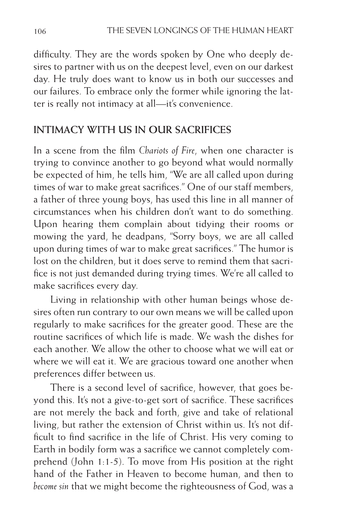difficulty. They are the words spoken by One who deeply desires to partner with us on the deepest level, even on our darkest day. He truly does want to know us in both our successes and our failures. To embrace only the former while ignoring the latter is really not intimacy at all—it's convenience.

## **INTIMACY WITH US IN OUR SACRIFICES**

In a scene from the film *Chariots of Fire*, when one character is trying to convince another to go beyond what would normally be expected of him, he tells him, "We are all called upon during times of war to make great sacrifices." One of our staff members, a father of three young boys, has used this line in all manner of circumstances when his children don't want to do something. Upon hearing them complain about tidying their rooms or mowing the yard, he deadpans, "Sorry boys, we are all called upon during times of war to make great sacrifices." The humor is lost on the children, but it does serve to remind them that sacrifice is not just demanded during trying times. We're all called to make sacrifices every day.

Living in relationship with other human beings whose desires often run contrary to our own means we will be called upon regularly to make sacrifices for the greater good. These are the routine sacrifices of which life is made. We wash the dishes for each another. We allow the other to choose what we will eat or where we will eat it. We are gracious toward one another when preferences differ between us.

There is a second level of sacrifice, however, that goes beyond this. It's not a give-to-get sort of sacrifice. These sacrifices are not merely the back and forth, give and take of relational living, but rather the extension of Christ within us. It's not difficult to find sacrifice in the life of Christ. His very coming to Earth in bodily form was a sacrifice we cannot completely comprehend (John 1:1-5). To move from His position at the right hand of the Father in Heaven to become human, and then to *become sin* that we might become the righteousness of God, was a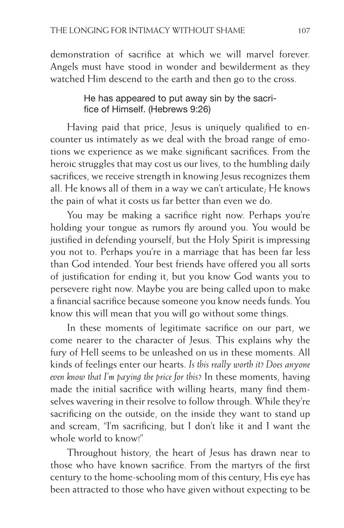demonstration of sacrifice at which we will marvel forever. Angels must have stood in wonder and bewilderment as they watched Him descend to the earth and then go to the cross.

> He has appeared to put away sin by the sacrifice of Himself. (Hebrews 9:26)

Having paid that price, Jesus is uniquely qualified to encounter us intimately as we deal with the broad range of emotions we experience as we make significant sacrifices. From the heroic struggles that may cost us our lives, to the humbling daily sacrifices, we receive strength in knowing Jesus recognizes them all. He knows all of them in a way we can't articulate; He knows the pain of what it costs us far better than even we do.

You may be making a sacrifice right now. Perhaps you're holding your tongue as rumors fly around you. You would be justified in defending yourself, but the Holy Spirit is impressing you not to. Perhaps you're in a marriage that has been far less than God intended. Your best friends have offered you all sorts of justification for ending it, but you know God wants you to persevere right now. Maybe you are being called upon to make a financial sacrifice because someone you know needs funds. You know this will mean that you will go without some things.

In these moments of legitimate sacrifice on our part, we come nearer to the character of Jesus. This explains why the fury of Hell seems to be unleashed on us in these moments. All kinds of feelings enter our hearts. *Is this really worth it? Does anyone even know that I'm paying the price for this?* In these moments, having made the initial sacrifice with willing hearts, many find themselves wavering in their resolve to follow through. While they're sacrificing on the outside, on the inside they want to stand up and scream, "I'm sacrificing, but I don't like it and I want the whole world to know!"

Throughout history, the heart of Jesus has drawn near to those who have known sacrifice. From the martyrs of the first century to the home-schooling mom of this century, His eye has been attracted to those who have given without expecting to be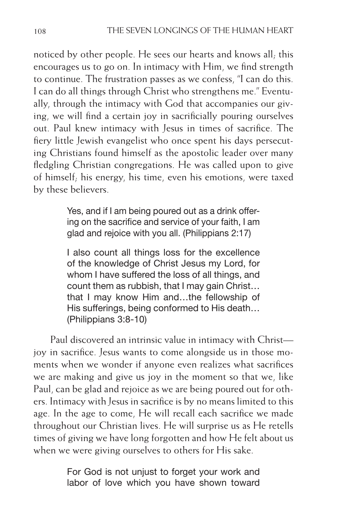noticed by other people. He sees our hearts and knows all; this encourages us to go on. In intimacy with Him, we find strength to continue. The frustration passes as we confess, "I can do this. I can do all things through Christ who strengthens me." Eventually, through the intimacy with God that accompanies our giving, we will find a certain joy in sacrificially pouring ourselves out. Paul knew intimacy with Jesus in times of sacrifice. The fiery little Jewish evangelist who once spent his days persecuting Christians found himself as the apostolic leader over many fledgling Christian congregations. He was called upon to give of himself; his energy, his time, even his emotions, were taxed by these believers.

> Yes, and if I am being poured out as a drink offering on the sacrifice and service of your faith, I am glad and rejoice with you all. (Philippians 2:17)

> I also count all things loss for the excellence of the knowledge of Christ Jesus my Lord, for whom I have suffered the loss of all things, and count them as rubbish, that I may gain Christ… that I may know Him and…the fellowship of His sufferings, being conformed to His death… (Philippians 3:8-10)

Paul discovered an intrinsic value in intimacy with Christ joy in sacrifice. Jesus wants to come alongside us in those moments when we wonder if anyone even realizes what sacrifices we are making and give us joy in the moment so that we, like Paul, can be glad and rejoice as we are being poured out for others. Intimacy with Jesus in sacrifice is by no means limited to this age. In the age to come, He will recall each sacrifice we made throughout our Christian lives. He will surprise us as He retells times of giving we have long forgotten and how He felt about us when we were giving ourselves to others for His sake.

> For God is not unjust to forget your work and labor of love which you have shown toward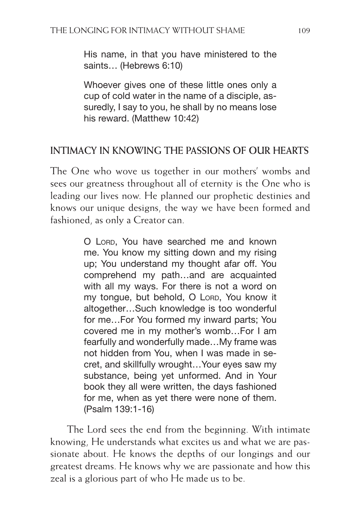His name, in that you have ministered to the saints… (Hebrews 6:10)

Whoever gives one of these little ones only a cup of cold water in the name of a disciple, assuredly, I say to you, he shall by no means lose his reward. (Matthew 10:42)

# **INTIMACY IN KNOWING THE PASSIONS OF OUR HEARTS**

The One who wove us together in our mothers' wombs and sees our greatness throughout all of eternity is the One who is leading our lives now. He planned our prophetic destinies and knows our unique designs, the way we have been formed and fashioned, as only a Creator can.

> O LORD, You have searched me and known me. You know my sitting down and my rising up; You understand my thought afar off. You comprehend my path…and are acquainted with all my ways. For there is not a word on my tongue, but behold, O LORD, You know it altogether…Such knowledge is too wonderful for me…For You formed my inward parts; You covered me in my mother's womb…For I am fearfully and wonderfully made…My frame was not hidden from You, when I was made in secret, and skillfully wrought…Your eyes saw my substance, being yet unformed. And in Your book they all were written, the days fashioned for me, when as yet there were none of them. (Psalm 139:1-16)

The Lord sees the end from the beginning. With intimate knowing, He understands what excites us and what we are passionate about. He knows the depths of our longings and our greatest dreams. He knows why we are passionate and how this zeal is a glorious part of who He made us to be.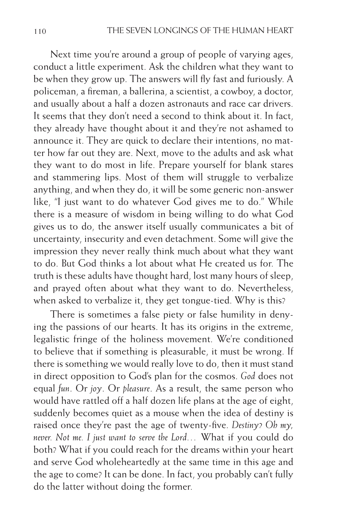Next time you're around a group of people of varying ages, conduct a little experiment. Ask the children what they want to be when they grow up. The answers will fly fast and furiously. A policeman, a fireman, a ballerina, a scientist, a cowboy, a doctor, and usually about a half a dozen astronauts and race car drivers. It seems that they don't need a second to think about it. In fact, they already have thought about it and they're not ashamed to announce it. They are quick to declare their intentions, no matter how far out they are. Next, move to the adults and ask what they want to do most in life. Prepare yourself for blank stares and stammering lips. Most of them will struggle to verbalize anything, and when they do, it will be some generic non-answer like, "I just want to do whatever God gives me to do." While there is a measure of wisdom in being willing to do what God gives us to do, the answer itself usually communicates a bit of uncertainty, insecurity and even detachment. Some will give the impression they never really think much about what they want to do. But God thinks a lot about what He created us for. The truth is these adults have thought hard, lost many hours of sleep, and prayed often about what they want to do. Nevertheless, when asked to verbalize it, they get tongue-tied. Why is this?

There is sometimes a false piety or false humility in denying the passions of our hearts. It has its origins in the extreme, legalistic fringe of the holiness movement. We're conditioned to believe that if something is pleasurable, it must be wrong. If there is something we would really love to do, then it must stand in direct opposition to God's plan for the cosmos. *God* does not equal *fun*. Or *joy*. Or *pleasure*. As a result, the same person who would have rattled off a half dozen life plans at the age of eight, suddenly becomes quiet as a mouse when the idea of destiny is raised once they're past the age of twenty-five. *Destiny? Oh my, never. Not me. I just want to serve the Lord…* What if you could do both? What if you could reach for the dreams within your heart and serve God wholeheartedly at the same time in this age and the age to come? It can be done. In fact, you probably can't fully do the latter without doing the former.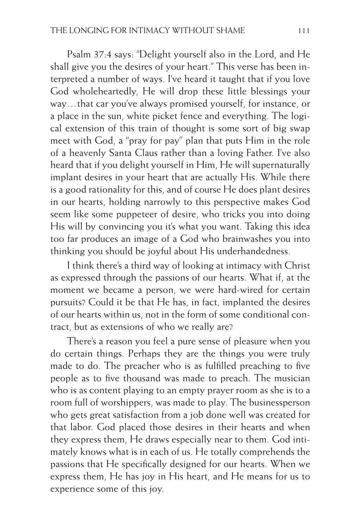Psalm 37:4 says: "Delight yourself also in the Lord, and He shall give you the desires of your heart." This verse has been interpreted a number of ways. I've heard it taught that if you love God wholeheartedly, He will drop these little blessings your way…that car you've always promised yourself, for instance, or a place in the sun, white picket fence and everything. The logical extension of this train of thought is some sort of big swap meet with God, a "pray for pay" plan that puts Him in the role of a heavenly Santa Claus rather than a loving Father. I've also heard that if you delight yourself in Him, He will supernaturally implant desires in your heart that are actually His. While there is a good rationality for this, and of course He does plant desires in our hearts, holding narrowly to this perspective makes God seem like some puppeteer of desire, who tricks you into doing His will by convincing you it's what you want. Taking this idea too far produces an image of a God who brainwashes you into thinking you should be joyful about His underhandedness.

I think there's a third way of looking at intimacy with Christ as expressed through the passions of our hearts. What if, at the moment we became a person, we were hard-wired for certain pursuits? Could it be that He has, in fact, implanted the desires of our hearts within us, not in the form of some conditional contract, but as extensions of who we really are?

There's a reason you feel a pure sense of pleasure when you do certain things. Perhaps they are the things you were truly made to do. The preacher who is as fulfilled preaching to five people as to five thousand was made to preach. The musician who is as content playing to an empty prayer room as she is to a room full of worshippers, was made to play. The businessperson who gets great satisfaction from a job done well was created for that labor. God placed those desires in their hearts and when they express them, He draws especially near to them. God intimately knows what is in each of us. He totally comprehends the passions that He specifically designed for our hearts. When we express them, He has joy in His heart, and He means for us to experience some of this joy.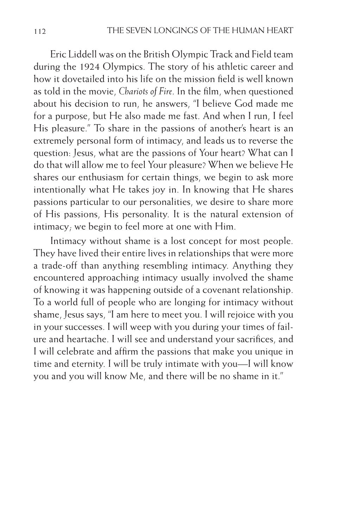Eric Liddell was on the British Olympic Track and Field team during the 1924 Olympics. The story of his athletic career and how it dovetailed into his life on the mission field is well known as told in the movie, *Chariots of Fire*. In the film, when questioned about his decision to run, he answers, "I believe God made me for a purpose, but He also made me fast. And when I run, I feel His pleasure." To share in the passions of another's heart is an extremely personal form of intimacy, and leads us to reverse the question: Jesus, what are the passions of Your heart? What can I do that will allow me to feel Your pleasure? When we believe He shares our enthusiasm for certain things, we begin to ask more intentionally what He takes joy in. In knowing that He shares passions particular to our personalities, we desire to share more of His passions, His personality. It is the natural extension of intimacy; we begin to feel more at one with Him.

Intimacy without shame is a lost concept for most people. They have lived their entire lives in relationships that were more a trade-off than anything resembling intimacy. Anything they encountered approaching intimacy usually involved the shame of knowing it was happening outside of a covenant relationship. To a world full of people who are longing for intimacy without shame, Jesus says, "I am here to meet you. I will rejoice with you in your successes. I will weep with you during your times of failure and heartache. I will see and understand your sacrifices, and I will celebrate and affirm the passions that make you unique in time and eternity. I will be truly intimate with you—I will know you and you will know Me, and there will be no shame in it."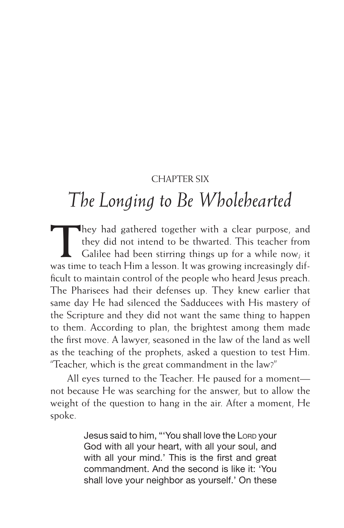#### CHAPTER SIX

# *The Longing to Be Wholehearted*

They had gathered together with a clear purpose, and<br>they did not intend to be thwarted. This teacher from<br>Galilee had been stirring things up for a while now, it they did not intend to be thwarted. This teacher from Galilee had been stirring things up for a while now; it was time to teach Him a lesson. It was growing increasingly difficult to maintain control of the people who heard Jesus preach. The Pharisees had their defenses up. They knew earlier that same day He had silenced the Sadducees with His mastery of the Scripture and they did not want the same thing to happen to them. According to plan, the brightest among them made the first move. A lawyer, seasoned in the law of the land as well as the teaching of the prophets, asked a question to test Him. "Teacher, which is the great commandment in the law?"

All eyes turned to the Teacher. He paused for a moment not because He was searching for the answer, but to allow the weight of the question to hang in the air. After a moment, He spoke.

> Jesus said to him, "'You shall love the LORD your God with all your heart, with all your soul, and with all your mind.' This is the first and great commandment. And the second is like it: 'You shall love your neighbor as yourself.' On these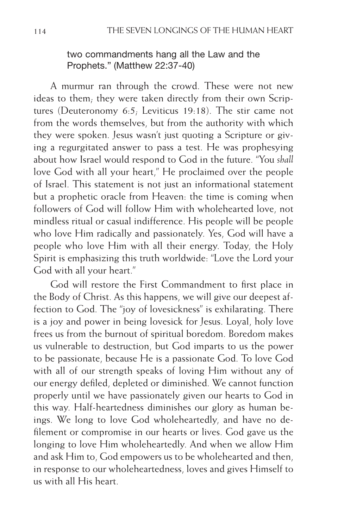#### two commandments hang all the Law and the Prophets." (Matthew 22:37-40)

A murmur ran through the crowd. These were not new ideas to them; they were taken directly from their own Scriptures (Deuteronomy 6:5; Leviticus 19:18). The stir came not from the words themselves, but from the authority with which they were spoken. Jesus wasn't just quoting a Scripture or giving a regurgitated answer to pass a test. He was prophesying about how Israel would respond to God in the future. "You *shall* love God with all your heart," He proclaimed over the people of Israel. This statement is not just an informational statement but a prophetic oracle from Heaven: the time is coming when followers of God will follow Him with wholehearted love, not mindless ritual or casual indifference. His people will be people who love Him radically and passionately. Yes, God will have a people who love Him with all their energy. Today, the Holy Spirit is emphasizing this truth worldwide: "Love the Lord your God with all your heart."

God will restore the First Commandment to first place in the Body of Christ. As this happens, we will give our deepest affection to God. The "joy of lovesickness" is exhilarating. There is a joy and power in being lovesick for Jesus. Loyal, holy love frees us from the burnout of spiritual boredom. Boredom makes us vulnerable to destruction, but God imparts to us the power to be passionate, because He is a passionate God. To love God with all of our strength speaks of loving Him without any of our energy defiled, depleted or diminished. We cannot function properly until we have passionately given our hearts to God in this way. Half-heartedness diminishes our glory as human beings. We long to love God wholeheartedly, and have no defilement or compromise in our hearts or lives. God gave us the longing to love Him wholeheartedly. And when we allow Him and ask Him to, God empowers us to be wholehearted and then, in response to our wholeheartedness, loves and gives Himself to us with all His heart.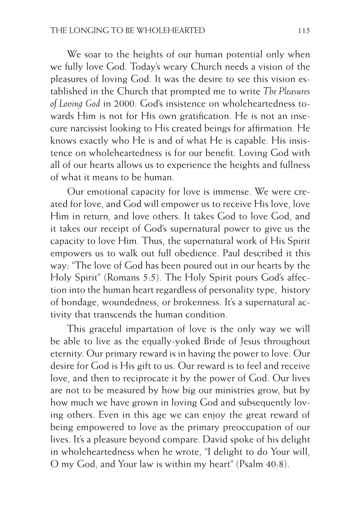We soar to the heights of our human potential only when we fully love God. Today's weary Church needs a vision of the pleasures of loving God. It was the desire to see this vision established in the Church that prompted me to write *The Pleasures of Loving God* in 2000. God's insistence on wholeheartedness towards Him is not for His own gratification. He is not an insecure narcissist looking to His created beings for affirmation. He knows exactly who He is and of what He is capable. His insistence on wholeheartedness is for our benefit. Loving God with all of our hearts allows us to experience the heights and fullness of what it means to be human.

Our emotional capacity for love is immense. We were created for love, and God will empower us to receive His love, love Him in return, and love others. It takes God to love God, and it takes our receipt of God's supernatural power to give us the capacity to love Him. Thus, the supernatural work of His Spirit empowers us to walk out full obedience. Paul described it this way: "The love of God has been poured out in our hearts by the Holy Spirit" (Romans 5:5). The Holy Spirit pours God's affection into the human heart regardless of personality type, history of bondage, woundedness, or brokenness. It's a supernatural activity that transcends the human condition.

This graceful impartation of love is the only way we will be able to live as the equally-yoked Bride of Jesus throughout eternity. Our primary reward is in having the power to love. Our desire for God is His gift to us. Our reward is to feel and receive love, and then to reciprocate it by the power of God. Our lives are not to be measured by how big our ministries grow, but by how much we have grown in loving God and subsequently loving others. Even in this age we can enjoy the great reward of being empowered to love as the primary preoccupation of our lives. It's a pleasure beyond compare. David spoke of his delight in wholeheartedness when he wrote, "I delight to do Your will, O my God, and Your law is within my heart" (Psalm 40:8).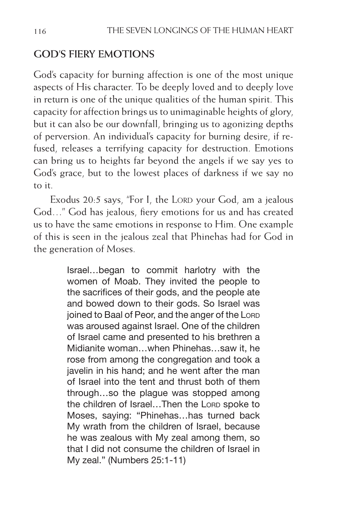# **GOD'S FIERY EMOTIONS**

God's capacity for burning affection is one of the most unique aspects of His character. To be deeply loved and to deeply love in return is one of the unique qualities of the human spirit. This capacity for affection brings us to unimaginable heights of glory, but it can also be our downfall, bringing us to agonizing depths of perversion. An individual's capacity for burning desire, if refused, releases a terrifying capacity for destruction. Emotions can bring us to heights far beyond the angels if we say yes to God's grace, but to the lowest places of darkness if we say no to it.

Exodus 20:5 says, "For I, the LORD your God, am a jealous God…" God has jealous, fiery emotions for us and has created us to have the same emotions in response to Him. One example of this is seen in the jealous zeal that Phinehas had for God in the generation of Moses.

> Israel…began to commit harlotry with the women of Moab. They invited the people to the sacrifices of their gods, and the people ate and bowed down to their gods. So Israel was joined to Baal of Peor, and the anger of the LORD was aroused against Israel. One of the children of Israel came and presented to his brethren a Midianite woman…when Phinehas…saw it, he rose from among the congregation and took a javelin in his hand; and he went after the man of Israel into the tent and thrust both of them through…so the plague was stopped among the children of Israel…Then the LORD spoke to Moses, saying: "Phinehas…has turned back My wrath from the children of Israel, because he was zealous with My zeal among them, so that I did not consume the children of Israel in My zeal." (Numbers 25:1-11)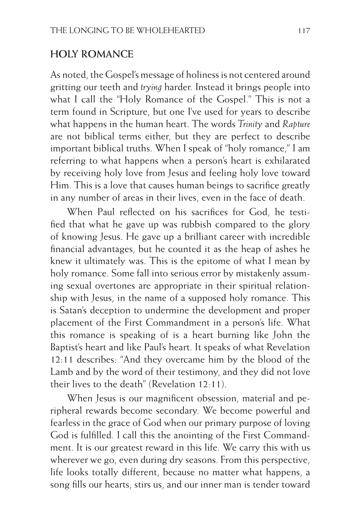#### **HOLY ROMANCE**

As noted, the Gospel's message of holiness is not centered around gritting our teeth and *trying* harder. Instead it brings people into what I call the "Holy Romance of the Gospel." This is not a term found in Scripture, but one I've used for years to describe what happens in the human heart. The words *Trinity* and *Rapture* are not biblical terms either, but they are perfect to describe important biblical truths. When I speak of "holy romance," I am referring to what happens when a person's heart is exhilarated by receiving holy love from Jesus and feeling holy love toward Him. This is a love that causes human beings to sacrifice greatly in any number of areas in their lives, even in the face of death.

When Paul reflected on his sacrifices for God, he testified that what he gave up was rubbish compared to the glory of knowing Jesus. He gave up a brilliant career with incredible financial advantages, but he counted it as the heap of ashes he knew it ultimately was. This is the epitome of what I mean by holy romance. Some fall into serious error by mistakenly assuming sexual overtones are appropriate in their spiritual relationship with Jesus, in the name of a supposed holy romance. This is Satan's deception to undermine the development and proper placement of the First Commandment in a person's life. What this romance is speaking of is a heart burning like John the Baptist's heart and like Paul's heart. It speaks of what Revelation 12:11 describes: "And they overcame him by the blood of the Lamb and by the word of their testimony, and they did not love their lives to the death" (Revelation 12:11).

When Jesus is our magnificent obsession, material and peripheral rewards become secondary. We become powerful and fearless in the grace of God when our primary purpose of loving God is fulfilled. I call this the anointing of the First Commandment. It is our greatest reward in this life. We carry this with us wherever we go, even during dry seasons. From this perspective, life looks totally different, because no matter what happens, a song fills our hearts, stirs us, and our inner man is tender toward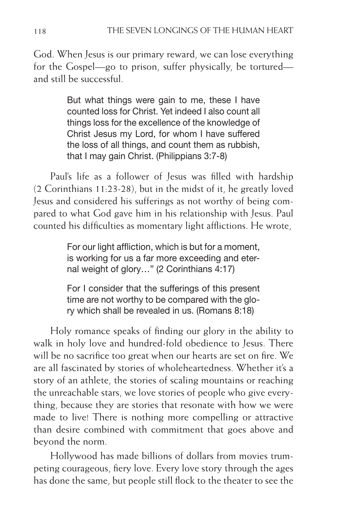God. When Jesus is our primary reward, we can lose everything for the Gospel—go to prison, suffer physically, be tortured and still be successful.

> But what things were gain to me, these I have counted loss for Christ. Yet indeed I also count all things loss for the excellence of the knowledge of Christ Jesus my Lord, for whom I have suffered the loss of all things, and count them as rubbish, that I may gain Christ. (Philippians 3:7-8)

Paul's life as a follower of Jesus was filled with hardship (2 Corinthians 11:23-28), but in the midst of it, he greatly loved Jesus and considered his sufferings as not worthy of being compared to what God gave him in his relationship with Jesus. Paul counted his difficulties as momentary light afflictions. He wrote,

> For our light affliction, which is but for a moment, is working for us a far more exceeding and eternal weight of glory…" (2 Corinthians 4:17)

> For I consider that the sufferings of this present time are not worthy to be compared with the glory which shall be revealed in us. (Romans 8:18)

Holy romance speaks of finding our glory in the ability to walk in holy love and hundred-fold obedience to Jesus. There will be no sacrifice too great when our hearts are set on fire. We are all fascinated by stories of wholeheartedness. Whether it's a story of an athlete, the stories of scaling mountains or reaching the unreachable stars, we love stories of people who give everything, because they are stories that resonate with how we were made to live! There is nothing more compelling or attractive than desire combined with commitment that goes above and beyond the norm.

Hollywood has made billions of dollars from movies trumpeting courageous, fiery love. Every love story through the ages has done the same, but people still flock to the theater to see the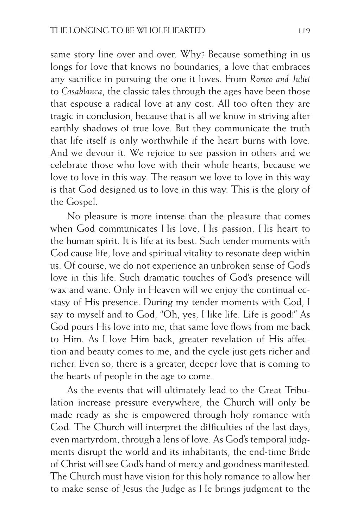same story line over and over. Why? Because something in us longs for love that knows no boundaries, a love that embraces any sacrifice in pursuing the one it loves. From *Romeo and Juliet*  to *Casablanca*, the classic tales through the ages have been those that espouse a radical love at any cost. All too often they are tragic in conclusion, because that is all we know in striving after earthly shadows of true love. But they communicate the truth that life itself is only worthwhile if the heart burns with love. And we devour it. We rejoice to see passion in others and we celebrate those who love with their whole hearts, because we love to love in this way. The reason we love to love in this way is that God designed us to love in this way. This is the glory of the Gospel.

No pleasure is more intense than the pleasure that comes when God communicates His love, His passion, His heart to the human spirit. It is life at its best. Such tender moments with God cause life, love and spiritual vitality to resonate deep within us. Of course, we do not experience an unbroken sense of God's love in this life. Such dramatic touches of God's presence will wax and wane. Only in Heaven will we enjoy the continual ecstasy of His presence. During my tender moments with God, I say to myself and to God, "Oh, yes, I like life. Life is good!" As God pours His love into me, that same love flows from me back to Him. As I love Him back, greater revelation of His affection and beauty comes to me, and the cycle just gets richer and richer. Even so, there is a greater, deeper love that is coming to the hearts of people in the age to come.

As the events that will ultimately lead to the Great Tribulation increase pressure everywhere, the Church will only be made ready as she is empowered through holy romance with God. The Church will interpret the difficulties of the last days, even martyrdom, through a lens of love. As God's temporal judgments disrupt the world and its inhabitants, the end-time Bride of Christ will see God's hand of mercy and goodness manifested. The Church must have vision for this holy romance to allow her to make sense of Jesus the Judge as He brings judgment to the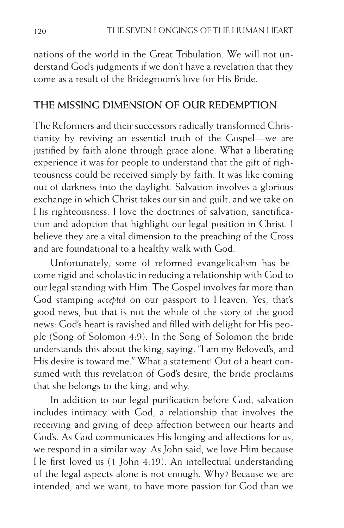nations of the world in the Great Tribulation. We will not understand God's judgments if we don't have a revelation that they come as a result of the Bridegroom's love for His Bride.

#### **THE MISSING DIMENSION OF OUR REDEMPTION**

The Reformers and their successors radically transformed Christianity by reviving an essential truth of the Gospel—we are justified by faith alone through grace alone. What a liberating experience it was for people to understand that the gift of righteousness could be received simply by faith. It was like coming out of darkness into the daylight. Salvation involves a glorious exchange in which Christ takes our sin and guilt, and we take on His righteousness. I love the doctrines of salvation, sanctification and adoption that highlight our legal position in Christ. I believe they are a vital dimension to the preaching of the Cross and are foundational to a healthy walk with God.

Unfortunately, some of reformed evangelicalism has become rigid and scholastic in reducing a relationship with God to our legal standing with Him. The Gospel involves far more than God stamping *accepted* on our passport to Heaven. Yes, that's good news, but that is not the whole of the story of the good news: God's heart is ravished and filled with delight for His people (Song of Solomon 4:9). In the Song of Solomon the bride understands this about the king, saying, "I am my Beloved's, and His desire is toward me." What a statement! Out of a heart consumed with this revelation of God's desire, the bride proclaims that she belongs to the king, and why.

In addition to our legal purification before God, salvation includes intimacy with God, a relationship that involves the receiving and giving of deep affection between our hearts and God's. As God communicates His longing and affections for us, we respond in a similar way. As John said, we love Him because He first loved us (1 John 4:19). An intellectual understanding of the legal aspects alone is not enough. Why? Because we are intended, and we want, to have more passion for God than we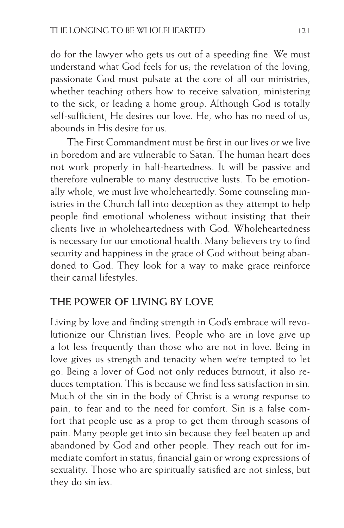do for the lawyer who gets us out of a speeding fine. We must understand what God feels for us; the revelation of the loving, passionate God must pulsate at the core of all our ministries, whether teaching others how to receive salvation, ministering to the sick, or leading a home group. Although God is totally self-sufficient, He desires our love. He, who has no need of us, abounds in His desire for us.

The First Commandment must be first in our lives or we live in boredom and are vulnerable to Satan. The human heart does not work properly in half-heartedness. It will be passive and therefore vulnerable to many destructive lusts. To be emotionally whole, we must live wholeheartedly. Some counseling ministries in the Church fall into deception as they attempt to help people find emotional wholeness without insisting that their clients live in wholeheartedness with God. Wholeheartedness is necessary for our emotional health. Many believers try to find security and happiness in the grace of God without being abandoned to God. They look for a way to make grace reinforce their carnal lifestyles.

# **THE POWER OF LIVING BY LOVE**

Living by love and finding strength in God's embrace will revolutionize our Christian lives. People who are in love give up a lot less frequently than those who are not in love. Being in love gives us strength and tenacity when we're tempted to let go. Being a lover of God not only reduces burnout, it also reduces temptation. This is because we find less satisfaction in sin. Much of the sin in the body of Christ is a wrong response to pain, to fear and to the need for comfort. Sin is a false comfort that people use as a prop to get them through seasons of pain. Many people get into sin because they feel beaten up and abandoned by God and other people. They reach out for immediate comfort in status, financial gain or wrong expressions of sexuality. Those who are spiritually satisfied are not sinless, but they do sin *less*.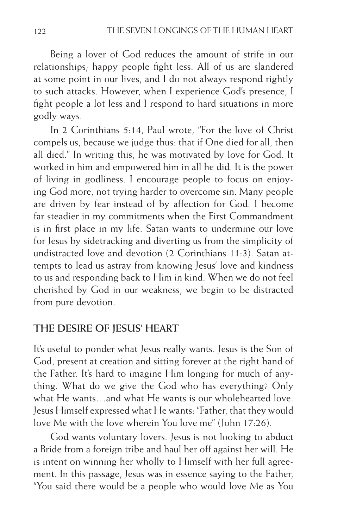Being a lover of God reduces the amount of strife in our relationships; happy people fight less. All of us are slandered at some point in our lives, and I do not always respond rightly to such attacks. However, when I experience God's presence, I fight people a lot less and I respond to hard situations in more godly ways.

In 2 Corinthians 5:14, Paul wrote, "For the love of Christ compels us, because we judge thus: that if One died for all, then all died." In writing this, he was motivated by love for God. It worked in him and empowered him in all he did. It is the power of living in godliness. I encourage people to focus on enjoying God more, not trying harder to overcome sin. Many people are driven by fear instead of by affection for God. I become far steadier in my commitments when the First Commandment is in first place in my life. Satan wants to undermine our love for Jesus by sidetracking and diverting us from the simplicity of undistracted love and devotion (2 Corinthians 11:3). Satan attempts to lead us astray from knowing Jesus' love and kindness to us and responding back to Him in kind. When we do not feel cherished by God in our weakness, we begin to be distracted from pure devotion.

# **THE DESIRE OF JESUS' HEART**

It's useful to ponder what Jesus really wants. Jesus is the Son of God, present at creation and sitting forever at the right hand of the Father. It's hard to imagine Him longing for much of anything. What do we give the God who has everything? Only what He wants…and what He wants is our wholehearted love. Jesus Himself expressed what He wants: "Father, that they would love Me with the love wherein You love me" (John 17:26).

God wants voluntary lovers. Jesus is not looking to abduct a Bride from a foreign tribe and haul her off against her will. He is intent on winning her wholly to Himself with her full agreement. In this passage, Jesus was in essence saying to the Father, "You said there would be a people who would love Me as You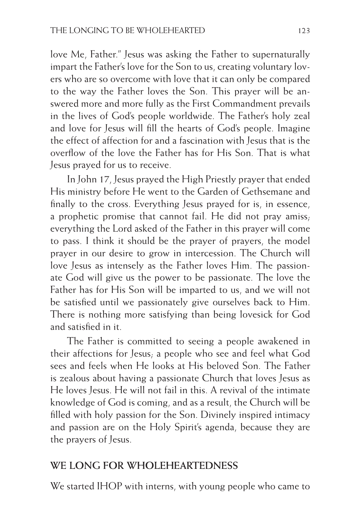love Me, Father." Jesus was asking the Father to supernaturally impart the Father's love for the Son to us, creating voluntary lovers who are so overcome with love that it can only be compared to the way the Father loves the Son. This prayer will be answered more and more fully as the First Commandment prevails in the lives of God's people worldwide. The Father's holy zeal and love for Jesus will fill the hearts of God's people. Imagine the effect of affection for and a fascination with Jesus that is the overflow of the love the Father has for His Son. That is what Jesus prayed for us to receive.

In John 17, Jesus prayed the High Priestly prayer that ended His ministry before He went to the Garden of Gethsemane and finally to the cross. Everything Jesus prayed for is, in essence, a prophetic promise that cannot fail. He did not pray amiss; everything the Lord asked of the Father in this prayer will come to pass. I think it should be the prayer of prayers, the model prayer in our desire to grow in intercession. The Church will love Jesus as intensely as the Father loves Him. The passionate God will give us the power to be passionate. The love the Father has for His Son will be imparted to us, and we will not be satisfied until we passionately give ourselves back to Him. There is nothing more satisfying than being lovesick for God and satisfied in it.

The Father is committed to seeing a people awakened in their affections for Jesus; a people who see and feel what God sees and feels when He looks at His beloved Son. The Father is zealous about having a passionate Church that loves Jesus as He loves Jesus. He will not fail in this. A revival of the intimate knowledge of God is coming, and as a result, the Church will be filled with holy passion for the Son. Divinely inspired intimacy and passion are on the Holy Spirit's agenda, because they are the prayers of Jesus.

#### **WE LONG FOR WHOLEHEARTEDNESS**

We started IHOP with interns, with young people who came to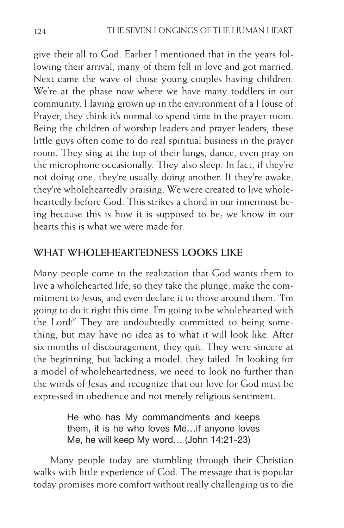give their all to God. Earlier I mentioned that in the years following their arrival, many of them fell in love and got married. Next came the wave of those young couples having children. We're at the phase now where we have many toddlers in our community. Having grown up in the environment of a House of Prayer, they think it's normal to spend time in the prayer room. Being the children of worship leaders and prayer leaders, these little guys often come to do real spiritual business in the prayer room. They sing at the top of their lungs, dance, even pray on the microphone occasionally. They also sleep. In fact, if they're not doing one, they're usually doing another. If they're awake, they're wholeheartedly praising. We were created to live wholeheartedly before God. This strikes a chord in our innermost being because this is how it is supposed to be; we know in our hearts this is what we were made for.

# **WHAT WHOLEHEARTEDNESS LOOKS LIKE**

Many people come to the realization that God wants them to live a wholehearted life, so they take the plunge, make the commitment to Jesus, and even declare it to those around them. "I'm going to do it right this time. I'm going to be wholehearted with the Lord!" They are undoubtedly committed to being something, but may have no idea as to what it will look like. After six months of discouragement, they quit. They were sincere at the beginning, but lacking a model, they failed. In looking for a model of wholeheartedness, we need to look no further than the words of Jesus and recognize that our love for God must be expressed in obedience and not merely religious sentiment.

> He who has My commandments and keeps them, it is he who loves Me…if anyone loves Me, he will keep My word… (John 14:21-23)

Many people today are stumbling through their Christian walks with little experience of God. The message that is popular today promises more comfort without really challenging us to die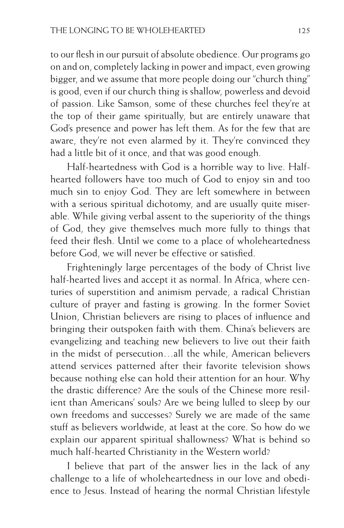to our flesh in our pursuit of absolute obedience. Our programs go on and on, completely lacking in power and impact, even growing bigger, and we assume that more people doing our "church thing" is good, even if our church thing is shallow, powerless and devoid of passion. Like Samson, some of these churches feel they're at the top of their game spiritually, but are entirely unaware that God's presence and power has left them. As for the few that are aware, they're not even alarmed by it. They're convinced they had a little bit of it once, and that was good enough.

Half-heartedness with God is a horrible way to live. Halfhearted followers have too much of God to enjoy sin and too much sin to enjoy God. They are left somewhere in between with a serious spiritual dichotomy, and are usually quite miserable. While giving verbal assent to the superiority of the things of God, they give themselves much more fully to things that feed their flesh. Until we come to a place of wholeheartedness before God, we will never be effective or satisfied.

Frighteningly large percentages of the body of Christ live half-hearted lives and accept it as normal. In Africa, where centuries of superstition and animism pervade, a radical Christian culture of prayer and fasting is growing. In the former Soviet Union, Christian believers are rising to places of influence and bringing their outspoken faith with them. China's believers are evangelizing and teaching new believers to live out their faith in the midst of persecution…all the while, American believers attend services patterned after their favorite television shows because nothing else can hold their attention for an hour. Why the drastic difference? Are the souls of the Chinese more resilient than Americans' souls? Are we being lulled to sleep by our own freedoms and successes? Surely we are made of the same stuff as believers worldwide, at least at the core. So how do we explain our apparent spiritual shallowness? What is behind so much half-hearted Christianity in the Western world?

I believe that part of the answer lies in the lack of any challenge to a life of wholeheartedness in our love and obedience to Jesus. Instead of hearing the normal Christian lifestyle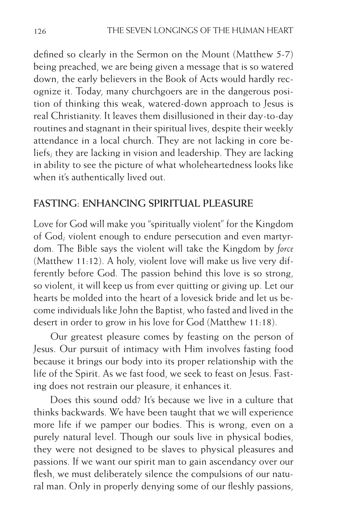defined so clearly in the Sermon on the Mount (Matthew 5-7) being preached, we are being given a message that is so watered down, the early believers in the Book of Acts would hardly recognize it. Today, many churchgoers are in the dangerous position of thinking this weak, watered-down approach to Jesus is real Christianity. It leaves them disillusioned in their day-to-day routines and stagnant in their spiritual lives, despite their weekly attendance in a local church. They are not lacking in core beliefs; they are lacking in vision and leadership. They are lacking in ability to see the picture of what wholeheartedness looks like when it's authentically lived out.

# **FASTING: ENHANCING SPIRITUAL PLEASURE**

Love for God will make you "spiritually violent" for the Kingdom of God; violent enough to endure persecution and even martyrdom. The Bible says the violent will take the Kingdom by *force* (Matthew 11:12). A holy, violent love will make us live very differently before God. The passion behind this love is so strong, so violent, it will keep us from ever quitting or giving up. Let our hearts be molded into the heart of a lovesick bride and let us become individuals like John the Baptist, who fasted and lived in the desert in order to grow in his love for God (Matthew 11:18).

Our greatest pleasure comes by feasting on the person of Jesus. Our pursuit of intimacy with Him involves fasting food because it brings our body into its proper relationship with the life of the Spirit. As we fast food, we seek to feast on Jesus. Fasting does not restrain our pleasure, it enhances it.

Does this sound odd? It's because we live in a culture that thinks backwards. We have been taught that we will experience more life if we pamper our bodies. This is wrong, even on a purely natural level. Though our souls live in physical bodies, they were not designed to be slaves to physical pleasures and passions. If we want our spirit man to gain ascendancy over our flesh, we must deliberately silence the compulsions of our natural man. Only in properly denying some of our fleshly passions,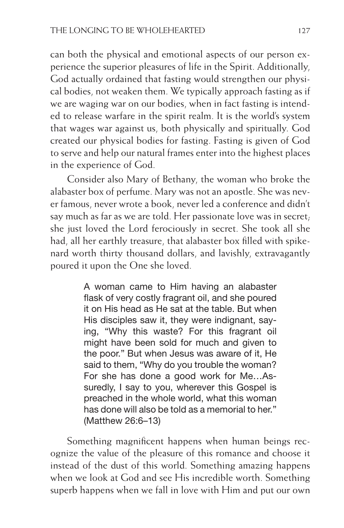can both the physical and emotional aspects of our person experience the superior pleasures of life in the Spirit. Additionally, God actually ordained that fasting would strengthen our physical bodies, not weaken them. We typically approach fasting as if we are waging war on our bodies, when in fact fasting is intended to release warfare in the spirit realm. It is the world's system that wages war against us, both physically and spiritually. God created our physical bodies for fasting. Fasting is given of God to serve and help our natural frames enter into the highest places in the experience of God.

Consider also Mary of Bethany, the woman who broke the alabaster box of perfume. Mary was not an apostle. She was never famous, never wrote a book, never led a conference and didn't say much as far as we are told. Her passionate love was in secret; she just loved the Lord ferociously in secret. She took all she had, all her earthly treasure, that alabaster box filled with spikenard worth thirty thousand dollars, and lavishly, extravagantly poured it upon the One she loved.

> A woman came to Him having an alabaster flask of very costly fragrant oil, and she poured it on His head as He sat at the table. But when His disciples saw it, they were indignant, saying, "Why this waste? For this fragrant oil might have been sold for much and given to the poor." But when Jesus was aware of it, He said to them, "Why do you trouble the woman? For she has done a good work for Me…Assuredly, I say to you, wherever this Gospel is preached in the whole world, what this woman has done will also be told as a memorial to her." (Matthew 26:6–13)

Something magnificent happens when human beings recognize the value of the pleasure of this romance and choose it instead of the dust of this world. Something amazing happens when we look at God and see His incredible worth. Something superb happens when we fall in love with Him and put our own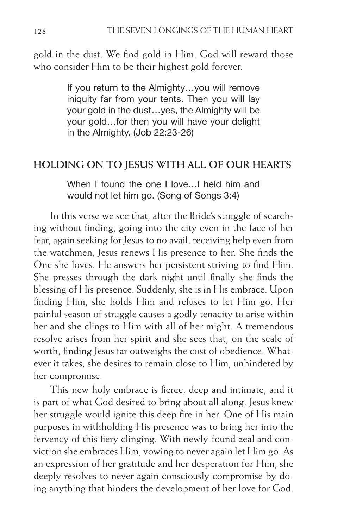gold in the dust. We find gold in Him. God will reward those who consider Him to be their highest gold forever.

> If you return to the Almighty…you will remove iniquity far from your tents. Then you will lay your gold in the dust…yes, the Almighty will be your gold…for then you will have your delight in the Almighty. (Job 22:23-26)

# **HOLDING ON TO JESUS WITH ALL OF OUR HEARTS**

When I found the one I love. I held him and would not let him go. (Song of Songs 3:4)

In this verse we see that, after the Bride's struggle of searching without finding, going into the city even in the face of her fear, again seeking for Jesus to no avail, receiving help even from the watchmen, Jesus renews His presence to her. She finds the One she loves. He answers her persistent striving to find Him. She presses through the dark night until finally she finds the blessing of His presence. Suddenly, she is in His embrace. Upon finding Him, she holds Him and refuses to let Him go. Her painful season of struggle causes a godly tenacity to arise within her and she clings to Him with all of her might. A tremendous resolve arises from her spirit and she sees that, on the scale of worth, finding Jesus far outweighs the cost of obedience. Whatever it takes, she desires to remain close to Him, unhindered by her compromise.

This new holy embrace is fierce, deep and intimate, and it is part of what God desired to bring about all along. Jesus knew her struggle would ignite this deep fire in her. One of His main purposes in withholding His presence was to bring her into the fervency of this fiery clinging. With newly-found zeal and conviction she embraces Him, vowing to never again let Him go. As an expression of her gratitude and her desperation for Him, she deeply resolves to never again consciously compromise by doing anything that hinders the development of her love for God.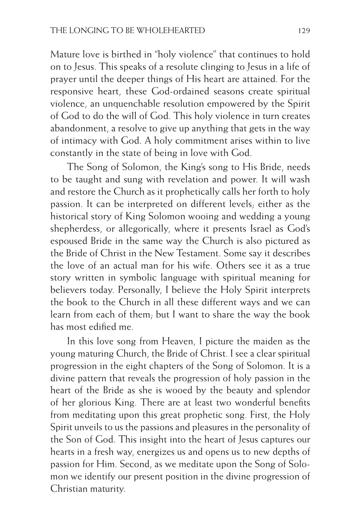Mature love is birthed in "holy violence" that continues to hold on to Jesus. This speaks of a resolute clinging to Jesus in a life of prayer until the deeper things of His heart are attained. For the responsive heart, these God-ordained seasons create spiritual violence, an unquenchable resolution empowered by the Spirit of God to do the will of God. This holy violence in turn creates abandonment, a resolve to give up anything that gets in the way of intimacy with God. A holy commitment arises within to live constantly in the state of being in love with God.

The Song of Solomon, the King's song to His Bride, needs to be taught and sung with revelation and power. It will wash and restore the Church as it prophetically calls her forth to holy passion. It can be interpreted on different levels; either as the historical story of King Solomon wooing and wedding a young shepherdess, or allegorically, where it presents Israel as God's espoused Bride in the same way the Church is also pictured as the Bride of Christ in the New Testament. Some say it describes the love of an actual man for his wife. Others see it as a true story written in symbolic language with spiritual meaning for believers today. Personally, I believe the Holy Spirit interprets the book to the Church in all these different ways and we can learn from each of them; but I want to share the way the book has most edified me.

In this love song from Heaven, I picture the maiden as the young maturing Church, the Bride of Christ. I see a clear spiritual progression in the eight chapters of the Song of Solomon. It is a divine pattern that reveals the progression of holy passion in the heart of the Bride as she is wooed by the beauty and splendor of her glorious King. There are at least two wonderful benefits from meditating upon this great prophetic song. First, the Holy Spirit unveils to us the passions and pleasures in the personality of the Son of God. This insight into the heart of Jesus captures our hearts in a fresh way, energizes us and opens us to new depths of passion for Him. Second, as we meditate upon the Song of Solomon we identify our present position in the divine progression of Christian maturity.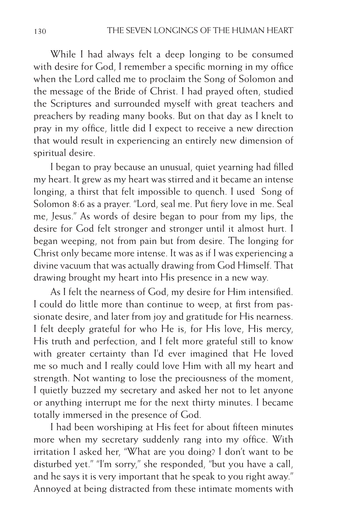While I had always felt a deep longing to be consumed with desire for God, I remember a specific morning in my office when the Lord called me to proclaim the Song of Solomon and the message of the Bride of Christ. I had prayed often, studied the Scriptures and surrounded myself with great teachers and preachers by reading many books. But on that day as I knelt to pray in my office, little did I expect to receive a new direction that would result in experiencing an entirely new dimension of spiritual desire.

I began to pray because an unusual, quiet yearning had filled my heart. It grew as my heart was stirred and it became an intense longing, a thirst that felt impossible to quench. I used Song of Solomon 8:6 as a prayer. "Lord, seal me. Put fiery love in me. Seal me, Jesus." As words of desire began to pour from my lips, the desire for God felt stronger and stronger until it almost hurt. I began weeping, not from pain but from desire. The longing for Christ only became more intense. It was as if I was experiencing a divine vacuum that was actually drawing from God Himself. That drawing brought my heart into His presence in a new way.

As I felt the nearness of God, my desire for Him intensified. I could do little more than continue to weep, at first from passionate desire, and later from joy and gratitude for His nearness. I felt deeply grateful for who He is, for His love, His mercy, His truth and perfection, and I felt more grateful still to know with greater certainty than I'd ever imagined that He loved me so much and I really could love Him with all my heart and strength. Not wanting to lose the preciousness of the moment, I quietly buzzed my secretary and asked her not to let anyone or anything interrupt me for the next thirty minutes. I became totally immersed in the presence of God.

I had been worshiping at His feet for about fifteen minutes more when my secretary suddenly rang into my office. With irritation I asked her, "What are you doing? I don't want to be disturbed yet." "I'm sorry," she responded, "but you have a call, and he says it is very important that he speak to you right away." Annoyed at being distracted from these intimate moments with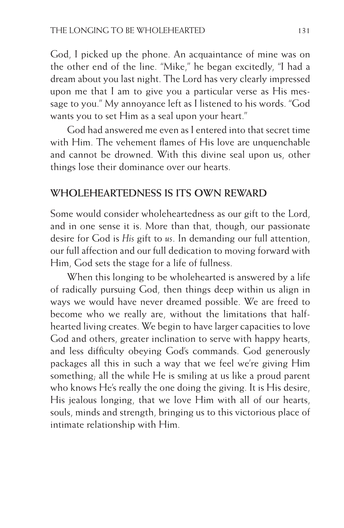God, I picked up the phone. An acquaintance of mine was on the other end of the line. "Mike," he began excitedly, "I had a dream about you last night. The Lord has very clearly impressed upon me that I am to give you a particular verse as His message to you." My annoyance left as I listened to his words. "God wants you to set Him as a seal upon your heart."

God had answered me even as I entered into that secret time with Him. The vehement flames of His love are unquenchable and cannot be drowned. With this divine seal upon us, other things lose their dominance over our hearts.

#### **WHOLEHEARTEDNESS IS ITS OWN REWARD**

Some would consider wholeheartedness as our gift to the Lord, and in one sense it is. More than that, though, our passionate desire for God is *His* gift to *us*. In demanding our full attention, our full affection and our full dedication to moving forward with Him, God sets the stage for a life of fullness.

When this longing to be wholehearted is answered by a life of radically pursuing God, then things deep within us align in ways we would have never dreamed possible. We are freed to become who we really are, without the limitations that halfhearted living creates. We begin to have larger capacities to love God and others, greater inclination to serve with happy hearts, and less difficulty obeying God's commands. God generously packages all this in such a way that we feel we're giving Him something; all the while He is smiling at us like a proud parent who knows He's really the one doing the giving. It is His desire, His jealous longing, that we love Him with all of our hearts, souls, minds and strength, bringing us to this victorious place of intimate relationship with Him.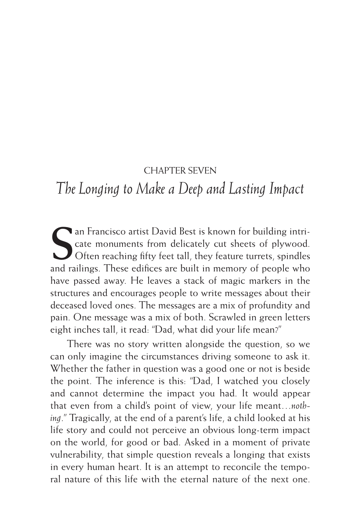### CHAPTER SEVEN

# *The Longing to Make a Deep and Lasting Impact*

**S**an Francisco artist David Best is known for building intri-<br>
Cite monuments from delicately cut sheets of plywood.<br>
Often reaching fifty feet tall, they feature turrets, spindles cate monuments from delicately cut sheets of plywood. Often reaching fifty feet tall, they feature turrets, spindles and railings. These edifices are built in memory of people who have passed away. He leaves a stack of magic markers in the structures and encourages people to write messages about their deceased loved ones. The messages are a mix of profundity and pain. One message was a mix of both. Scrawled in green letters eight inches tall, it read: "Dad, what did your life mean?"

There was no story written alongside the question, so we can only imagine the circumstances driving someone to ask it. Whether the father in question was a good one or not is beside the point. The inference is this: "Dad, I watched you closely and cannot determine the impact you had. It would appear that even from a child's point of view, your life meant…*nothing*." Tragically, at the end of a parent's life, a child looked at his life story and could not perceive an obvious long-term impact on the world, for good or bad. Asked in a moment of private vulnerability, that simple question reveals a longing that exists in every human heart. It is an attempt to reconcile the temporal nature of this life with the eternal nature of the next one.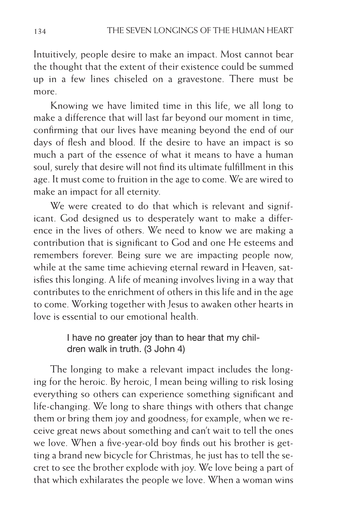Intuitively, people desire to make an impact. Most cannot bear the thought that the extent of their existence could be summed up in a few lines chiseled on a gravestone. There must be more.

Knowing we have limited time in this life, we all long to make a difference that will last far beyond our moment in time, confirming that our lives have meaning beyond the end of our days of flesh and blood. If the desire to have an impact is so much a part of the essence of what it means to have a human soul, surely that desire will not find its ultimate fulfillment in this age. It must come to fruition in the age to come. We are wired to make an impact for all eternity.

We were created to do that which is relevant and significant. God designed us to desperately want to make a difference in the lives of others. We need to know we are making a contribution that is significant to God and one He esteems and remembers forever. Being sure we are impacting people now, while at the same time achieving eternal reward in Heaven, satisfies this longing. A life of meaning involves living in a way that contributes to the enrichment of others in this life and in the age to come. Working together with Jesus to awaken other hearts in love is essential to our emotional health.

> I have no greater joy than to hear that my children walk in truth. (3 John 4)

The longing to make a relevant impact includes the longing for the heroic. By heroic, I mean being willing to risk losing everything so others can experience something significant and life-changing. We long to share things with others that change them or bring them joy and goodness; for example, when we receive great news about something and can't wait to tell the ones we love. When a five-year-old boy finds out his brother is getting a brand new bicycle for Christmas, he just has to tell the secret to see the brother explode with joy. We love being a part of that which exhilarates the people we love. When a woman wins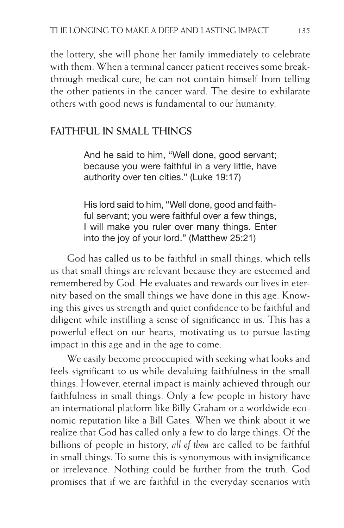the lottery, she will phone her family immediately to celebrate with them. When a terminal cancer patient receives some breakthrough medical cure, he can not contain himself from telling the other patients in the cancer ward. The desire to exhilarate others with good news is fundamental to our humanity.

#### **FAITHFUL IN SMALL THINGS**

And he said to him, "Well done, good servant; because you were faithful in a very little, have authority over ten cities." (Luke 19:17)

His lord said to him, "Well done, good and faithful servant; you were faithful over a few things, I will make you ruler over many things. Enter into the joy of your lord." (Matthew 25:21)

God has called us to be faithful in small things, which tells us that small things are relevant because they are esteemed and remembered by God. He evaluates and rewards our lives in eternity based on the small things we have done in this age. Knowing this gives us strength and quiet confidence to be faithful and diligent while instilling a sense of significance in us. This has a powerful effect on our hearts, motivating us to pursue lasting impact in this age and in the age to come.

We easily become preoccupied with seeking what looks and feels significant to us while devaluing faithfulness in the small things. However, eternal impact is mainly achieved through our faithfulness in small things. Only a few people in history have an international platform like Billy Graham or a worldwide economic reputation like a Bill Gates. When we think about it we realize that God has called only a few to do large things. Of the billions of people in history, *all of them* are called to be faithful in small things. To some this is synonymous with insignificance or irrelevance. Nothing could be further from the truth. God promises that if we are faithful in the everyday scenarios with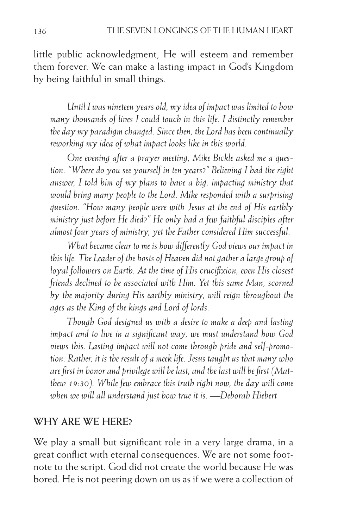little public acknowledgment, He will esteem and remember them forever. We can make a lasting impact in God's Kingdom by being faithful in small things.

*Until I was nineteen years old, my idea of impact was limited to how many thousands of lives I could touch in this life. I distinctly remember the day my paradigm changed. Since then, the Lord has been continually reworking my idea of what impact looks like in this world.*

*One evening after a prayer meeting, Mike Bickle asked me a question. "Where do you see yourself in ten years?" Believing I had the right answer, I told him of my plans to have a big, impacting ministry that would bring many people to the Lord. Mike responded with a surprising question. "How many people were with Jesus at the end of His earthly ministry just before He died?" He only had a few faithful disciples after almost four years of ministry, yet the Father considered Him successful.*

*What became clear to me is how differently God views our impact in this life. The Leader of the hosts of Heaven did not gather a large group of loyal followers on Earth. At the time of His crucifixion, even His closest friends declined to be associated with Him. Yet this same Man, scorned by the majority during His earthly ministry, will reign throughout the ages as the King of the kings and Lord of lords.*

*Though God designed us with a desire to make a deep and lasting impact and to live in a significant way, we must understand how God views this. Lasting impact will not come through pride and self-promotion. Rather, it is the result of a meek life. Jesus taught us that many who are first in honor and privilege will be last, and the last will be first (Matthew 19:30). While few embrace this truth right now, the day will come when we will all understand just how true it is. —Deborah Hiebert*

#### **WHY ARE WE HERE?**

We play a small but significant role in a very large drama, in a great conflict with eternal consequences. We are not some footnote to the script. God did not create the world because He was bored. He is not peering down on us as if we were a collection of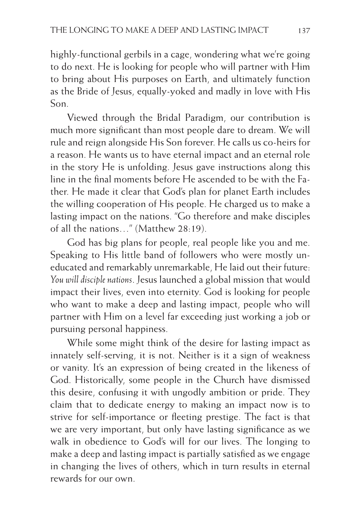highly-functional gerbils in a cage, wondering what we're going to do next. He is looking for people who will partner with Him to bring about His purposes on Earth, and ultimately function as the Bride of Jesus, equally-yoked and madly in love with His Son.

Viewed through the Bridal Paradigm, our contribution is much more significant than most people dare to dream. We will rule and reign alongside His Son forever. He calls us co-heirs for a reason. He wants us to have eternal impact and an eternal role in the story He is unfolding. Jesus gave instructions along this line in the final moments before He ascended to be with the Father. He made it clear that God's plan for planet Earth includes the willing cooperation of His people. He charged us to make a lasting impact on the nations. "Go therefore and make disciples of all the nations…" (Matthew 28:19).

God has big plans for people, real people like you and me. Speaking to His little band of followers who were mostly uneducated and remarkably unremarkable, He laid out their future: *You will disciple nations*. Jesus launched a global mission that would impact their lives, even into eternity. God is looking for people who want to make a deep and lasting impact, people who will partner with Him on a level far exceeding just working a job or pursuing personal happiness.

While some might think of the desire for lasting impact as innately self-serving, it is not. Neither is it a sign of weakness or vanity. It's an expression of being created in the likeness of God. Historically, some people in the Church have dismissed this desire, confusing it with ungodly ambition or pride. They claim that to dedicate energy to making an impact now is to strive for self-importance or fleeting prestige. The fact is that we are very important, but only have lasting significance as we walk in obedience to God's will for our lives. The longing to make a deep and lasting impact is partially satisfied as we engage in changing the lives of others, which in turn results in eternal rewards for our own.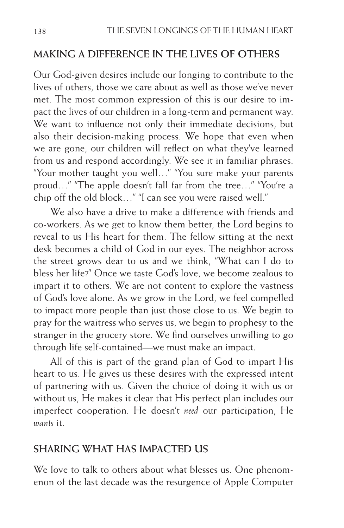#### **MAKING A DIFFERENCE IN THE LIVES OF OTHERS**

Our God-given desires include our longing to contribute to the lives of others, those we care about as well as those we've never met. The most common expression of this is our desire to impact the lives of our children in a long-term and permanent way. We want to influence not only their immediate decisions, but also their decision-making process. We hope that even when we are gone, our children will reflect on what they've learned from us and respond accordingly. We see it in familiar phrases. "Your mother taught you well…" "You sure make your parents proud…" "The apple doesn't fall far from the tree…" "You're a chip off the old block…" "I can see you were raised well."

We also have a drive to make a difference with friends and co-workers. As we get to know them better, the Lord begins to reveal to us His heart for them. The fellow sitting at the next desk becomes a child of God in our eyes. The neighbor across the street grows dear to us and we think, "What can I do to bless her life?" Once we taste God's love, we become zealous to impart it to others. We are not content to explore the vastness of God's love alone. As we grow in the Lord, we feel compelled to impact more people than just those close to us. We begin to pray for the waitress who serves us, we begin to prophesy to the stranger in the grocery store. We find ourselves unwilling to go through life self-contained—we must make an impact.

All of this is part of the grand plan of God to impart His heart to us. He gives us these desires with the expressed intent of partnering with us. Given the choice of doing it with us or without us, He makes it clear that His perfect plan includes our imperfect cooperation. He doesn't *need* our participation, He *wants* it.

# **SHARING WHAT HAS IMPACTED US**

We love to talk to others about what blesses us. One phenomenon of the last decade was the resurgence of Apple Computer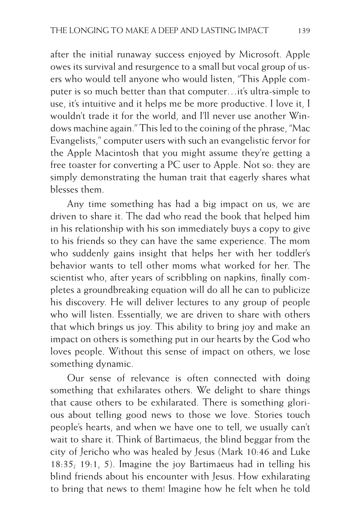after the initial runaway success enjoyed by Microsoft. Apple owes its survival and resurgence to a small but vocal group of users who would tell anyone who would listen, "This Apple computer is so much better than that computer…it's ultra-simple to use, it's intuitive and it helps me be more productive. I love it, I wouldn't trade it for the world, and I'll never use another Windows machine again." This led to the coining of the phrase, "Mac Evangelists," computer users with such an evangelistic fervor for the Apple Macintosh that you might assume they're getting a free toaster for converting a PC user to Apple. Not so: they are simply demonstrating the human trait that eagerly shares what blesses them.

Any time something has had a big impact on us, we are driven to share it. The dad who read the book that helped him in his relationship with his son immediately buys a copy to give to his friends so they can have the same experience. The mom who suddenly gains insight that helps her with her toddler's behavior wants to tell other moms what worked for her. The scientist who, after years of scribbling on napkins, finally completes a groundbreaking equation will do all he can to publicize his discovery. He will deliver lectures to any group of people who will listen. Essentially, we are driven to share with others that which brings us joy. This ability to bring joy and make an impact on others is something put in our hearts by the God who loves people. Without this sense of impact on others, we lose something dynamic.

Our sense of relevance is often connected with doing something that exhilarates others. We delight to share things that cause others to be exhilarated. There is something glorious about telling good news to those we love. Stories touch people's hearts, and when we have one to tell, we usually can't wait to share it. Think of Bartimaeus, the blind beggar from the city of Jericho who was healed by Jesus (Mark 10:46 and Luke 18:35; 19:1, 5). Imagine the joy Bartimaeus had in telling his blind friends about his encounter with Jesus. How exhilarating to bring that news to them! Imagine how he felt when he told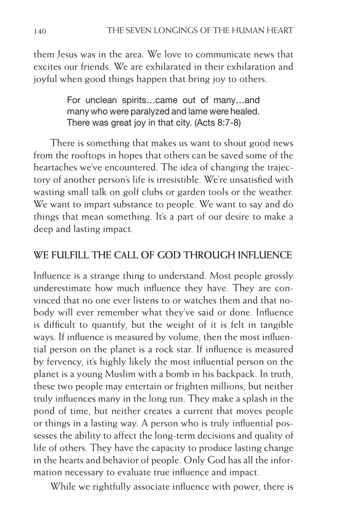them Jesus was in the area. We love to communicate news that excites our friends. We are exhilarated in their exhilaration and joyful when good things happen that bring joy to others.

> For unclean spirits…came out of many…and many who were paralyzed and lame were healed. There was great joy in that city. (Acts 8:7-8)

There is something that makes us want to shout good news from the rooftops in hopes that others can be saved some of the heartaches we've encountered. The idea of changing the trajectory of another person's life is irresistible. We're unsatisfied with wasting small talk on golf clubs or garden tools or the weather. We want to impart substance to people. We want to say and do things that mean something. It's a part of our desire to make a deep and lasting impact.

# **WE FULFILL THE CALL OF GOD THROUGH INFLUENCE**

Influence is a strange thing to understand. Most people grossly underestimate how much influence they have. They are convinced that no one ever listens to or watches them and that nobody will ever remember what they've said or done. Influence is difficult to quantify, but the weight of it is felt in tangible ways. If influence is measured by volume, then the most influential person on the planet is a rock star. If influence is measured by fervency, it's highly likely the most influential person on the planet is a young Muslim with a bomb in his backpack. In truth, these two people may entertain or frighten millions, but neither truly influences many in the long run. They make a splash in the pond of time, but neither creates a current that moves people or things in a lasting way. A person who is truly influential possesses the ability to affect the long-term decisions and quality of life of others. They have the capacity to produce lasting change in the hearts and behavior of people. Only God has all the information necessary to evaluate true influence and impact.

While we rightfully associate influence with power, there is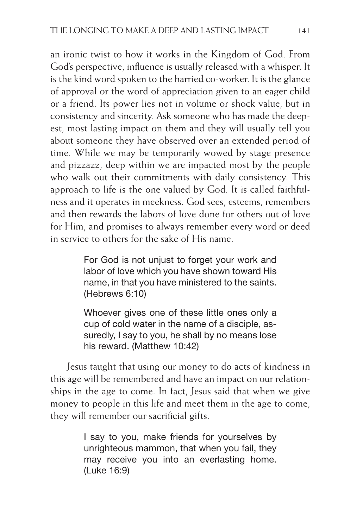an ironic twist to how it works in the Kingdom of God. From God's perspective, influence is usually released with a whisper. It is the kind word spoken to the harried co-worker. It is the glance of approval or the word of appreciation given to an eager child or a friend. Its power lies not in volume or shock value, but in consistency and sincerity. Ask someone who has made the deepest, most lasting impact on them and they will usually tell you about someone they have observed over an extended period of time. While we may be temporarily wowed by stage presence and pizzazz, deep within we are impacted most by the people who walk out their commitments with daily consistency. This approach to life is the one valued by God. It is called faithfulness and it operates in meekness. God sees, esteems, remembers and then rewards the labors of love done for others out of love for Him, and promises to always remember every word or deed in service to others for the sake of His name.

> For God is not unjust to forget your work and labor of love which you have shown toward His name, in that you have ministered to the saints. (Hebrews 6:10)

> Whoever gives one of these little ones only a cup of cold water in the name of a disciple, assuredly, I say to you, he shall by no means lose his reward. (Matthew 10:42)

Jesus taught that using our money to do acts of kindness in this age will be remembered and have an impact on our relationships in the age to come. In fact, Jesus said that when we give money to people in this life and meet them in the age to come, they will remember our sacrificial gifts.

> I say to you, make friends for yourselves by unrighteous mammon, that when you fail, they may receive you into an everlasting home. (Luke 16:9)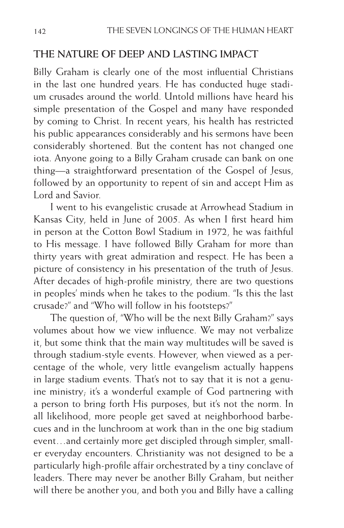# **THE NATURE OF DEEP AND LASTING IMPACT**

Billy Graham is clearly one of the most influential Christians in the last one hundred years. He has conducted huge stadium crusades around the world. Untold millions have heard his simple presentation of the Gospel and many have responded by coming to Christ. In recent years, his health has restricted his public appearances considerably and his sermons have been considerably shortened. But the content has not changed one iota. Anyone going to a Billy Graham crusade can bank on one thing—a straightforward presentation of the Gospel of Jesus, followed by an opportunity to repent of sin and accept Him as Lord and Savior.

I went to his evangelistic crusade at Arrowhead Stadium in Kansas City, held in June of 2005. As when I first heard him in person at the Cotton Bowl Stadium in 1972, he was faithful to His message. I have followed Billy Graham for more than thirty years with great admiration and respect. He has been a picture of consistency in his presentation of the truth of Jesus. After decades of high-profile ministry, there are two questions in peoples' minds when he takes to the podium. "Is this the last crusade?" and "Who will follow in his footsteps?"

The question of, "Who will be the next Billy Graham?" says volumes about how we view influence. We may not verbalize it, but some think that the main way multitudes will be saved is through stadium-style events. However, when viewed as a percentage of the whole, very little evangelism actually happens in large stadium events. That's not to say that it is not a genuine ministry; it's a wonderful example of God partnering with a person to bring forth His purposes, but it's not the norm. In all likelihood, more people get saved at neighborhood barbecues and in the lunchroom at work than in the one big stadium event…and certainly more get discipled through simpler, smaller everyday encounters. Christianity was not designed to be a particularly high-profile affair orchestrated by a tiny conclave of leaders. There may never be another Billy Graham, but neither will there be another you, and both you and Billy have a calling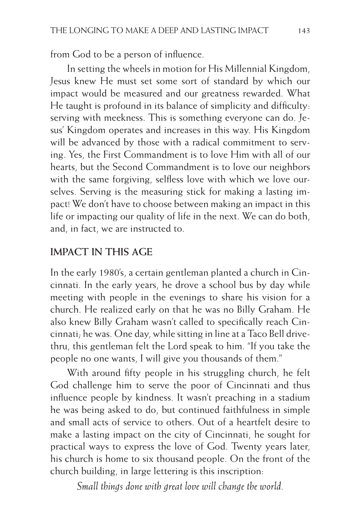from God to be a person of influence.

In setting the wheels in motion for His Millennial Kingdom, Jesus knew He must set some sort of standard by which our impact would be measured and our greatness rewarded. What He taught is profound in its balance of simplicity and difficulty: serving with meekness. This is something everyone can do. Jesus' Kingdom operates and increases in this way. His Kingdom will be advanced by those with a radical commitment to serving. Yes, the First Commandment is to love Him with all of our hearts, but the Second Commandment is to love our neighbors with the same forgiving, selfless love with which we love ourselves. Serving is the measuring stick for making a lasting impact! We don't have to choose between making an impact in this life or impacting our quality of life in the next. We can do both, and, in fact, we are instructed to.

#### **IMPACT IN THIS AGE**

In the early 1980's, a certain gentleman planted a church in Cincinnati. In the early years, he drove a school bus by day while meeting with people in the evenings to share his vision for a church. He realized early on that he was no Billy Graham. He also knew Billy Graham wasn't called to specifically reach Cincinnati; he was. One day, while sitting in line at a Taco Bell drivethru, this gentleman felt the Lord speak to him. "If you take the people no one wants, I will give you thousands of them."

With around fifty people in his struggling church, he felt God challenge him to serve the poor of Cincinnati and thus influence people by kindness. It wasn't preaching in a stadium he was being asked to do, but continued faithfulness in simple and small acts of service to others. Out of a heartfelt desire to make a lasting impact on the city of Cincinnati, he sought for practical ways to express the love of God. Twenty years later, his church is home to six thousand people. On the front of the church building, in large lettering is this inscription:

*Small things done with great love will change the world.*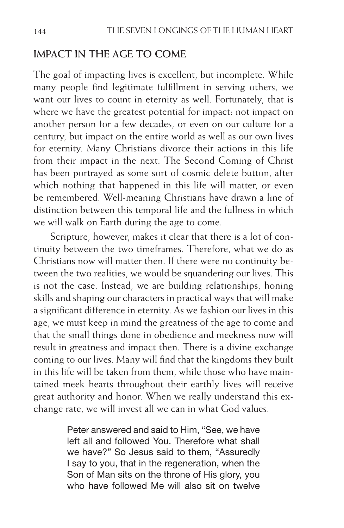# **IMPACT IN THE AGE TO COME**

The goal of impacting lives is excellent, but incomplete. While many people find legitimate fulfillment in serving others, we want our lives to count in eternity as well. Fortunately, that is where we have the greatest potential for impact: not impact on another person for a few decades, or even on our culture for a century, but impact on the entire world as well as our own lives for eternity. Many Christians divorce their actions in this life from their impact in the next. The Second Coming of Christ has been portrayed as some sort of cosmic delete button, after which nothing that happened in this life will matter, or even be remembered. Well-meaning Christians have drawn a line of distinction between this temporal life and the fullness in which we will walk on Earth during the age to come.

Scripture, however, makes it clear that there is a lot of continuity between the two timeframes. Therefore, what we do as Christians now will matter then. If there were no continuity between the two realities, we would be squandering our lives. This is not the case. Instead, we are building relationships, honing skills and shaping our characters in practical ways that will make a significant difference in eternity. As we fashion our lives in this age, we must keep in mind the greatness of the age to come and that the small things done in obedience and meekness now will result in greatness and impact then. There is a divine exchange coming to our lives. Many will find that the kingdoms they built in this life will be taken from them, while those who have maintained meek hearts throughout their earthly lives will receive great authority and honor. When we really understand this exchange rate, we will invest all we can in what God values.

> Peter answered and said to Him, "See, we have left all and followed You. Therefore what shall we have?" So Jesus said to them, "Assuredly I say to you, that in the regeneration, when the Son of Man sits on the throne of His glory, you who have followed Me will also sit on twelve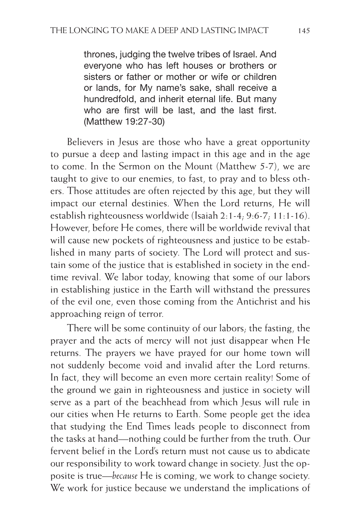thrones, judging the twelve tribes of Israel. And everyone who has left houses or brothers or sisters or father or mother or wife or children or lands, for My name's sake, shall receive a hundredfold, and inherit eternal life. But many who are first will be last, and the last first. (Matthew 19:27-30)

Believers in Jesus are those who have a great opportunity to pursue a deep and lasting impact in this age and in the age to come. In the Sermon on the Mount (Matthew 5-7), we are taught to give to our enemies, to fast, to pray and to bless others. Those attitudes are often rejected by this age, but they will impact our eternal destinies. When the Lord returns, He will establish righteousness worldwide (Isaiah 2:1-4; 9:6-7; 11:1-16). However, before He comes, there will be worldwide revival that will cause new pockets of righteousness and justice to be established in many parts of society. The Lord will protect and sustain some of the justice that is established in society in the endtime revival. We labor today, knowing that some of our labors in establishing justice in the Earth will withstand the pressures of the evil one, even those coming from the Antichrist and his approaching reign of terror.

There will be some continuity of our labors; the fasting, the prayer and the acts of mercy will not just disappear when He returns. The prayers we have prayed for our home town will not suddenly become void and invalid after the Lord returns. In fact, they will become an even more certain reality! Some of the ground we gain in righteousness and justice in society will serve as a part of the beachhead from which Jesus will rule in our cities when He returns to Earth. Some people get the idea that studying the End Times leads people to disconnect from the tasks at hand—nothing could be further from the truth. Our fervent belief in the Lord's return must not cause us to abdicate our responsibility to work toward change in society. Just the opposite is true—*because* He is coming, we work to change society. We work for justice because we understand the implications of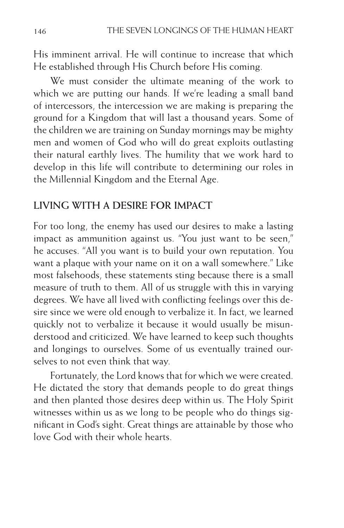His imminent arrival. He will continue to increase that which He established through His Church before His coming.

We must consider the ultimate meaning of the work to which we are putting our hands. If we're leading a small band of intercessors, the intercession we are making is preparing the ground for a Kingdom that will last a thousand years. Some of the children we are training on Sunday mornings may be mighty men and women of God who will do great exploits outlasting their natural earthly lives. The humility that we work hard to develop in this life will contribute to determining our roles in the Millennial Kingdom and the Eternal Age.

#### **LIVING WITH A DESIRE FOR IMPACT**

For too long, the enemy has used our desires to make a lasting impact as ammunition against us. "You just want to be seen," he accuses. "All you want is to build your own reputation. You want a plaque with your name on it on a wall somewhere." Like most falsehoods, these statements sting because there is a small measure of truth to them. All of us struggle with this in varying degrees. We have all lived with conflicting feelings over this desire since we were old enough to verbalize it. In fact, we learned quickly not to verbalize it because it would usually be misunderstood and criticized. We have learned to keep such thoughts and longings to ourselves. Some of us eventually trained ourselves to not even think that way.

Fortunately, the Lord knows that for which we were created. He dictated the story that demands people to do great things and then planted those desires deep within us. The Holy Spirit witnesses within us as we long to be people who do things significant in God's sight. Great things are attainable by those who love God with their whole hearts.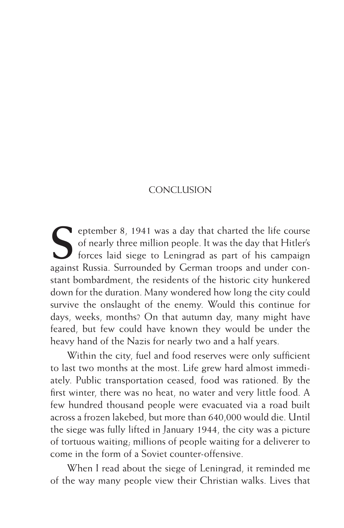#### **CONCLUSION**

September 8, 1941 was a day that charted the life course<br>of nearly three million people. It was the day that Hitler's<br>forces laid siege to Leningrad as part of his campaign of nearly three million people. It was the day that Hitler's forces laid siege to Leningrad as part of his campaign against Russia. Surrounded by German troops and under constant bombardment, the residents of the historic city hunkered down for the duration. Many wondered how long the city could survive the onslaught of the enemy. Would this continue for days, weeks, months? On that autumn day, many might have feared, but few could have known they would be under the heavy hand of the Nazis for nearly two and a half years.

Within the city, fuel and food reserves were only sufficient to last two months at the most. Life grew hard almost immediately. Public transportation ceased, food was rationed. By the first winter, there was no heat, no water and very little food. A few hundred thousand people were evacuated via a road built across a frozen lakebed, but more than 640,000 would die. Until the siege was fully lifted in January 1944, the city was a picture of tortuous waiting; millions of people waiting for a deliverer to come in the form of a Soviet counter-offensive.

When I read about the siege of Leningrad, it reminded me of the way many people view their Christian walks. Lives that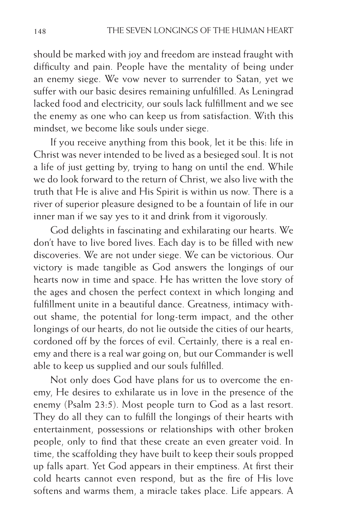should be marked with joy and freedom are instead fraught with difficulty and pain. People have the mentality of being under an enemy siege. We vow never to surrender to Satan, yet we suffer with our basic desires remaining unfulfilled. As Leningrad lacked food and electricity, our souls lack fulfillment and we see the enemy as one who can keep us from satisfaction. With this mindset, we become like souls under siege.

If you receive anything from this book, let it be this: life in Christ was never intended to be lived as a besieged soul. It is not a life of just getting by, trying to hang on until the end. While we do look forward to the return of Christ, we also live with the truth that He is alive and His Spirit is within us now. There is a river of superior pleasure designed to be a fountain of life in our inner man if we say yes to it and drink from it vigorously.

God delights in fascinating and exhilarating our hearts. We don't have to live bored lives. Each day is to be filled with new discoveries. We are not under siege. We can be victorious. Our victory is made tangible as God answers the longings of our hearts now in time and space. He has written the love story of the ages and chosen the perfect context in which longing and fulfillment unite in a beautiful dance. Greatness, intimacy without shame, the potential for long-term impact, and the other longings of our hearts, do not lie outside the cities of our hearts, cordoned off by the forces of evil. Certainly, there is a real enemy and there is a real war going on, but our Commander is well able to keep us supplied and our souls fulfilled.

Not only does God have plans for us to overcome the enemy, He desires to exhilarate us in love in the presence of the enemy (Psalm 23:5). Most people turn to God as a last resort. They do all they can to fulfill the longings of their hearts with entertainment, possessions or relationships with other broken people, only to find that these create an even greater void. In time, the scaffolding they have built to keep their souls propped up falls apart. Yet God appears in their emptiness. At first their cold hearts cannot even respond, but as the fire of His love softens and warms them, a miracle takes place. Life appears. A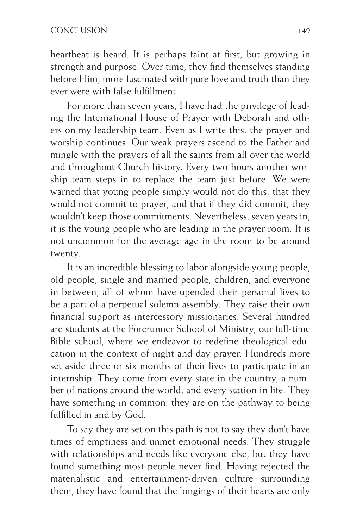#### **CONCLUSION**

heartbeat is heard. It is perhaps faint at first, but growing in strength and purpose. Over time, they find themselves standing before Him, more fascinated with pure love and truth than they ever were with false fulfillment.

For more than seven years, I have had the privilege of leading the International House of Prayer with Deborah and others on my leadership team. Even as I write this, the prayer and worship continues. Our weak prayers ascend to the Father and mingle with the prayers of all the saints from all over the world and throughout Church history. Every two hours another worship team steps in to replace the team just before. We were warned that young people simply would not do this, that they would not commit to prayer, and that if they did commit, they wouldn't keep those commitments. Nevertheless, seven years in, it is the young people who are leading in the prayer room. It is not uncommon for the average age in the room to be around twenty.

It is an incredible blessing to labor alongside young people, old people, single and married people, children, and everyone in between, all of whom have upended their personal lives to be a part of a perpetual solemn assembly. They raise their own financial support as intercessory missionaries. Several hundred are students at the Forerunner School of Ministry, our full-time Bible school, where we endeavor to redefine theological education in the context of night and day prayer. Hundreds more set aside three or six months of their lives to participate in an internship. They come from every state in the country, a number of nations around the world, and every station in life. They have something in common: they are on the pathway to being fulfilled in and by God.

To say they are set on this path is not to say they don't have times of emptiness and unmet emotional needs. They struggle with relationships and needs like everyone else, but they have found something most people never find. Having rejected the materialistic and entertainment-driven culture surrounding them, they have found that the longings of their hearts are only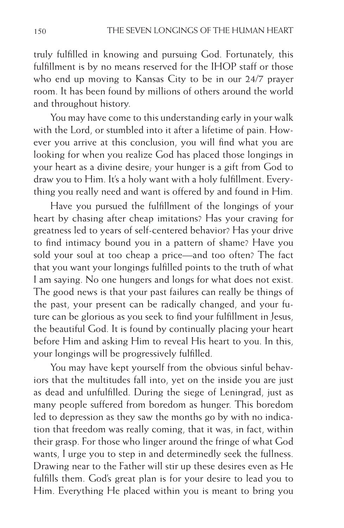truly fulfilled in knowing and pursuing God. Fortunately, this fulfillment is by no means reserved for the IHOP staff or those who end up moving to Kansas City to be in our 24/7 prayer room. It has been found by millions of others around the world and throughout history.

You may have come to this understanding early in your walk with the Lord, or stumbled into it after a lifetime of pain. However you arrive at this conclusion, you will find what you are looking for when you realize God has placed those longings in your heart as a divine desire; your hunger is a gift from God to draw you to Him. It's a holy want with a holy fulfillment. Everything you really need and want is offered by and found in Him.

Have you pursued the fulfillment of the longings of your heart by chasing after cheap imitations? Has your craving for greatness led to years of self-centered behavior? Has your drive to find intimacy bound you in a pattern of shame? Have you sold your soul at too cheap a price—and too often? The fact that you want your longings fulfilled points to the truth of what I am saying. No one hungers and longs for what does not exist. The good news is that your past failures can really be things of the past, your present can be radically changed, and your future can be glorious as you seek to find your fulfillment in Jesus, the beautiful God. It is found by continually placing your heart before Him and asking Him to reveal His heart to you. In this, your longings will be progressively fulfilled.

You may have kept yourself from the obvious sinful behaviors that the multitudes fall into, yet on the inside you are just as dead and unfulfilled. During the siege of Leningrad, just as many people suffered from boredom as hunger. This boredom led to depression as they saw the months go by with no indication that freedom was really coming, that it was, in fact, within their grasp. For those who linger around the fringe of what God wants, I urge you to step in and determinedly seek the fullness. Drawing near to the Father will stir up these desires even as He fulfills them. God's great plan is for your desire to lead you to Him. Everything He placed within you is meant to bring you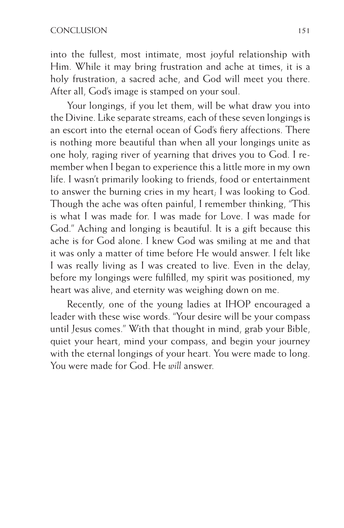into the fullest, most intimate, most joyful relationship with Him. While it may bring frustration and ache at times, it is a holy frustration, a sacred ache, and God will meet you there. After all, God's image is stamped on your soul.

Your longings, if you let them, will be what draw you into the Divine. Like separate streams, each of these seven longings is an escort into the eternal ocean of God's fiery affections. There is nothing more beautiful than when all your longings unite as one holy, raging river of yearning that drives you to God. I remember when I began to experience this a little more in my own life. I wasn't primarily looking to friends, food or entertainment to answer the burning cries in my heart; I was looking to God. Though the ache was often painful, I remember thinking, "This is what I was made for. I was made for Love. I was made for God." Aching and longing is beautiful. It is a gift because this ache is for God alone. I knew God was smiling at me and that it was only a matter of time before He would answer. I felt like I was really living as I was created to live. Even in the delay, before my longings were fulfilled, my spirit was positioned, my heart was alive, and eternity was weighing down on me.

Recently, one of the young ladies at IHOP encouraged a leader with these wise words. "Your desire will be your compass until Jesus comes." With that thought in mind, grab your Bible, quiet your heart, mind your compass, and begin your journey with the eternal longings of your heart. You were made to long. You were made for God. He *will* answer.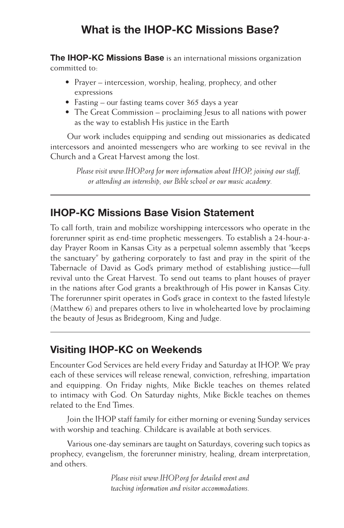### **What is the IHOP-KC Missions Base?**

**The IHOP-KC Missions Base** is an international missions organization committed to:

- Prayer intercession, worship, healing, prophecy, and other expressions
- Fasting our fasting teams cover 365 days a year
- The Great Commission proclaiming Jesus to all nations with power as the way to establish His justice in the Earth

Our work includes equipping and sending out missionaries as dedicated intercessors and anointed messengers who are working to see revival in the Church and a Great Harvest among the lost.

> *Please visit www.IHOP.org for more information about IHOP, joining our staff, or attending an internship, our Bible school or our music academy.*

### **IHOP-KC Missions Base Vision Statement**

To call forth, train and mobilize worshipping intercessors who operate in the forerunner spirit as end-time prophetic messengers. To establish a 24-hour-aday Prayer Room in Kansas City as a perpetual solemn assembly that "keeps the sanctuary" by gathering corporately to fast and pray in the spirit of the Tabernacle of David as God's primary method of establishing justice—full revival unto the Great Harvest. To send out teams to plant houses of prayer in the nations after God grants a breakthrough of His power in Kansas City. The forerunner spirit operates in God's grace in context to the fasted lifestyle (Matthew 6) and prepares others to live in wholehearted love by proclaiming the beauty of Jesus as Bridegroom, King and Judge.

### **Visiting IHOP-KC on Weekends**

Encounter God Services are held every Friday and Saturday at IHOP. We pray each of these services will release renewal, conviction, refreshing, impartation and equipping. On Friday nights, Mike Bickle teaches on themes related to intimacy with God. On Saturday nights, Mike Bickle teaches on themes related to the End Times.

Join the IHOP staff family for either morning or evening Sunday services with worship and teaching. Childcare is available at both services.

Various one-day seminars are taught on Saturdays, covering such topics as prophecy, evangelism, the forerunner ministry, healing, dream interpretation, and others.

> *Please visit www.IHOP.org for detailed event and teaching information and visitor accommodations.*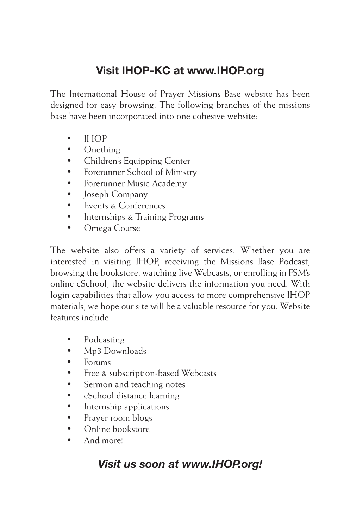# **Visit IHOP-KC at www.IHOP.org**

The International House of Prayer Missions Base website has been designed for easy browsing. The following branches of the missions base have been incorporated into one cohesive website:

- IHOP
- Onething
- Children's Equipping Center
- Forerunner School of Ministry
- Forerunner Music Academy
- Joseph Company
- Events & Conferences
- Internships & Training Programs
- Omega Course

The website also offers a variety of services. Whether you are interested in visiting IHOP, receiving the Missions Base Podcast, browsing the bookstore, watching live Webcasts, or enrolling in FSM's online eSchool, the website delivers the information you need. With login capabilities that allow you access to more comprehensive IHOP materials, we hope our site will be a valuable resource for you. Website features include:

- Podcasting
- Mp3 Downloads
- Forums
- Free & subscription-based Webcasts
- Sermon and teaching notes
- eSchool distance learning
- Internship applications
- Prayer room blogs
- Online bookstore
- And more!

# *Visit us soon at www.IHOP.org!*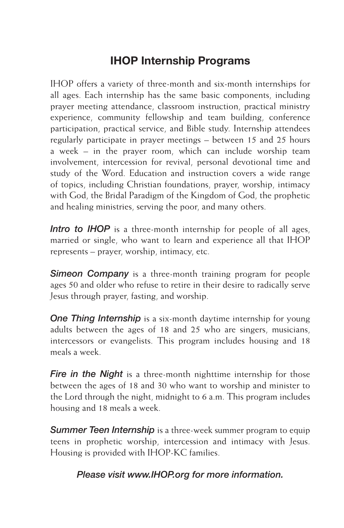## **IHOP Internship Programs**

IHOP offers a variety of three-month and six-month internships for all ages. Each internship has the same basic components, including prayer meeting attendance, classroom instruction, practical ministry experience, community fellowship and team building, conference participation, practical service, and Bible study. Internship attendees regularly participate in prayer meetings – between 15 and 25 hours a week – in the prayer room, which can include worship team involvement, intercession for revival, personal devotional time and study of the Word. Education and instruction covers a wide range of topics, including Christian foundations, prayer, worship, intimacy with God, the Bridal Paradigm of the Kingdom of God, the prophetic and healing ministries, serving the poor, and many others.

*Intro to IHOP* is a three-month internship for people of all ages, married or single, who want to learn and experience all that IHOP represents – prayer, worship, intimacy, etc.

**Simeon Company** is a three-month training program for people ages 50 and older who refuse to retire in their desire to radically serve Jesus through prayer, fasting, and worship.

**One Thing Internship** is a six-month daytime internship for young adults between the ages of 18 and 25 who are singers, musicians, intercessors or evangelists. This program includes housing and 18 meals a week.

*Fire in the Night* is a three-month nighttime internship for those between the ages of 18 and 30 who want to worship and minister to the Lord through the night, midnight to 6 a.m. This program includes housing and 18 meals a week.

**Summer Teen Internship** is a three-week summer program to equip teens in prophetic worship, intercession and intimacy with Jesus. Housing is provided with IHOP-KC families.

*Please visit www.IHOP.org for more information.*